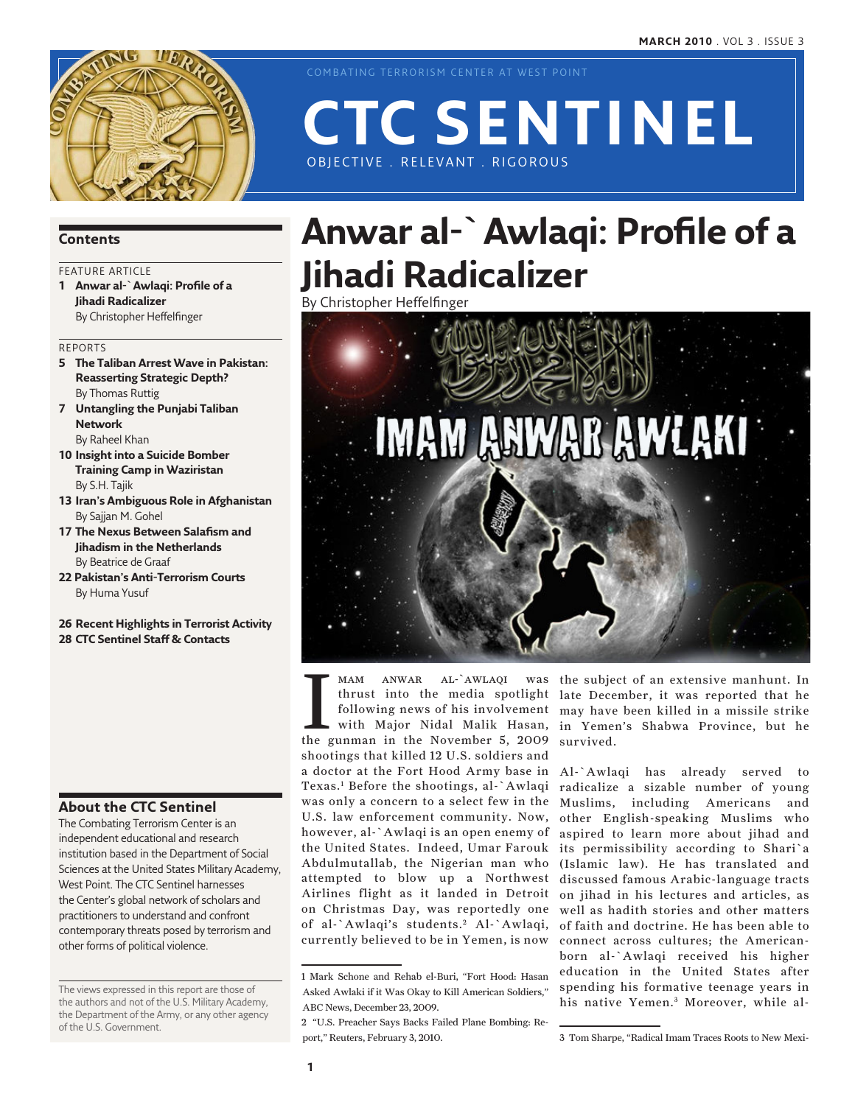

COMBATING TERRORISM CENTER AT WEST POINT

# OBJECTIVE . RELEVANT . RIGOROUS **CTC Sentinel**

### **Contents**

### FEATURE ARTICLE

**1 Anwar al-`Awlaqi: Profile of a Jihadi Radicalizer** By Christopher Heffelfinger

### Reports

- **5 The Taliban Arrest Wave in Pakistan: Reasserting Strategic Depth?** By Thomas Ruttig
- **7 Untangling the Punjabi Taliban Network** By Raheel Khan
- **10 Insight into a Suicide Bomber Training Camp in Waziristan** By S.H. Tajik
- **13 Iran's Ambiguous Role in Afghanistan** By Sajjan M. Gohel
- **17 The Nexus Between Salafism and Jihadism in the Netherlands** By Beatrice de Graaf
- **22 Pakistan's Anti-Terrorism Courts** By Huma Yusuf

**26 Recent Highlights in Terrorist Activity 28 CTC Sentinel Staff & Contacts**

### **About the CTC Sentinel**

The Combating Terrorism Center is an independent educational and research institution based in the Department of Social Sciences at the United States Military Academy, West Point. The CTC Sentinel harnesses the Center's global network of scholars and practitioners to understand and confront contemporary threats posed by terrorism and other forms of political violence.

The views expressed in this report are those of the authors and not of the U.S. Military Academy, the Department of the Army, or any other agency of the U.S. Government.

# **Anwar al-`Awlaqi: Profile of a Jihadi Radicalizer**

By Christopher Heffelfinger



MAM ANWAR AL-`AWLAQI was<br>thrust into the media spotlight<br>following news of his involvement<br>with Major Nidal Malik Hasan,<br>the gunman in the November 5, 2009 mam anwar al-`awlaqi thrust into the media spotlight following news of his involvement shootings that killed 12 U.S. soldiers and a doctor at the Fort Hood Army base in Texas.1 Before the shootings, al-`Awlaqi was only a concern to a select few in the U.S. law enforcement community. Now, however, al-`Awlaqi is an open enemy of the United States. Indeed, Umar Farouk Abdulmutallab, the Nigerian man who attempted to blow up a Northwest Airlines flight as it landed in Detroit on Christmas Day, was reportedly one of al-`Awlaqi's students.<sup>2</sup> Al-`Awlaqi, currently believed to be in Yemen, is now

with Major Nidal Malik Hasan, in Yemen's Shabwa Province, but he was the subject of an extensive manhunt. In late December, it was reported that he may have been killed in a missile strike survived.

> Al-`Awlaqi has already served to radicalize a sizable number of young Muslims, including Americans and other English-speaking Muslims who aspired to learn more about jihad and its permissibility according to Shari`a (Islamic law). He has translated and discussed famous Arabic-language tracts on jihad in his lectures and articles, as well as hadith stories and other matters of faith and doctrine. He has been able to connect across cultures; the Americanborn al-`Awlaqi received his higher education in the United States after spending his formative teenage years in his native Yemen.<sup>3</sup> Moreover, while al-

<sup>1</sup> Mark Schone and Rehab el-Buri, "Fort Hood: Hasan Asked Awlaki if it Was Okay to Kill American Soldiers," ABC News, December 23, 2009.

<sup>2 &</sup>quot;U.S. Preacher Says Backs Failed Plane Bombing: Report," Reuters, February 3, 2010.

<sup>3</sup> Tom Sharpe, "Radical Imam Traces Roots to New Mexi-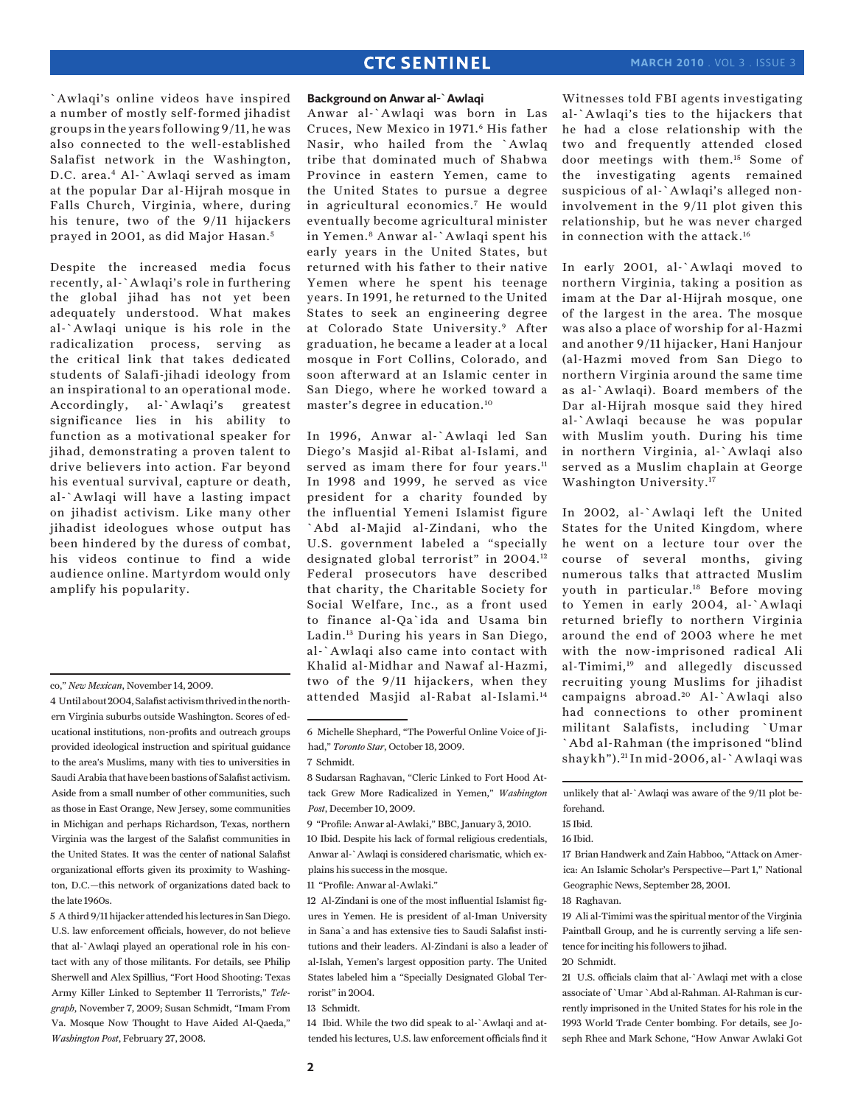`Awlaqi's online videos have inspired a number of mostly self-formed jihadist groups in the years following 9/11, he was also connected to the well-established Salafist network in the Washington, D.C. area.4 Al-`Awlaqi served as imam at the popular Dar al-Hijrah mosque in Falls Church, Virginia, where, during his tenure, two of the 9/11 hijackers prayed in 2001, as did Major Hasan. <sup>5</sup>

Despite the increased media focus recently, al-`Awlaqi's role in furthering the global jihad has not yet been adequately understood. What makes al-`Awlaqi unique is his role in the radicalization process, serving as the critical link that takes dedicated students of Salafi-jihadi ideology from an inspirational to an operational mode. Accordingly, al-`Awlaqi's greatest significance lies in his ability to function as a motivational speaker for jihad, demonstrating a proven talent to drive believers into action. Far beyond his eventual survival, capture or death, al-`Awlaqi will have a lasting impact on jihadist activism. Like many other jihadist ideologues whose output has been hindered by the duress of combat, his videos continue to find a wide audience online. Martyrdom would only amplify his popularity.

5 A third 9/11 hijacker attended his lectures in San Diego. U.S. law enforcement officials, however, do not believe that al-`Awlaqi played an operational role in his contact with any of those militants. For details, see Philip Sherwell and Alex Spillius, "Fort Hood Shooting: Texas Army Killer Linked to September 11 Terrorists," *Telegraph*, November 7, 2009; Susan Schmidt, "Imam From Va. Mosque Now Thought to Have Aided Al-Qaeda," *Washington Post*, February 27, 2008.

#### **Background on Anwar al-`Awlaqi**

Anwar al-`Awlaqi was born in Las Cruces, New Mexico in 1971.<sup>6</sup> His father Nasir, who hailed from the `Awlaq tribe that dominated much of Shabwa Province in eastern Yemen, came to the United States to pursue a degree in agricultural economics.7 He would eventually become agricultural minister in Yemen.8 Anwar al-`Awlaqi spent his early years in the United States, but returned with his father to their native Yemen where he spent his teenage years. In 1991, he returned to the United States to seek an engineering degree at Colorado State University.9 After graduation, he became a leader at a local mosque in Fort Collins, Colorado, and soon afterward at an Islamic center in San Diego, where he worked toward a master's degree in education.10

In 1996, Anwar al-`Awlaqi led San Diego's Masjid al-Ribat al-Islami, and served as imam there for four years.<sup>11</sup> In 1998 and 1999, he served as vice president for a charity founded by the influential Yemeni Islamist figure `Abd al-Majid al-Zindani, who the U.S. government labeled a "specially designated global terrorist" in 2004.12 Federal prosecutors have described that charity, the Charitable Society for Social Welfare, Inc., as a front used to finance al-Qa`ida and Usama bin Ladin.13 During his years in San Diego, al-`Awlaqi also came into contact with Khalid al-Midhar and Nawaf al-Hazmi, two of the 9/11 hijackers, when they attended Masjid al-Rabat al-Islami.14

11 "Profile: Anwar al-Awlaki."

12 Al-Zindani is one of the most influential Islamist figures in Yemen. He is president of al-Iman University in Sana`a and has extensive ties to Saudi Salafist institutions and their leaders. Al-Zindani is also a leader of al-Islah, Yemen's largest opposition party. The United States labeled him a "Specially Designated Global Terrorist" in 2004.

13 Schmidt.

14 Ibid. While the two did speak to al-`Awlaqi and attended his lectures, U.S. law enforcement officials find it Witnesses told FBI agents investigating al-`Awlaqi's ties to the hijackers that he had a close relationship with the two and frequently attended closed door meetings with them.15 Some of the investigating agents remained suspicious of al-`Awlaqi's alleged noninvolvement in the 9/11 plot given this relationship, but he was never charged in connection with the attack.16

In early 2001, al-`Awlaqi moved to northern Virginia, taking a position as imam at the Dar al-Hijrah mosque, one of the largest in the area. The mosque was also a place of worship for al-Hazmi and another 9/11 hijacker, Hani Hanjour (al-Hazmi moved from San Diego to northern Virginia around the same time as al-`Awlaqi). Board members of the Dar al-Hijrah mosque said they hired al-`Awlaqi because he was popular with Muslim youth. During his time in northern Virginia, al-`Awlaqi also served as a Muslim chaplain at George Washington University.17

In 2002, al-`Awlaqi left the United States for the United Kingdom, where he went on a lecture tour over the course of several months, giving numerous talks that attracted Muslim youth in particular.18 Before moving to Yemen in early 2004, al-`Awlaqi returned briefly to northern Virginia around the end of 2003 where he met with the now-imprisoned radical Ali al-Timimi,19 and allegedly discussed recruiting young Muslims for jihadist campaigns abroad.<sup>20</sup> Al-`Awlaqi also had connections to other prominent militant Salafists, including `Umar `Abd al-Rahman (the imprisoned "blind shaykh"). 21 In mid-2006, al-`Awlaqi was

unlikely that al-`Awlaqi was aware of the 9/11 plot beforehand.

17 Brian Handwerk and Zain Habboo, "Attack on America: An Islamic Scholar's Perspective—Part 1," National Geographic News, September 28, 2001.

19 Ali al-Timimi was the spiritual mentor of the Virginia Paintball Group, and he is currently serving a life sentence for inciting his followers to jihad.

21 U.S. officials claim that al-`Awlaqi met with a close associate of `Umar `Abd al-Rahman. Al-Rahman is currently imprisoned in the United States for his role in the 1993 World Trade Center bombing. For details, see Joseph Rhee and Mark Schone, "How Anwar Awlaki Got

co," *New Mexican*, November 14, 2009.

<sup>4</sup> Until about 2004, Salafist activism thrived in the northern Virginia suburbs outside Washington. Scores of educational institutions, non-profits and outreach groups provided ideological instruction and spiritual guidance to the area's Muslims, many with ties to universities in Saudi Arabia that have been bastions of Salafist activism. Aside from a small number of other communities, such as those in East Orange, New Jersey, some communities in Michigan and perhaps Richardson, Texas, northern Virginia was the largest of the Salafist communities in the United States. It was the center of national Salafist organizational efforts given its proximity to Washington, D.C.—this network of organizations dated back to the late 1960s.

<sup>6</sup> Michelle Shephard, "The Powerful Online Voice of Jihad," *Toronto Star*, October 18, 2009.

<sup>7</sup> Schmidt.

<sup>8</sup> Sudarsan Raghavan, "Cleric Linked to Fort Hood Attack Grew More Radicalized in Yemen," *Washington Post*, December 10, 2009.

<sup>9 &</sup>quot;Profile: Anwar al-Awlaki," BBC, January 3, 2010.

<sup>10</sup> Ibid. Despite his lack of formal religious credentials, Anwar al-`Awlaqi is considered charismatic, which explains his success in the mosque.

<sup>15</sup> Ibid.

<sup>16</sup> Ibid.

<sup>18</sup> Raghavan.

<sup>20</sup> Schmidt.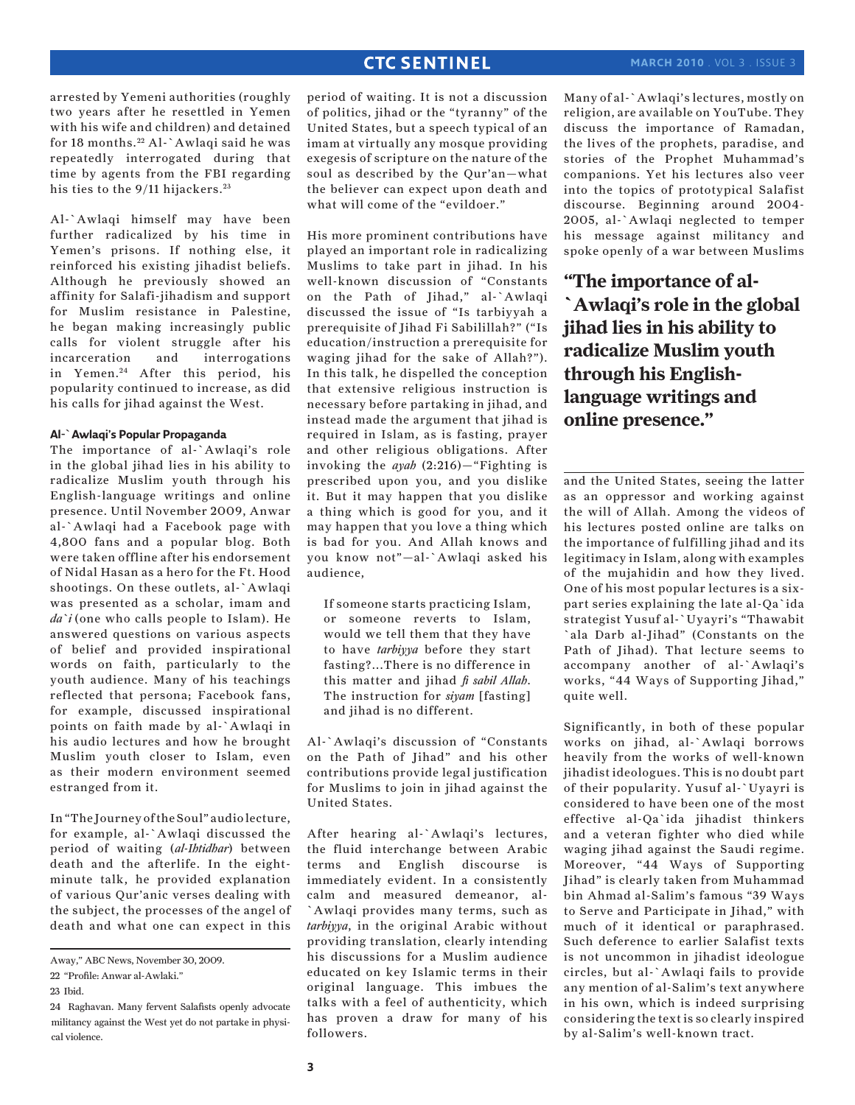arrested by Yemeni authorities (roughly two years after he resettled in Yemen with his wife and children) and detained for 18 months. 22 Al-`Awlaqi said he was repeatedly interrogated during that time by agents from the FBI regarding his ties to the 9/11 hijackers.<sup>23</sup>

Al-`Awlaqi himself may have been further radicalized by his time in Yemen's prisons. If nothing else, it reinforced his existing jihadist beliefs. Although he previously showed an affinity for Salafi-jihadism and support for Muslim resistance in Palestine, he began making increasingly public calls for violent struggle after his incarceration and interrogations in Yemen.<sup>24</sup> After this period, his popularity continued to increase, as did his calls for jihad against the West.

#### **Al-`Awlaqi's Popular Propaganda**

The importance of al-`Awlaqi's role in the global jihad lies in his ability to radicalize Muslim youth through his English-language writings and online presence. Until November 2009, Anwar al-`Awlaqi had a Facebook page with 4,800 fans and a popular blog. Both were taken offline after his endorsement of Nidal Hasan as a hero for the Ft. Hood shootings. On these outlets, al-`Awlaqi was presented as a scholar, imam and *da`i* (one who calls people to Islam). He answered questions on various aspects of belief and provided inspirational words on faith, particularly to the youth audience. Many of his teachings reflected that persona; Facebook fans, for example, discussed inspirational points on faith made by al-`Awlaqi in his audio lectures and how he brought Muslim youth closer to Islam, even as their modern environment seemed estranged from it.

In "The Journey of the Soul" audio lecture, for example, al-`Awlaqi discussed the period of waiting (*al-Ihtidhar*) between death and the afterlife. In the eightminute talk, he provided explanation of various Qur'anic verses dealing with the subject, the processes of the angel of death and what one can expect in this

period of waiting. It is not a discussion of politics, jihad or the "tyranny" of the United States, but a speech typical of an imam at virtually any mosque providing exegesis of scripture on the nature of the soul as described by the Qur'an—what the believer can expect upon death and what will come of the "evildoer."

His more prominent contributions have played an important role in radicalizing Muslims to take part in jihad. In his well-known discussion of "Constants on the Path of Jihad," al-`Awlaqi discussed the issue of "Is tarbiyyah a prerequisite of Jihad Fi Sabilillah?" ("Is education/instruction a prerequisite for waging jihad for the sake of Allah?"). In this talk, he dispelled the conception that extensive religious instruction is necessary before partaking in jihad, and instead made the argument that jihad is required in Islam, as is fasting, prayer and other religious obligations. After invoking the *ayah* (2:216)—"Fighting is prescribed upon you, and you dislike it. But it may happen that you dislike a thing which is good for you, and it may happen that you love a thing which is bad for you. And Allah knows and you know not"—al-`Awlaqi asked his audience,

If someone starts practicing Islam, or someone reverts to Islam, would we tell them that they have to have *tarbiyya* before they start fasting?...There is no difference in this matter and jihad *fi sabil Allah*. The instruction for *siyam* [fasting] and jihad is no different.

Al-`Awlaqi's discussion of "Constants on the Path of Jihad" and his other contributions provide legal justification for Muslims to join in jihad against the United States.

After hearing al-`Awlaqi's lectures, the fluid interchange between Arabic terms and English discourse is immediately evident. In a consistently calm and measured demeanor, al- `Awlaqi provides many terms, such as *tarbiyya*, in the original Arabic without providing translation, clearly intending his discussions for a Muslim audience educated on key Islamic terms in their original language. This imbues the talks with a feel of authenticity, which has proven a draw for many of his followers.

Many of al-`Awlaqi's lectures, mostly on religion, are available on YouTube. They discuss the importance of Ramadan, the lives of the prophets, paradise, and stories of the Prophet Muhammad's companions. Yet his lectures also veer into the topics of prototypical Salafist discourse. Beginning around 2004- 2005, al-`Awlaqi neglected to temper his message against militancy and spoke openly of a war between Muslims

**"The importance of al- `Awlaqi's role in the global jihad lies in his ability to radicalize Muslim youth through his Englishlanguage writings and online presence."**

and the United States, seeing the latter as an oppressor and working against the will of Allah. Among the videos of his lectures posted online are talks on the importance of fulfilling jihad and its legitimacy in Islam, along with examples of the mujahidin and how they lived. One of his most popular lectures is a sixpart series explaining the late al-Qa`ida strategist Yusuf al-`Uyayri's "Thawabit `ala Darb al-Jihad" (Constants on the Path of Jihad). That lecture seems to accompany another of al-`Awlaqi's works, "44 Ways of Supporting Jihad," quite well.

Significantly, in both of these popular works on jihad, al-`Awlaqi borrows heavily from the works of well-known jihadist ideologues. This is no doubt part of their popularity. Yusuf al-`Uyayri is considered to have been one of the most effective al-Qa`ida jihadist thinkers and a veteran fighter who died while waging jihad against the Saudi regime. Moreover, "44 Ways of Supporting Jihad" is clearly taken from Muhammad bin Ahmad al-Salim's famous "39 Ways to Serve and Participate in Jihad," with much of it identical or paraphrased. Such deference to earlier Salafist texts is not uncommon in jihadist ideologue circles, but al-`Awlaqi fails to provide any mention of al-Salim's text anywhere in his own, which is indeed surprising considering the text is so clearly inspired by al-Salim's well-known tract.

Away," ABC News, November 30, 2009.

<sup>22 &</sup>quot;Profile: Anwar al-Awlaki."

<sup>23</sup> Ibid.

<sup>24</sup> Raghavan. Many fervent Salafists openly advocate militancy against the West yet do not partake in physical violence.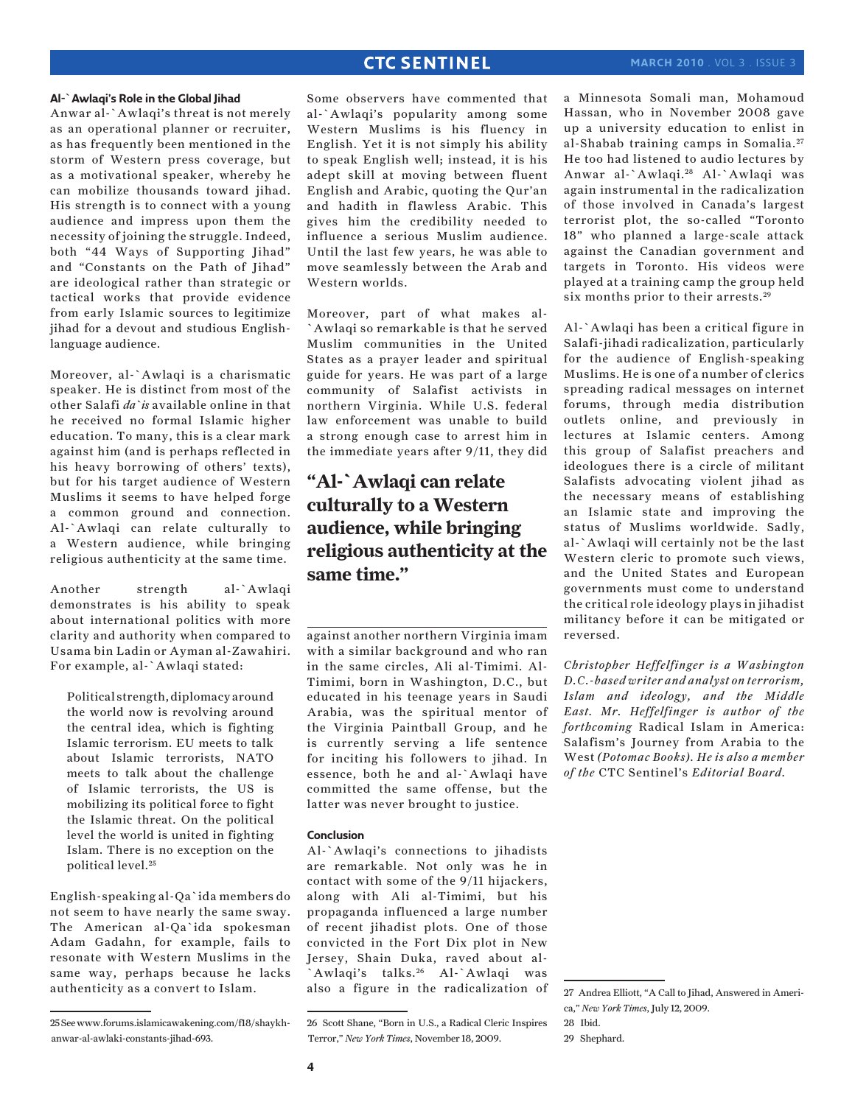#### **Al-`Awlaqi's Role in the Global Jihad**

Anwar al-`Awlaqi's threat is not merely as an operational planner or recruiter, as has frequently been mentioned in the storm of Western press coverage, but as a motivational speaker, whereby he can mobilize thousands toward jihad. His strength is to connect with a young audience and impress upon them the necessity of joining the struggle. Indeed, both "44 Ways of Supporting Jihad" and "Constants on the Path of Jihad" are ideological rather than strategic or tactical works that provide evidence from early Islamic sources to legitimize jihad for a devout and studious Englishlanguage audience.

Moreover, al-`Awlaqi is a charismatic speaker. He is distinct from most of the other Salafi *da`is* available online in that he received no formal Islamic higher education. To many, this is a clear mark against him (and is perhaps reflected in his heavy borrowing of others' texts), but for his target audience of Western Muslims it seems to have helped forge a common ground and connection. Al-`Awlaqi can relate culturally to a Western audience, while bringing religious authenticity at the same time.

Another strength al-`Awlaqi demonstrates is his ability to speak about international politics with more clarity and authority when compared to Usama bin Ladin or Ayman al-Zawahiri. For example, al-`Awlaqi stated:

Political strength, diplomacy around the world now is revolving around the central idea, which is fighting Islamic terrorism. EU meets to talk about Islamic terrorists, NATO meets to talk about the challenge of Islamic terrorists, the US is mobilizing its political force to fight the Islamic threat. On the political level the world is united in fighting Islam. There is no exception on the political level.25

English-speaking al-Qa`ida members do not seem to have nearly the same sway. The American al-Qa`ida spokesman Adam Gadahn, for example, fails to resonate with Western Muslims in the same way, perhaps because he lacks authenticity as a convert to Islam.

Some observers have commented that al-`Awlaqi's popularity among some Western Muslims is his fluency in English. Yet it is not simply his ability to speak English well; instead, it is his adept skill at moving between fluent English and Arabic, quoting the Qur'an and hadith in flawless Arabic. This gives him the credibility needed to influence a serious Muslim audience. Until the last few years, he was able to move seamlessly between the Arab and Western worlds.

Moreover, part of what makes al- `Awlaqi so remarkable is that he served Muslim communities in the United States as a prayer leader and spiritual guide for years. He was part of a large community of Salafist activists in northern Virginia. While U.S. federal law enforcement was unable to build a strong enough case to arrest him in the immediate years after 9/11, they did

# **"Al-`Awlaqi can relate culturally to a Western audience, while bringing religious authenticity at the same time."**

against another northern Virginia imam with a similar background and who ran in the same circles, Ali al-Timimi. Al-Timimi, born in Washington, D.C., but educated in his teenage years in Saudi Arabia, was the spiritual mentor of the Virginia Paintball Group, and he is currently serving a life sentence for inciting his followers to jihad. In essence, both he and al-`Awlaqi have committed the same offense, but the latter was never brought to justice.

#### **Conclusion**

Al-`Awlaqi's connections to jihadists are remarkable. Not only was he in contact with some of the 9/11 hijackers, along with Ali al-Timimi, but his propaganda influenced a large number of recent jihadist plots. One of those convicted in the Fort Dix plot in New Jersey, Shain Duka, raved about al- `Awlaqi's talks. 26 Al-`Awlaqi was also a figure in the radicalization of a Minnesota Somali man, Mohamoud Hassan, who in November 2008 gave up a university education to enlist in al-Shabab training camps in Somalia. <sup>27</sup> He too had listened to audio lectures by Anwar al-`Awlaqi. 28 Al-`Awlaqi was again instrumental in the radicalization of those involved in Canada's largest terrorist plot, the so-called "Toronto 18" who planned a large-scale attack against the Canadian government and targets in Toronto. His videos were played at a training camp the group held six months prior to their arrests.<sup>29</sup>

Al-`Awlaqi has been a critical figure in Salafi-jihadi radicalization, particularly for the audience of English-speaking Muslims. He is one of a number of clerics spreading radical messages on internet forums, through media distribution outlets online, and previously in lectures at Islamic centers. Among this group of Salafist preachers and ideologues there is a circle of militant Salafists advocating violent jihad as the necessary means of establishing an Islamic state and improving the status of Muslims worldwide. Sadly, al-`Awlaqi will certainly not be the last Western cleric to promote such views, and the United States and European governments must come to understand the critical role ideology plays in jihadist militancy before it can be mitigated or reversed.

*Christopher Heffelfinger is a Washington D.C.-based writer and analyst on terrorism, Islam and ideology, and the Middle East. Mr. Heffelfinger is author of the forthcoming* Radical Islam in America: Salafism's Journey from Arabia to the West *(Potomac Books). He is also a member of the* CTC Sentinel's *Editorial Board.* 

<sup>25</sup> See www.forums.islamicawakening.com/f18/shaykhanwar-al-awlaki-constants-jihad-693.

<sup>26</sup> Scott Shane, "Born in U.S., a Radical Cleric Inspires Terror," *New York Times*, November 18, 2009.

<sup>27</sup> Andrea Elliott, "A Call to Jihad, Answered in America," *New York Times*, July 12, 2009.

<sup>28</sup> Ibid.

<sup>29</sup> Shephard.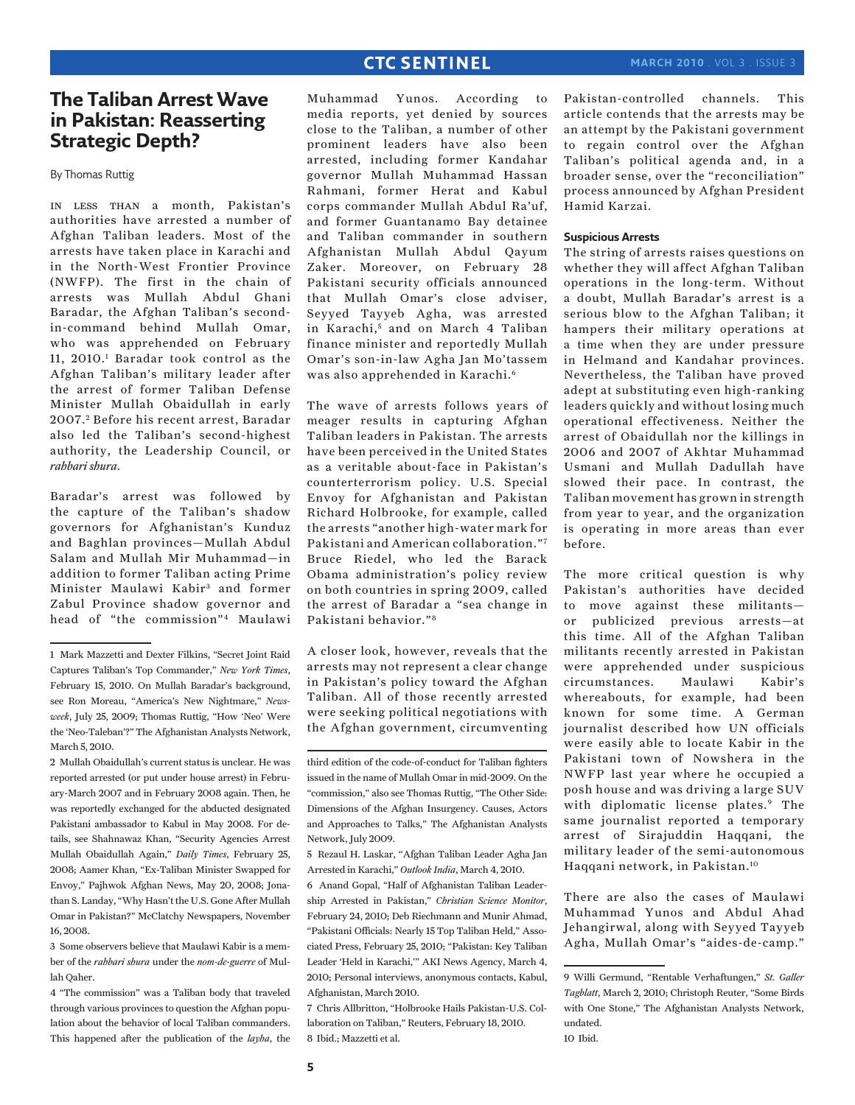# **The Taliban Arrest Wave in Pakistan: Reasserting Strategic Depth?**

By Thomas Ruttig

in less than a month, Pakistan's authorities have arrested a number of Afghan Taliban leaders. Most of the arrests have taken place in Karachi and in the North-West Frontier Province (NWFP). The first in the chain of arrests was Mullah Abdul Ghani Baradar, the Afghan Taliban's secondin-command behind Mullah Omar, who was apprehended on February 11, 2010.1 Baradar took control as the Afghan Taliban's military leader after the arrest of former Taliban Defense Minister Mullah Obaidullah in early 2007.<sup>2</sup> Before his recent arrest, Baradar also led the Taliban's second-highest authority, the Leadership Council, or *rahbari shura*.

Baradar's arrest was followed by the capture of the Taliban's shadow governors for Afghanistan's Kunduz and Baghlan provinces—Mullah Abdul Salam and Mullah Mir Muhammad—in addition to former Taliban acting Prime Minister Maulawi Kabir<sup>3</sup> and former Zabul Province shadow governor and head of "the commission"4 Maulawi

2 Mullah Obaidullah's current status is unclear. He was reported arrested (or put under house arrest) in February-March 2007 and in February 2008 again. Then, he was reportedly exchanged for the abducted designated Pakistani ambassador to Kabul in May 2008. For details, see Shahnawaz Khan, "Security Agencies Arrest Mullah Obaidullah Again," *Daily Times*, February 25, 2008; Aamer Khan, "Ex-Taliban Minister Swapped for Envoy," Pajhwok Afghan News, May 20, 2008; Jonathan S. Landay, "Why Hasn't the U.S. Gone After Mullah Omar in Pakistan?" McClatchy Newspapers, November 16, 2008.

3 Some observers believe that Maulawi Kabir is a member of the *rahbari shura* under the *nom-de-guerre* of Mullah Qaher.

4 "The commission" was a Taliban body that traveled through various provinces to question the Afghan population about the behavior of local Taliban commanders. This happened after the publication of the *layha*, the

Muhammad Yunos. According to media reports, yet denied by sources close to the Taliban, a number of other prominent leaders have also been arrested, including former Kandahar governor Mullah Muhammad Hassan Rahmani, former Herat and Kabul corps commander Mullah Abdul Ra'uf, and former Guantanamo Bay detainee and Taliban commander in southern Afghanistan Mullah Abdul Qayum Zaker. Moreover, on February 28 Pakistani security officials announced that Mullah Omar's close adviser, Seyyed Tayyeb Agha, was arrested in Karachi,<sup>5</sup> and on March 4 Taliban finance minister and reportedly Mullah Omar's son-in-law Agha Jan Mo'tassem was also apprehended in Karachi.6

The wave of arrests follows years of meager results in capturing Afghan Taliban leaders in Pakistan. The arrests have been perceived in the United States as a veritable about-face in Pakistan's counterterrorism policy. U.S. Special Envoy for Afghanistan and Pakistan Richard Holbrooke, for example, called the arrests "another high-water mark for Pakistani and American collaboration."7 Bruce Riedel, who led the Barack Obama administration's policy review on both countries in spring 2009, called the arrest of Baradar a "sea change in Pakistani behavior."8

A closer look, however, reveals that the arrests may not represent a clear change in Pakistan's policy toward the Afghan Taliban. All of those recently arrested were seeking political negotiations with the Afghan government, circumventing

third edition of the code-of-conduct for Taliban fighters issued in the name of Mullah Omar in mid-2009. On the "commission," also see Thomas Ruttig, "The Other Side: Dimensions of the Afghan Insurgency. Causes, Actors and Approaches to Talks," The Afghanistan Analysts Network, July 2009.

5 Rezaul H. Laskar, "Afghan Taliban Leader Agha Jan Arrested in Karachi," *Outlook India*, March 4, 2010.

6 Anand Gopal, "Half of Afghanistan Taliban Leadership Arrested in Pakistan," *Christian Science Monitor*, February 24, 2010; Deb Riechmann and Munir Ahmad, "Pakistani Officials: Nearly 15 Top Taliban Held," Associated Press, February 25, 2010; "Pakistan: Key Taliban Leader 'Held in Karachi,'" AKI News Agency, March 4, 2010; Personal interviews, anonymous contacts, Kabul, Afghanistan, March 2010.

7 Chris Allbritton, "Holbrooke Hails Pakistan-U.S. Collaboration on Taliban," Reuters, February 18, 2010. 8 Ibid.; Mazzetti et al.

Pakistan-controlled channels. This article contends that the arrests may be an attempt by the Pakistani government to regain control over the Afghan Taliban's political agenda and, in a broader sense, over the "reconciliation" process announced by Afghan President Hamid Karzai.

#### **Suspicious Arrests**

The string of arrests raises questions on whether they will affect Afghan Taliban operations in the long-term. Without a doubt, Mullah Baradar's arrest is a serious blow to the Afghan Taliban; it hampers their military operations at a time when they are under pressure in Helmand and Kandahar provinces. Nevertheless, the Taliban have proved adept at substituting even high-ranking leaders quickly and without losing much operational effectiveness. Neither the arrest of Obaidullah nor the killings in 2006 and 2007 of Akhtar Muhammad Usmani and Mullah Dadullah have slowed their pace. In contrast, the Taliban movement has grown in strength from year to year, and the organization is operating in more areas than ever before.

The more critical question is why Pakistan's authorities have decided to move against these militants or publicized previous arrests—at this time. All of the Afghan Taliban militants recently arrested in Pakistan were apprehended under suspicious circumstances. Maulawi Kabir's whereabouts, for example, had been known for some time. A German journalist described how UN officials were easily able to locate Kabir in the Pakistani town of Nowshera in the NWFP last year where he occupied a posh house and was driving a large SUV with diplomatic license plates.<sup>9</sup> The same journalist reported a temporary arrest of Sirajuddin Haqqani, the military leader of the semi-autonomous Haqqani network, in Pakistan.10

There are also the cases of Maulawi Muhammad Yunos and Abdul Ahad Jehangirwal, along with Seyyed Tayyeb Agha, Mullah Omar's "aides-de-camp."

<sup>1</sup> Mark Mazzetti and Dexter Filkins, "Secret Joint Raid Captures Taliban's Top Commander," *New York Times*, February 15, 2010. On Mullah Baradar's background, see Ron Moreau, "America's New Nightmare," *Newsweek*, July 25, 2009; Thomas Ruttig, "How 'Neo' Were the 'Neo-Taleban'?" The Afghanistan Analysts Network, March 5, 2010.

<sup>9</sup> Willi Germund, "Rentable Verhaftungen," *St. Galler Tagblatt*, March 2, 2010; Christoph Reuter, "Some Birds with One Stone," The Afghanistan Analysts Network, undated.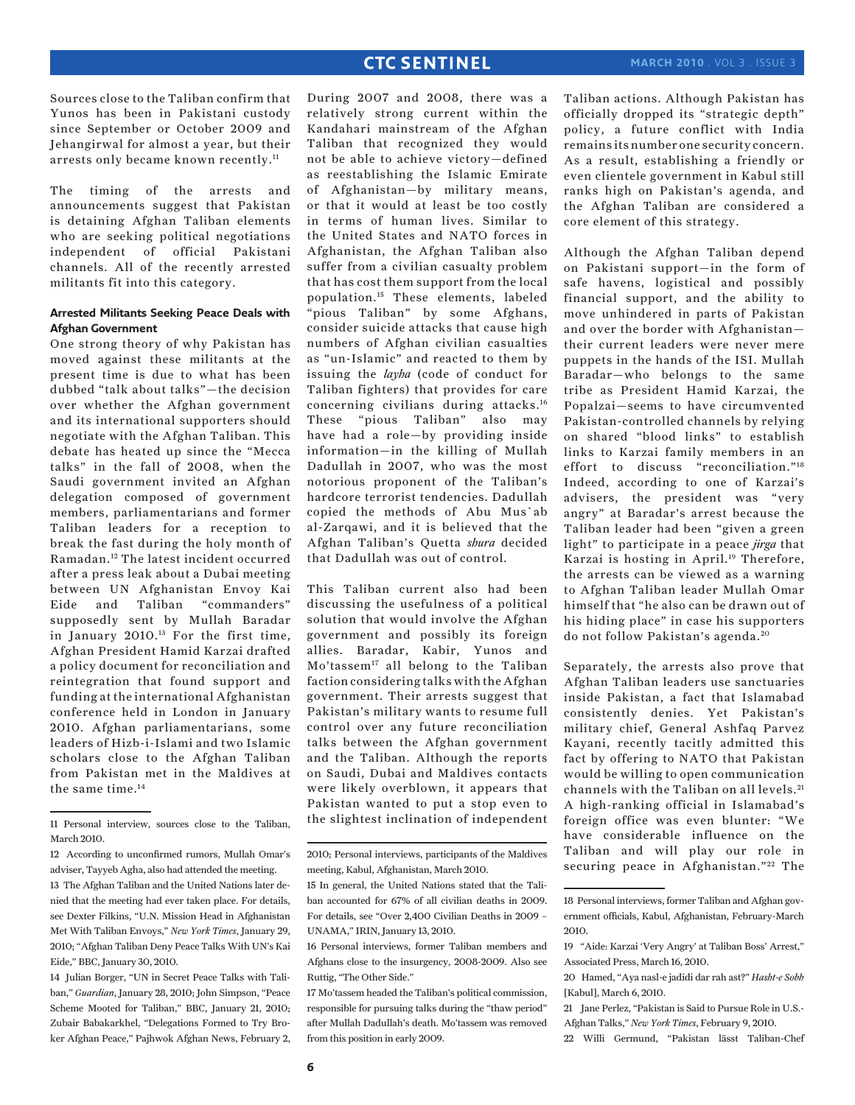Sources close to the Taliban confirm that Yunos has been in Pakistani custody since September or October 2009 and Jehangirwal for almost a year, but their arrests only became known recently.11

The timing of the arrests and announcements suggest that Pakistan is detaining Afghan Taliban elements who are seeking political negotiations independent of official Pakistani channels. All of the recently arrested militants fit into this category.

### **Arrested Militants Seeking Peace Deals with Afghan Government**

One strong theory of why Pakistan has moved against these militants at the present time is due to what has been dubbed "talk about talks"—the decision over whether the Afghan government and its international supporters should negotiate with the Afghan Taliban. This debate has heated up since the "Mecca talks" in the fall of 2008, when the Saudi government invited an Afghan delegation composed of government members, parliamentarians and former Taliban leaders for a reception to break the fast during the holy month of Ramadan.12 The latest incident occurred after a press leak about a Dubai meeting between UN Afghanistan Envoy Kai Eide and Taliban "commanders" supposedly sent by Mullah Baradar in January 2010.13 For the first time, Afghan President Hamid Karzai drafted a policy document for reconciliation and reintegration that found support and funding at the international Afghanistan conference held in London in January 2010. Afghan parliamentarians, some leaders of Hizb-i-Islami and two Islamic scholars close to the Afghan Taliban from Pakistan met in the Maldives at the same time.14

14 Julian Borger, "UN in Secret Peace Talks with Taliban," *Guardian*, January 28, 2010; John Simpson, "Peace Scheme Mooted for Taliban," BBC, January 21, 2010; Zubair Babakarkhel, "Delegations Formed to Try Broker Afghan Peace," Pajhwok Afghan News, February 2,

During 2007 and 2008, there was a relatively strong current within the Kandahari mainstream of the Afghan Taliban that recognized they would not be able to achieve victory—defined as reestablishing the Islamic Emirate of Afghanistan—by military means, or that it would at least be too costly in terms of human lives. Similar to the United States and NATO forces in Afghanistan, the Afghan Taliban also suffer from a civilian casualty problem that has cost them support from the local population.15 These elements, labeled "pious Taliban" by some Afghans, consider suicide attacks that cause high numbers of Afghan civilian casualties as "un-Islamic" and reacted to them by issuing the *layha* (code of conduct for Taliban fighters) that provides for care concerning civilians during attacks.16 These "pious Taliban" also may have had a role—by providing inside information—in the killing of Mullah Dadullah in 2007, who was the most notorious proponent of the Taliban's hardcore terrorist tendencies. Dadullah copied the methods of Abu Mus`ab al-Zarqawi, and it is believed that the Afghan Taliban's Quetta *shura* decided that Dadullah was out of control.

This Taliban current also had been discussing the usefulness of a political solution that would involve the Afghan government and possibly its foreign allies. Baradar, Kabir, Yunos and Mo'tassem<sup>17</sup> all belong to the Taliban faction considering talks with the Afghan government. Their arrests suggest that Pakistan's military wants to resume full control over any future reconciliation talks between the Afghan government and the Taliban. Although the reports on Saudi, Dubai and Maldives contacts were likely overblown, it appears that Pakistan wanted to put a stop even to the slightest inclination of independent

Taliban actions. Although Pakistan has officially dropped its "strategic depth" policy, a future conflict with India remains its number one security concern. As a result, establishing a friendly or even clientele government in Kabul still ranks high on Pakistan's agenda, and the Afghan Taliban are considered a core element of this strategy.

Although the Afghan Taliban depend on Pakistani support—in the form of safe havens, logistical and possibly financial support, and the ability to move unhindered in parts of Pakistan and over the border with Afghanistan their current leaders were never mere puppets in the hands of the ISI. Mullah Baradar—who belongs to the same tribe as President Hamid Karzai, the Popalzai—seems to have circumvented Pakistan-controlled channels by relying on shared "blood links" to establish links to Karzai family members in an effort to discuss "reconciliation."18 Indeed, according to one of Karzai's advisers, the president was "very angry" at Baradar's arrest because the Taliban leader had been "given a green light" to participate in a peace *jirga* that Karzai is hosting in April.19 Therefore, the arrests can be viewed as a warning to Afghan Taliban leader Mullah Omar himself that "he also can be drawn out of his hiding place" in case his supporters do not follow Pakistan's agenda.<sup>20</sup>

Separately, the arrests also prove that Afghan Taliban leaders use sanctuaries inside Pakistan, a fact that Islamabad consistently denies. Yet Pakistan's military chief, General Ashfaq Parvez Kayani, recently tacitly admitted this fact by offering to NATO that Pakistan would be willing to open communication channels with the Taliban on all levels.21 A high-ranking official in Islamabad's foreign office was even blunter: "We have considerable influence on the Taliban and will play our role in securing peace in Afghanistan."<sup>22</sup> The

22 Willi Germund, "Pakistan lässt Taliban-Chef

<sup>11</sup> Personal interview, sources close to the Taliban, March 2010.

<sup>12</sup> According to unconfirmed rumors, Mullah Omar's adviser, Tayyeb Agha, also had attended the meeting. 13 The Afghan Taliban and the United Nations later denied that the meeting had ever taken place. For details, see Dexter Filkins, "U.N. Mission Head in Afghanistan Met With Taliban Envoys," *New York Times*, January 29, 2010; "Afghan Taliban Deny Peace Talks With UN's Kai Eide," BBC, January 30, 2010.

<sup>2010;</sup> Personal interviews, participants of the Maldives meeting, Kabul, Afghanistan, March 2010.

<sup>15</sup> In general, the United Nations stated that the Taliban accounted for 67% of all civilian deaths in 2009. For details, see "Over 2,400 Civilian Deaths in 2009 – UNAMA," IRIN, January 13, 2010.

<sup>16</sup> Personal interviews, former Taliban members and Afghans close to the insurgency, 2008-2009. Also see Ruttig, "The Other Side."

<sup>17</sup> Mo'tassem headed the Taliban's political commission, responsible for pursuing talks during the "thaw period" after Mullah Dadullah's death. Mo'tassem was removed from this position in early 2009.

<sup>18</sup> Personal interviews, former Taliban and Afghan government officials, Kabul, Afghanistan, February-March 2010.

<sup>19 &</sup>quot;Aide: Karzai 'Very Angry' at Taliban Boss' Arrest," Associated Press, March 16, 2010.

<sup>20</sup> Hamed, "Aya nasl-e jadidi dar rah ast?" *Hasht-e Sobh* [Kabul], March 6, 2010.

<sup>21</sup> Jane Perlez, "Pakistan is Said to Pursue Role in U.S.- Afghan Talks," *New York Times*, February 9, 2010.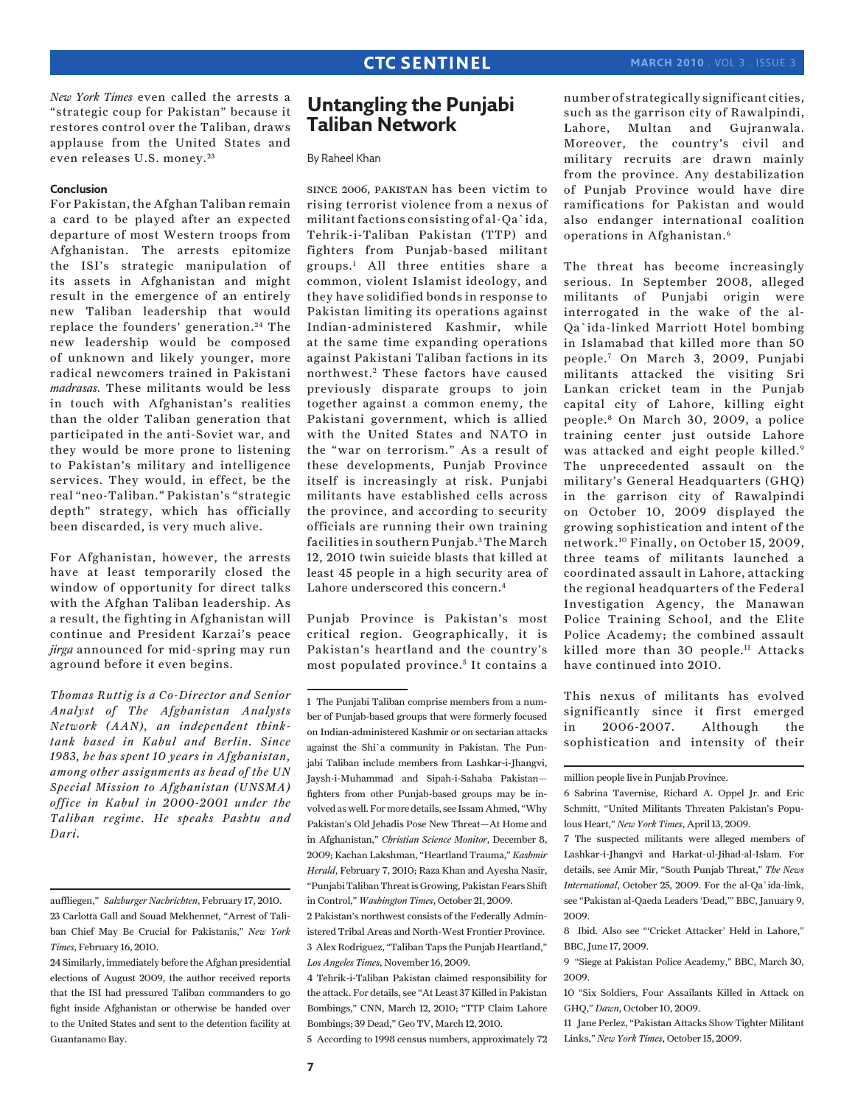*New York Times* even called the arrests a "strategic coup for Pakistan" because it restores control over the Taliban, draws applause from the United States and even releases U.S. money. <sup>23</sup>

#### **Conclusion**

For Pakistan, the Afghan Taliban remain a card to be played after an expected departure of most Western troops from Afghanistan. The arrests epitomize the ISI's strategic manipulation of its assets in Afghanistan and might result in the emergence of an entirely new Taliban leadership that would replace the founders' generation.<sup>24</sup> The new leadership would be composed of unknown and likely younger, more radical newcomers trained in Pakistani *madrasas*. These militants would be less in touch with Afghanistan's realities than the older Taliban generation that participated in the anti-Soviet war, and they would be more prone to listening to Pakistan's military and intelligence services. They would, in effect, be the real "neo-Taliban." Pakistan's "strategic depth" strategy, which has officially been discarded, is very much alive.

For Afghanistan, however, the arrests have at least temporarily closed the window of opportunity for direct talks with the Afghan Taliban leadership. As a result, the fighting in Afghanistan will continue and President Karzai's peace *jirga* announced for mid-spring may run aground before it even begins.

*Thomas Ruttig is a Co-Director and Senior Analyst of The Afghanistan Analysts Network (AAN), an independent thinktank based in Kabul and Berlin. Since 1983, he has spent 10 years in Afghanistan, among other assignments as head of the UN Special Mission to Afghanistan (UNSMA) office in Kabul in 2000-2001 under the Taliban regime. He speaks Pashtu and Dari.*

## **Untangling the Punjabi Taliban Network**

By Raheel Khan

since 2006, pakistan has been victim to rising terrorist violence from a nexus of militant factions consisting of al-Qa`ida, Tehrik-i-Taliban Pakistan (TTP) and fighters from Punjab-based militant groups.1 All three entities share a common, violent Islamist ideology, and they have solidified bonds in response to Pakistan limiting its operations against Indian-administered Kashmir, while at the same time expanding operations against Pakistani Taliban factions in its northwest.<sup>2</sup> These factors have caused previously disparate groups to join together against a common enemy, the Pakistani government, which is allied with the United States and NATO in the "war on terrorism." As a result of these developments, Punjab Province itself is increasingly at risk. Punjabi militants have established cells across the province, and according to security officials are running their own training facilities in southern Punjab. 3 The March 12, 2010 twin suicide blasts that killed at least 45 people in a high security area of Lahore underscored this concern.4

Punjab Province is Pakistan's most critical region. Geographically, it is Pakistan's heartland and the country's most populated province.<sup>5</sup> It contains a

4 Tehrik-i-Taliban Pakistan claimed responsibility for the attack. For details, see "At Least 37 Killed in Pakistan Bombings," CNN, March 12, 2010; "TTP Claim Lahore Bombings; 39 Dead," Geo TV, March 12, 2010.

5 According to 1998 census numbers, approximately 72

number of strategically significant cities, such as the garrison city of Rawalpindi, Lahore, Multan and Gujranwala. Moreover, the country's civil and military recruits are drawn mainly from the province. Any destabilization of Punjab Province would have dire ramifications for Pakistan and would also endanger international coalition operations in Afghanistan.6

The threat has become increasingly serious. In September 2008, alleged militants of Punjabi origin were interrogated in the wake of the al-Qa`ida-linked Marriott Hotel bombing in Islamabad that killed more than 50 people.7 On March 3, 2009, Punjabi militants attacked the visiting Sri Lankan cricket team in the Punjab capital city of Lahore, killing eight people.8 On March 30, 2009, a police training center just outside Lahore was attacked and eight people killed.9 The unprecedented assault on the military's General Headquarters (GHQ) in the garrison city of Rawalpindi on October 10, 2009 displayed the growing sophistication and intent of the network.10 Finally, on October 15, 2009, three teams of militants launched a coordinated assault in Lahore, attacking the regional headquarters of the Federal Investigation Agency, the Manawan Police Training School, and the Elite Police Academy; the combined assault killed more than 30 people.<sup>11</sup> Attacks have continued into 2010.

This nexus of militants has evolved significantly since it first emerged in 2006-2007. Although the sophistication and intensity of their

auffliegen,"*Salzburger Nachrichten*, February 17, 2010. 23 Carlotta Gall and Souad Mekhennet, "Arrest of Taliban Chief May Be Crucial for Pakistanis," *New York Times*, February 16, 2010.

<sup>24</sup> Similarly, immediately before the Afghan presidential elections of August 2009, the author received reports that the ISI had pressured Taliban commanders to go fight inside Afghanistan or otherwise be handed over to the United States and sent to the detention facility at Guantanamo Bay.

<sup>1</sup> The Punjabi Taliban comprise members from a number of Punjab-based groups that were formerly focused on Indian-administered Kashmir or on sectarian attacks against the Shi`a community in Pakistan. The Punjabi Taliban include members from Lashkar-i-Jhangvi, Jaysh-i-Muhammad and Sipah-i-Sahaba Pakistan fighters from other Punjab-based groups may be involved as well. For more details, see Issam Ahmed, "Why Pakistan's Old Jehadis Pose New Threat—At Home and in Afghanistan," *Christian Science Monitor*, December 8, 2009; Kachan Lakshman, "Heartland Trauma," *Kashmir Herald*, February 7, 2010; Raza Khan and Ayesha Nasir, "Punjabi Taliban Threat is Growing, Pakistan Fears Shift in Control," *Washington Times*, October 21, 2009.

<sup>2</sup> Pakistan's northwest consists of the Federally Administered Tribal Areas and North-West Frontier Province. 3 Alex Rodriguez, "Taliban Taps the Punjab Heartland," *Los Angeles Times*, November 16, 2009.

million people live in Punjab Province.

<sup>6</sup> Sabrina Tavernise, Richard A. Oppel Jr. and Eric Schmitt, "United Militants Threaten Pakistan's Populous Heart," *New York Times*, April 13, 2009.

<sup>7</sup> The suspected militants were alleged members of Lashkar-i-Jhangvi and Harkat-ul-Jihad-al-Islam. For details, see Amir Mir, "South Punjab Threat," *The News International*, October 25, 2009. For the al-Qa`ida-link, see "Pakistan al-Qaeda Leaders 'Dead,'" BBC, January 9, 2009.

<sup>8</sup> Ibid. Also see "'Cricket Attacker' Held in Lahore," BBC, June 17, 2009.

<sup>9 &</sup>quot;Siege at Pakistan Police Academy," BBC, March 30, 2009.

<sup>10 &</sup>quot;Six Soldiers, Four Assailants Killed in Attack on GHQ," *Dawn*, October 10, 2009.

<sup>11</sup> Jane Perlez, "Pakistan Attacks Show Tighter Militant Links," *New York Times*, October 15, 2009.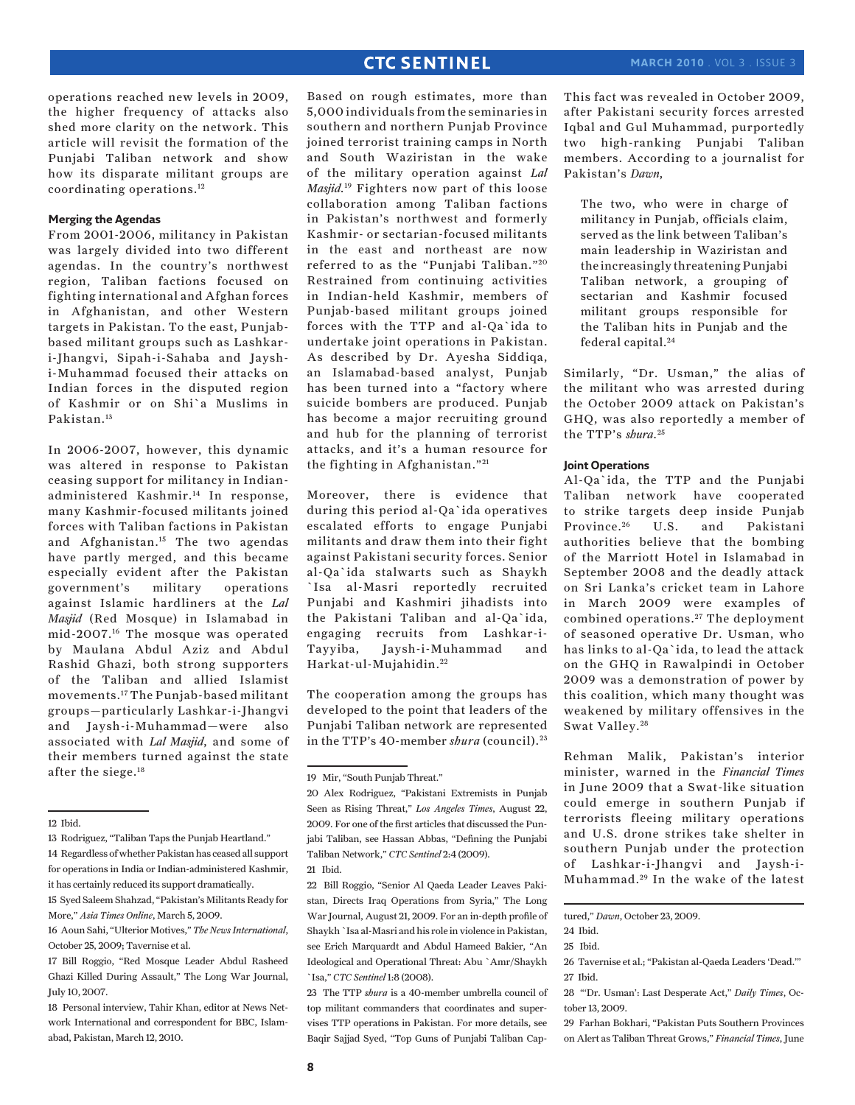operations reached new levels in 2009, the higher frequency of attacks also shed more clarity on the network. This article will revisit the formation of the Punjabi Taliban network and show how its disparate militant groups are coordinating operations.12

#### **Merging the Agendas**

From 2001-2006, militancy in Pakistan was largely divided into two different agendas. In the country's northwest region, Taliban factions focused on fighting international and Afghan forces in Afghanistan, and other Western targets in Pakistan. To the east, Punjabbased militant groups such as Lashkari-Jhangvi, Sipah-i-Sahaba and Jayshi-Muhammad focused their attacks on Indian forces in the disputed region of Kashmir or on Shi`a Muslims in Pakistan.13

In 2006-2007, however, this dynamic was altered in response to Pakistan ceasing support for militancy in Indianadministered Kashmir.14 In response, many Kashmir-focused militants joined forces with Taliban factions in Pakistan and Afghanistan.15 The two agendas have partly merged, and this became especially evident after the Pakistan government's military operations against Islamic hardliners at the *Lal Masjid* (Red Mosque) in Islamabad in mid-2007.16 The mosque was operated by Maulana Abdul Aziz and Abdul Rashid Ghazi, both strong supporters of the Taliban and allied Islamist movements.17 The Punjab-based militant groups—particularly Lashkar-i-Jhangvi and Jaysh-i-Muhammad—were also associated with *Lal Masjid*, and some of their members turned against the state after the siege.<sup>18</sup>

Based on rough estimates, more than 5,000 individuals from the seminaries in southern and northern Punjab Province joined terrorist training camps in North and South Waziristan in the wake of the military operation against *Lal Masjid*. 19 Fighters now part of this loose collaboration among Taliban factions in Pakistan's northwest and formerly Kashmir- or sectarian-focused militants in the east and northeast are now referred to as the "Punjabi Taliban."<sup>20</sup> Restrained from continuing activities in Indian-held Kashmir, members of Punjab-based militant groups joined forces with the TTP and al-Qa`ida to undertake joint operations in Pakistan. As described by Dr. Ayesha Siddiqa, an Islamabad-based analyst, Punjab has been turned into a "factory where suicide bombers are produced. Punjab has become a major recruiting ground and hub for the planning of terrorist attacks, and it's a human resource for the fighting in Afghanistan." $21$ 

Moreover, there is evidence that during this period al-Qa`ida operatives escalated efforts to engage Punjabi militants and draw them into their fight against Pakistani security forces. Senior al-Qa`ida stalwarts such as Shaykh `Isa al-Masri reportedly recruited Punjabi and Kashmiri jihadists into the Pakistani Taliban and al-Qa`ida, engaging recruits from Lashkar-i-Tayyiba, Jaysh-i-Muhammad and Harkat-ul-Mujahidin. <sup>22</sup>

The cooperation among the groups has developed to the point that leaders of the Punjabi Taliban network are represented in the TTP's 40-member *shura* (council). <sup>23</sup>

This fact was revealed in October 2009, after Pakistani security forces arrested Iqbal and Gul Muhammad, purportedly two high-ranking Punjabi Taliban members. According to a journalist for Pakistan's *Dawn*,

The two, who were in charge of militancy in Punjab, officials claim, served as the link between Taliban's main leadership in Waziristan and the increasingly threatening Punjabi Taliban network, a grouping of sectarian and Kashmir focused militant groups responsible for the Taliban hits in Punjab and the federal capital.24

Similarly, "Dr. Usman," the alias of the militant who was arrested during the October 2009 attack on Pakistan's GHQ, was also reportedly a member of the TTP's *shura*. <sup>25</sup>

#### **Joint Operations**

Al-Qa`ida, the TTP and the Punjabi Taliban network have cooperated to strike targets deep inside Punjab Province.<sup>26</sup> U.S. and Pakistani authorities believe that the bombing of the Marriott Hotel in Islamabad in September 2008 and the deadly attack on Sri Lanka's cricket team in Lahore in March 2009 were examples of combined operations.<sup>27</sup> The deployment of seasoned operative Dr. Usman, who has links to al-Qa`ida, to lead the attack on the GHQ in Rawalpindi in October 2009 was a demonstration of power by this coalition, which many thought was weakened by military offensives in the Swat Valley.<sup>28</sup>

Rehman Malik, Pakistan's interior minister, warned in the *Financial Times* in June 2009 that a Swat-like situation could emerge in southern Punjab if terrorists fleeing military operations and U.S. drone strikes take shelter in southern Punjab under the protection of Lashkar-i-Jhangvi and Jaysh-i-Muhammad. 29 In the wake of the latest

<sup>12</sup> Ibid.

<sup>13</sup> Rodriguez, "Taliban Taps the Punjab Heartland." 14 Regardless of whether Pakistan has ceased all support for operations in India or Indian-administered Kashmir, it has certainly reduced its support dramatically.

<sup>15</sup> Syed Saleem Shahzad, "Pakistan's Militants Ready for More," *Asia Times Online*, March 5, 2009.

<sup>16</sup> Aoun Sahi, "Ulterior Motives," *The News International*, October 25, 2009; Tavernise et al.

<sup>17</sup> Bill Roggio, "Red Mosque Leader Abdul Rasheed Ghazi Killed During Assault," The Long War Journal, July 10, 2007.

<sup>18</sup> Personal interview, Tahir Khan, editor at News Network International and correspondent for BBC, Islamabad, Pakistan, March 12, 2010.

<sup>19</sup> Mir, "South Punjab Threat."

<sup>20</sup> Alex Rodriguez, "Pakistani Extremists in Punjab Seen as Rising Threat," *Los Angeles Times*, August 22, 2009. For one of the first articles that discussed the Punjabi Taliban, see Hassan Abbas, "Defining the Punjabi Taliban Network," *CTC Sentinel* 2:4 (2009).

<sup>21</sup> Ibid.

<sup>22</sup> Bill Roggio, "Senior Al Qaeda Leader Leaves Pakistan, Directs Iraq Operations from Syria," The Long War Journal, August 21, 2009. For an in-depth profile of Shaykh `Isa al-Masri and his role in violence in Pakistan, see Erich Marquardt and Abdul Hameed Bakier, "An Ideological and Operational Threat: Abu `Amr/Shaykh `Isa," *CTC Sentinel* 1:8 (2008).

<sup>23</sup> The TTP *shura* is a 40-member umbrella council of top militant commanders that coordinates and supervises TTP operations in Pakistan. For more details, see Baqir Sajjad Syed, "Top Guns of Punjabi Taliban Cap-

tured," *Dawn*, October 23, 2009.

<sup>24</sup> Ibid.

<sup>25</sup> Ibid.

<sup>26</sup> Tavernise et al.; "Pakistan al-Qaeda Leaders 'Dead.'" 27 Ibid.

<sup>28 &</sup>quot;'Dr. Usman': Last Desperate Act," *Daily Times*, October 13, 2009.

<sup>29</sup> Farhan Bokhari, "Pakistan Puts Southern Provinces on Alert as Taliban Threat Grows," *Financial Times*, June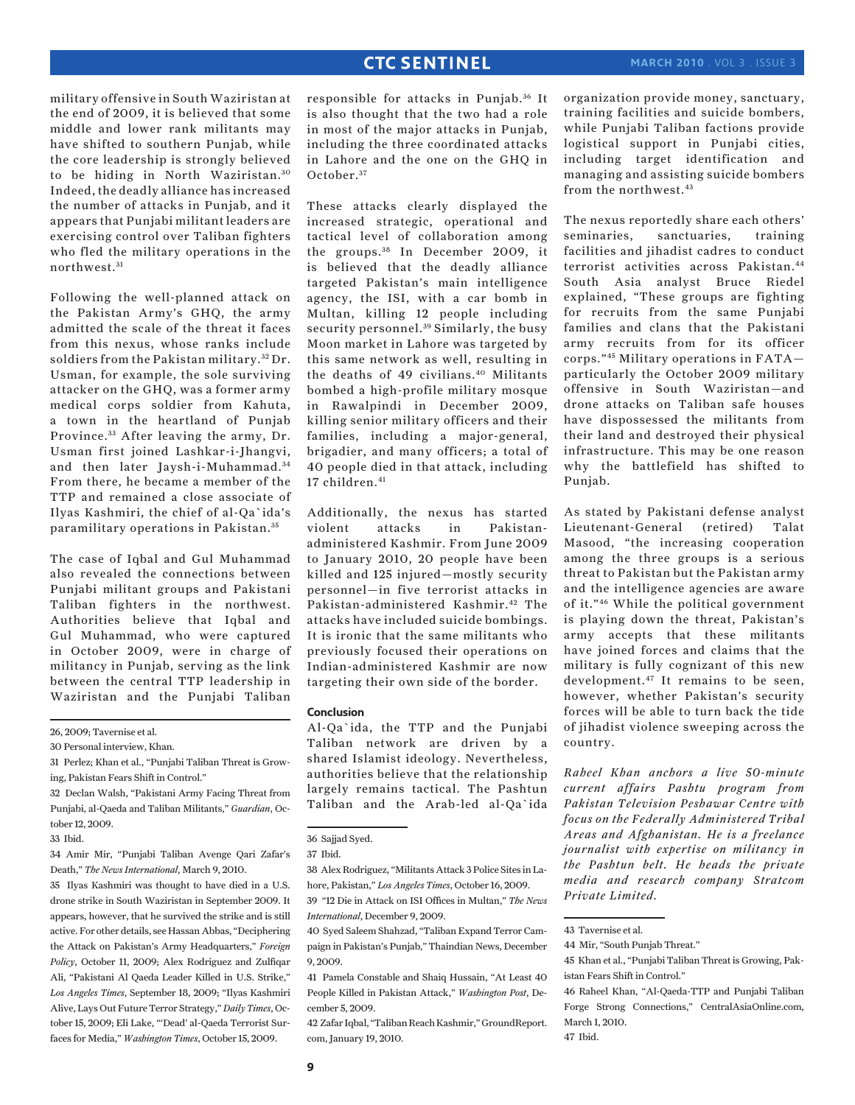military offensive in South Waziristan at the end of 2009, it is believed that some middle and lower rank militants may have shifted to southern Punjab, while the core leadership is strongly believed to be hiding in North Waziristan.<sup>30</sup> Indeed, the deadly alliance has increased the number of attacks in Punjab, and it appears that Punjabi militant leaders are exercising control over Taliban fighters who fled the military operations in the northwest.<sup>31</sup>

Following the well-planned attack on the Pakistan Army's GHQ, the army admitted the scale of the threat it faces from this nexus, whose ranks include soldiers from the Pakistan military. 32 Dr. Usman, for example, the sole surviving attacker on the GHQ, was a former army medical corps soldier from Kahuta, a town in the heartland of Punjab Province.<sup>33</sup> After leaving the army, Dr. Usman first joined Lashkar-i-Jhangvi, and then later Jaysh-i-Muhammad.<sup>34</sup> From there, he became a member of the TTP and remained a close associate of Ilyas Kashmiri, the chief of al-Qa`ida's paramilitary operations in Pakistan. <sup>35</sup>

The case of Iqbal and Gul Muhammad also revealed the connections between Punjabi militant groups and Pakistani Taliban fighters in the northwest. Authorities believe that Iqbal and Gul Muhammad, who were captured in October 2009, were in charge of militancy in Punjab, serving as the link between the central TTP leadership in Waziristan and the Punjabi Taliban

26, 2009; Tavernise et al.

30 Personal interview, Khan.

32 Declan Walsh, "Pakistani Army Facing Threat from Punjabi, al-Qaeda and Taliban Militants," *Guardian*, October 12, 2009.

34 Amir Mir, "Punjabi Taliban Avenge Qari Zafar's Death," *The News International*, March 9, 2010.

35 Ilyas Kashmiri was thought to have died in a U.S. drone strike in South Waziristan in September 2009. It appears, however, that he survived the strike and is still active. For other details, see Hassan Abbas, "Deciphering the Attack on Pakistan's Army Headquarters," *Foreign Policy*, October 11, 2009; Alex Rodriguez and Zulfiqar Ali, "Pakistani Al Qaeda Leader Killed in U.S. Strike," *Los Angeles Times*, September 18, 2009; "Ilyas Kashmiri Alive, Lays Out Future Terror Strategy," *Daily Times*, October 15, 2009; Eli Lake, "'Dead' al-Qaeda Terrorist Surfaces for Media," *Washington Times*, October 15, 2009.

responsible for attacks in Punjab.<sup>36</sup> It is also thought that the two had a role in most of the major attacks in Punjab, including the three coordinated attacks in Lahore and the one on the GHQ in October.<sup>37</sup>

These attacks clearly displayed the increased strategic, operational and tactical level of collaboration among the groups.<sup>38</sup> In December 2009, it is believed that the deadly alliance targeted Pakistan's main intelligence agency, the ISI, with a car bomb in Multan, killing 12 people including security personnel.<sup>39</sup> Similarly, the busy Moon market in Lahore was targeted by this same network as well, resulting in the deaths of 49 civilians.40 Militants bombed a high-profile military mosque in Rawalpindi in December 2009, killing senior military officers and their families, including a major-general, brigadier, and many officers; a total of 40 people died in that attack, including 17 children.<sup>41</sup>

Additionally, the nexus has started violent attacks in Pakistanadministered Kashmir. From June 2009 to January 2010, 20 people have been killed and 125 injured—mostly security personnel—in five terrorist attacks in Pakistan-administered Kashmir.42 The attacks have included suicide bombings. It is ironic that the same militants who previously focused their operations on Indian-administered Kashmir are now targeting their own side of the border.

#### **Conclusion**

Al-Qa`ida, the TTP and the Punjabi Taliban network are driven by a shared Islamist ideology. Nevertheless, authorities believe that the relationship largely remains tactical. The Pashtun Taliban and the Arab-led al-Qa`ida

39 "12 Die in Attack on ISI Offices in Multan," *The News International*, December 9, 2009.

42 Zafar Iqbal, "Taliban Reach Kashmir," GroundReport. com, January 19, 2010.

organization provide money, sanctuary, training facilities and suicide bombers, while Punjabi Taliban factions provide logistical support in Punjabi cities, including target identification and managing and assisting suicide bombers from the northwest.43

The nexus reportedly share each others' seminaries, sanctuaries, training facilities and jihadist cadres to conduct terrorist activities across Pakistan.44 South Asia analyst Bruce Riedel explained, "These groups are fighting for recruits from the same Punjabi families and clans that the Pakistani army recruits from for its officer corps."45 Military operations in FATA particularly the October 2009 military offensive in South Waziristan—and drone attacks on Taliban safe houses have dispossessed the militants from their land and destroyed their physical infrastructure. This may be one reason why the battlefield has shifted to Punjab.

As stated by Pakistani defense analyst Lieutenant-General (retired) Talat Masood, "the increasing cooperation among the three groups is a serious threat to Pakistan but the Pakistan army and the intelligence agencies are aware of it."46 While the political government is playing down the threat, Pakistan's army accepts that these militants have joined forces and claims that the military is fully cognizant of this new development.47 It remains to be seen, however, whether Pakistan's security forces will be able to turn back the tide of jihadist violence sweeping across the country.

*Raheel Khan anchors a live 50-minute current affairs Pashtu program from Pakistan Television Peshawar Centre with focus on the Federally Administered Tribal Areas and Afghanistan. He is a freelance journalist with expertise on militancy in the Pashtun belt. He heads the private media and research company Stratcom Private Limited.*

46 Raheel Khan, "Al-Qaeda-TTP and Punjabi Taliban Forge Strong Connections," CentralAsiaOnline.com, March 1, 2010.

<sup>31</sup> Perlez; Khan et al., "Punjabi Taliban Threat is Growing, Pakistan Fears Shift in Control."

<sup>33</sup> Ibid.

<sup>36</sup> Sajjad Syed.

<sup>37</sup> Ibid.

<sup>38</sup> Alex Rodriguez, "Militants Attack 3 Police Sites in Lahore, Pakistan," *Los Angeles Times*, October 16, 2009.

<sup>40</sup> Syed Saleem Shahzad, "Taliban Expand Terror Campaign in Pakistan's Punjab," Thaindian News, December 9, 2009.

<sup>41</sup> Pamela Constable and Shaiq Hussain, "At Least 40 People Killed in Pakistan Attack," *Washington Post*, December 5, 2009.

<sup>43</sup> Tavernise et al.

<sup>44</sup> Mir, "South Punjab Threat."

<sup>45</sup> Khan et al., "Punjabi Taliban Threat is Growing, Pakistan Fears Shift in Control."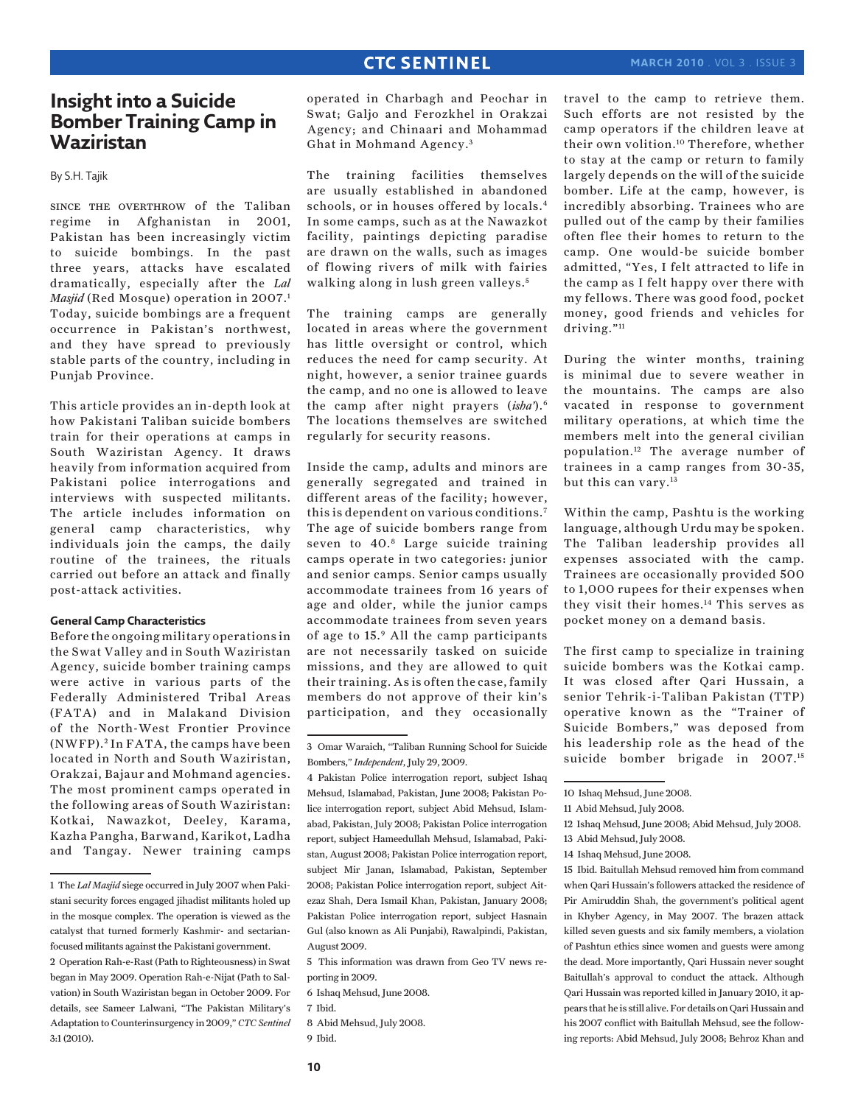#### **march 2010** . Vol 3 . Issue 3

# **Insight into a Suicide Bomber Training Camp in Waziristan**

By S.H. Tajik

since the overthrow of the Taliban regime in Afghanistan in 2001, Pakistan has been increasingly victim to suicide bombings. In the past three years, attacks have escalated dramatically, especially after the *Lal Masjid* (Red Mosque) operation in 2007.<sup>1</sup> Today, suicide bombings are a frequent occurrence in Pakistan's northwest, and they have spread to previously stable parts of the country, including in Punjab Province.

This article provides an in-depth look at how Pakistani Taliban suicide bombers train for their operations at camps in South Waziristan Agency. It draws heavily from information acquired from Pakistani police interrogations and interviews with suspected militants. The article includes information on general camp characteristics, why individuals join the camps, the daily routine of the trainees, the rituals carried out before an attack and finally post-attack activities.

#### **General Camp Characteristics**

Before the ongoing military operations in the Swat Valley and in South Waziristan Agency, suicide bomber training camps were active in various parts of the Federally Administered Tribal Areas (FATA) and in Malakand Division of the North-West Frontier Province (NWFP). 2 In FATA, the camps have been located in North and South Waziristan, Orakzai, Bajaur and Mohmand agencies. The most prominent camps operated in the following areas of South Waziristan: Kotkai, Nawazkot, Deeley, Karama, Kazha Pangha, Barwand, Karikot, Ladha and Tangay. Newer training camps

operated in Charbagh and Peochar in Swat; Galjo and Ferozkhel in Orakzai Agency; and Chinaari and Mohammad Ghat in Mohmand Agency. <sup>3</sup>

The training facilities themselves are usually established in abandoned schools, or in houses offered by locals.4 In some camps, such as at the Nawazkot facility, paintings depicting paradise are drawn on the walls, such as images of flowing rivers of milk with fairies walking along in lush green valleys.<sup>5</sup>

The training camps are generally located in areas where the government has little oversight or control, which reduces the need for camp security. At night, however, a senior trainee guards the camp, and no one is allowed to leave the camp after night prayers (*isha'*).6 The locations themselves are switched regularly for security reasons.

Inside the camp, adults and minors are generally segregated and trained in different areas of the facility; however, this is dependent on various conditions.7 The age of suicide bombers range from seven to 40.8 Large suicide training camps operate in two categories: junior and senior camps. Senior camps usually accommodate trainees from 16 years of age and older, while the junior camps accommodate trainees from seven years of age to 15.9 All the camp participants are not necessarily tasked on suicide missions, and they are allowed to quit their training. As is often the case, family members do not approve of their kin's participation, and they occasionally

5 This information was drawn from Geo TV news reporting in 2009.

6 Ishaq Mehsud, June 2008.

7 Ibid.

8 Abid Mehsud, July 2008. 9 Ibid.

travel to the camp to retrieve them. Such efforts are not resisted by the camp operators if the children leave at their own volition.10 Therefore, whether to stay at the camp or return to family largely depends on the will of the suicide bomber. Life at the camp, however, is incredibly absorbing. Trainees who are pulled out of the camp by their families often flee their homes to return to the camp. One would-be suicide bomber admitted, "Yes, I felt attracted to life in the camp as I felt happy over there with my fellows. There was good food, pocket money, good friends and vehicles for driving."<sup>11</sup>

During the winter months, training is minimal due to severe weather in the mountains. The camps are also vacated in response to government military operations, at which time the members melt into the general civilian population.12 The average number of trainees in a camp ranges from 30-35, but this can vary.13

Within the camp, Pashtu is the working language, although Urdu may be spoken. The Taliban leadership provides all expenses associated with the camp. Trainees are occasionally provided 500 to 1,000 rupees for their expenses when they visit their homes.14 This serves as pocket money on a demand basis.

The first camp to specialize in training suicide bombers was the Kotkai camp. It was closed after Qari Hussain, a senior Tehrik-i-Taliban Pakistan (TTP) operative known as the "Trainer of Suicide Bombers," was deposed from his leadership role as the head of the suicide bomber brigade in 2007.15

14 Ishaq Mehsud, June 2008.

15 Ibid. Baitullah Mehsud removed him from command when Qari Hussain's followers attacked the residence of Pir Amiruddin Shah, the government's political agent in Khyber Agency, in May 2007. The brazen attack killed seven guests and six family members, a violation of Pashtun ethics since women and guests were among the dead. More importantly, Qari Hussain never sought Baitullah's approval to conduct the attack. Although Qari Hussain was reported killed in January 2010, it appears that he is still alive. For details on Qari Hussain and his 2007 conflict with Baitullah Mehsud, see the following reports: Abid Mehsud, July 2008; Behroz Khan and

<sup>1</sup> The *Lal Masjid* siege occurred in July 2007 when Pakistani security forces engaged jihadist militants holed up in the mosque complex. The operation is viewed as the catalyst that turned formerly Kashmir- and sectarianfocused militants against the Pakistani government.

<sup>2</sup> Operation Rah-e-Rast (Path to Righteousness) in Swat began in May 2009. Operation Rah-e-Nijat (Path to Salvation) in South Waziristan began in October 2009. For details, see Sameer Lalwani, "The Pakistan Military's Adaptation to Counterinsurgency in 2009," *CTC Sentinel* 3:1 (2010).

<sup>3</sup> Omar Waraich, "Taliban Running School for Suicide Bombers," *Independent*, July 29, 2009.

<sup>4</sup> Pakistan Police interrogation report, subject Ishaq Mehsud, Islamabad, Pakistan, June 2008; Pakistan Police interrogation report, subject Abid Mehsud, Islamabad, Pakistan, July 2008; Pakistan Police interrogation report, subject Hameedullah Mehsud, Islamabad, Pakistan, August 2008; Pakistan Police interrogation report, subject Mir Janan, Islamabad, Pakistan, September 2008; Pakistan Police interrogation report, subject Aitezaz Shah, Dera Ismail Khan, Pakistan, January 2008; Pakistan Police interrogation report, subject Hasnain Gul (also known as Ali Punjabi), Rawalpindi, Pakistan, August 2009.

<sup>10</sup> Ishaq Mehsud, June 2008.

<sup>11</sup> Abid Mehsud, July 2008.

<sup>12</sup> Ishaq Mehsud, June 2008; Abid Mehsud, July 2008.

<sup>13</sup> Abid Mehsud, July 2008.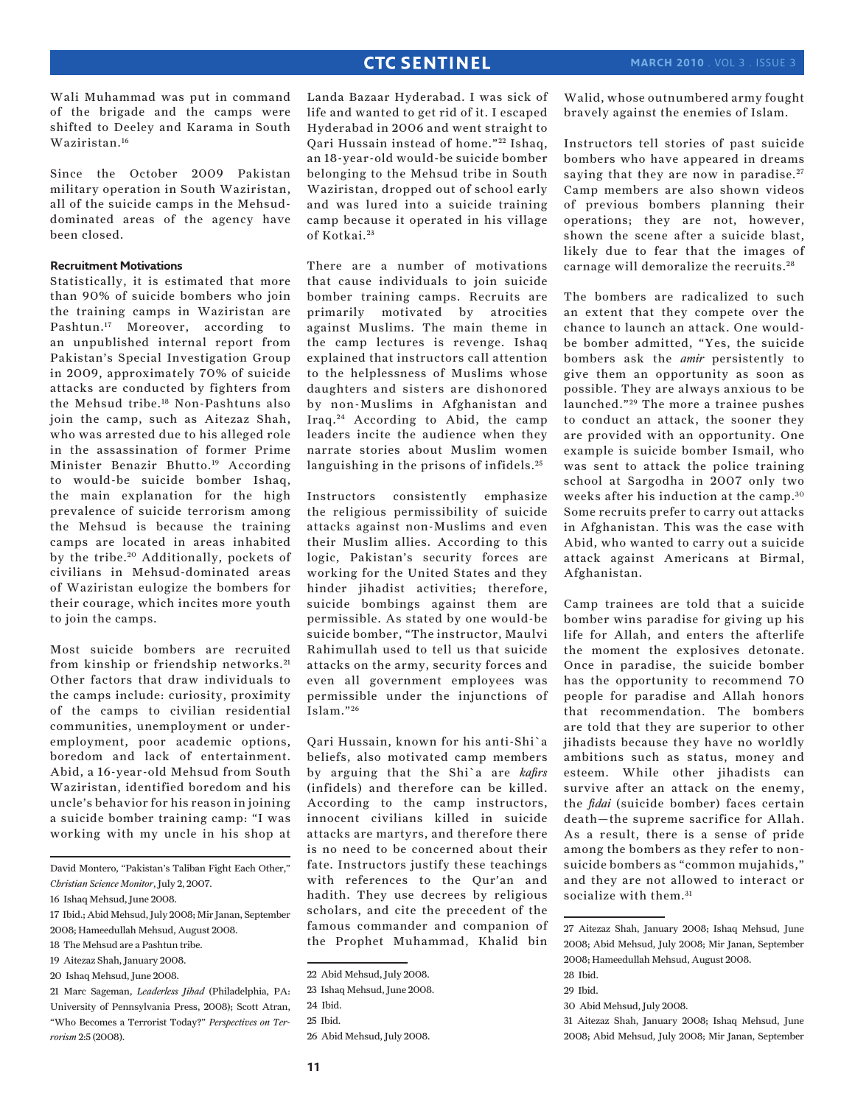Wali Muhammad was put in command of the brigade and the camps were shifted to Deeley and Karama in South Waziristan.16

Since the October 2009 Pakistan military operation in South Waziristan, all of the suicide camps in the Mehsuddominated areas of the agency have been closed.

#### **Recruitment Motivations**

Statistically, it is estimated that more than 90% of suicide bombers who join the training camps in Waziristan are Pashtun.17 Moreover, according to an unpublished internal report from Pakistan's Special Investigation Group in 2009, approximately 70% of suicide attacks are conducted by fighters from the Mehsud tribe.18 Non-Pashtuns also join the camp, such as Aitezaz Shah, who was arrested due to his alleged role in the assassination of former Prime Minister Benazir Bhutto.19 According to would-be suicide bomber Ishaq, the main explanation for the high prevalence of suicide terrorism among the Mehsud is because the training camps are located in areas inhabited by the tribe.<sup>20</sup> Additionally, pockets of civilians in Mehsud-dominated areas of Waziristan eulogize the bombers for their courage, which incites more youth to join the camps.

Most suicide bombers are recruited from kinship or friendship networks. <sup>21</sup> Other factors that draw individuals to the camps include: curiosity, proximity of the camps to civilian residential communities, unemployment or underemployment, poor academic options, boredom and lack of entertainment. Abid, a 16-year-old Mehsud from South Waziristan, identified boredom and his uncle's behavior for his reason in joining a suicide bomber training camp: "I was working with my uncle in his shop at

David Montero, "Pakistan's Taliban Fight Each Other," *Christian Science Monitor*, July 2, 2007.

- 18 The Mehsud are a Pashtun tribe.
- 19 Aitezaz Shah, January 2008.
- 20 Ishaq Mehsud, June 2008.

21 Marc Sageman, *Leaderless Jihad* (Philadelphia, PA: University of Pennsylvania Press, 2008); Scott Atran, "Who Becomes a Terrorist Today?" *Perspectives on Terrorism* 2:5 (2008).

Landa Bazaar Hyderabad. I was sick of life and wanted to get rid of it. I escaped Hyderabad in 2006 and went straight to Qari Hussain instead of home."<sup>22</sup> Ishaq, an 18-year-old would-be suicide bomber belonging to the Mehsud tribe in South Waziristan, dropped out of school early and was lured into a suicide training camp because it operated in his village of Kotkai.<sup>23</sup>

There are a number of motivations that cause individuals to join suicide bomber training camps. Recruits are primarily motivated by atrocities against Muslims. The main theme in the camp lectures is revenge. Ishaq explained that instructors call attention to the helplessness of Muslims whose daughters and sisters are dishonored by non-Muslims in Afghanistan and Iraq. 24 According to Abid, the camp leaders incite the audience when they narrate stories about Muslim women languishing in the prisons of infidels.<sup>25</sup>

Instructors consistently emphasize the religious permissibility of suicide attacks against non-Muslims and even their Muslim allies. According to this logic, Pakistan's security forces are working for the United States and they hinder jihadist activities; therefore, suicide bombings against them are permissible. As stated by one would-be suicide bomber, "The instructor, Maulvi Rahimullah used to tell us that suicide attacks on the army, security forces and even all government employees was permissible under the injunctions of Islam." <sup>26</sup>

Qari Hussain, known for his anti-Shi`a beliefs, also motivated camp members by arguing that the Shi`a are *kafirs* (infidels) and therefore can be killed. According to the camp instructors, innocent civilians killed in suicide attacks are martyrs, and therefore there is no need to be concerned about their fate. Instructors justify these teachings with references to the Qur'an and hadith. They use decrees by religious scholars, and cite the precedent of the famous commander and companion of the Prophet Muhammad, Khalid bin Walid, whose outnumbered army fought bravely against the enemies of Islam.

Instructors tell stories of past suicide bombers who have appeared in dreams saying that they are now in paradise.<sup>27</sup> Camp members are also shown videos of previous bombers planning their operations; they are not, however, shown the scene after a suicide blast, likely due to fear that the images of carnage will demoralize the recruits. <sup>28</sup>

The bombers are radicalized to such an extent that they compete over the chance to launch an attack. One wouldbe bomber admitted, "Yes, the suicide bombers ask the *amir* persistently to give them an opportunity as soon as possible. They are always anxious to be launched."<sup>29</sup> The more a trainee pushes to conduct an attack, the sooner they are provided with an opportunity. One example is suicide bomber Ismail, who was sent to attack the police training school at Sargodha in 2007 only two weeks after his induction at the camp.<sup>30</sup> Some recruits prefer to carry out attacks in Afghanistan. This was the case with Abid, who wanted to carry out a suicide attack against Americans at Birmal, Afghanistan.

Camp trainees are told that a suicide bomber wins paradise for giving up his life for Allah, and enters the afterlife the moment the explosives detonate. Once in paradise, the suicide bomber has the opportunity to recommend 70 people for paradise and Allah honors that recommendation. The bombers are told that they are superior to other jihadists because they have no worldly ambitions such as status, money and esteem. While other jihadists can survive after an attack on the enemy, the *fidai* (suicide bomber) faces certain death—the supreme sacrifice for Allah. As a result, there is a sense of pride among the bombers as they refer to nonsuicide bombers as "common mujahids," and they are not allowed to interact or socialize with them.<sup>31</sup>

30 Abid Mehsud, July 2008.

<sup>16</sup> Ishaq Mehsud, June 2008.

<sup>17</sup> Ibid.; Abid Mehsud, July 2008; Mir Janan, September 2008; Hameedullah Mehsud, August 2008.

<sup>22</sup> Abid Mehsud, July 2008.

<sup>23</sup> Ishaq Mehsud, June 2008.

<sup>24</sup> Ibid.

<sup>25</sup> Ibid.

<sup>26</sup> Abid Mehsud, July 2008.

<sup>27</sup> Aitezaz Shah, January 2008; Ishaq Mehsud, June 2008; Abid Mehsud, July 2008; Mir Janan, September 2008; Hameedullah Mehsud, August 2008.

<sup>28</sup> Ibid.

<sup>29</sup> Ibid.

<sup>31</sup> Aitezaz Shah, January 2008; Ishaq Mehsud, June 2008; Abid Mehsud, July 2008; Mir Janan, September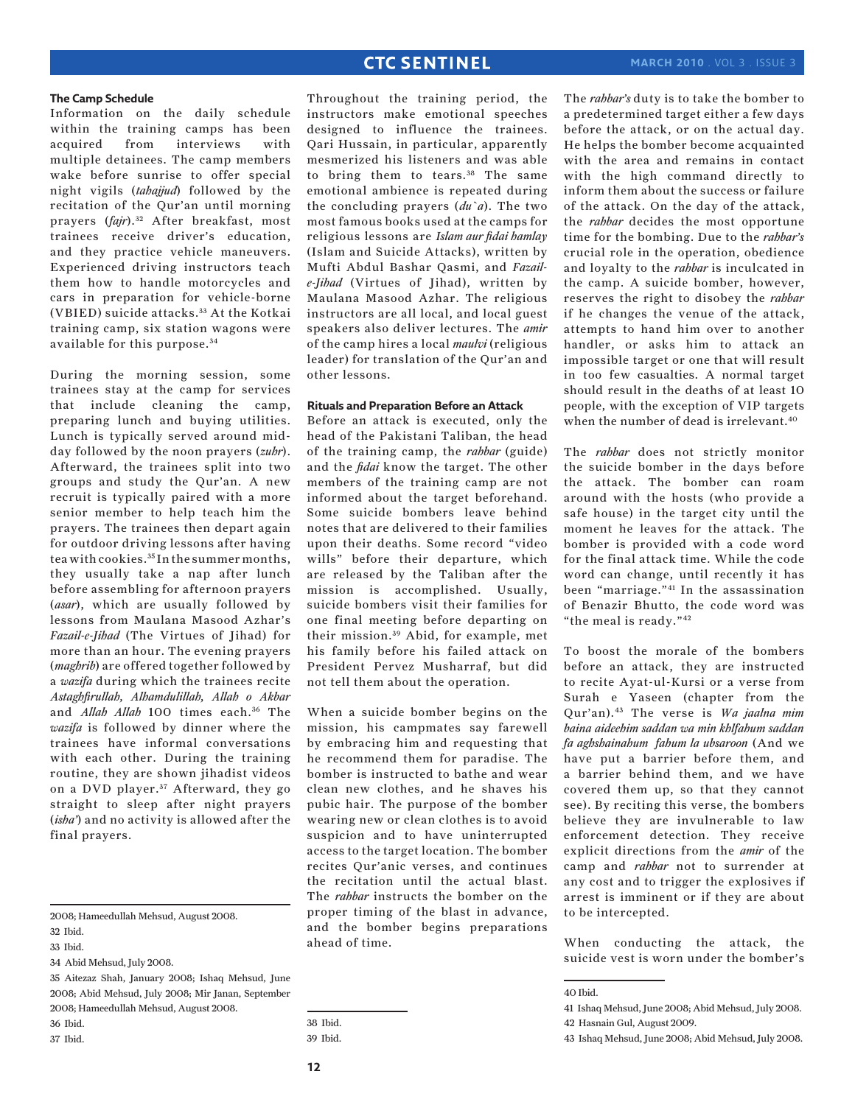The *rahbar's* duty is to take the bomber to a predetermined target either a few days before the attack, or on the actual day. He helps the bomber become acquainted with the area and remains in contact

#### **The Camp Schedule**

Information on the daily schedule within the training camps has been acquired from interviews with multiple detainees. The camp members wake before sunrise to offer special night vigils (*tahajjud*) followed by the recitation of the Qur'an until morning prayers (*fajr*). 32 After breakfast, most trainees receive driver's education, and they practice vehicle maneuvers. Experienced driving instructors teach them how to handle motorcycles and cars in preparation for vehicle-borne (VBIED) suicide attacks. 33 At the Kotkai training camp, six station wagons were available for this purpose. <sup>34</sup>

During the morning session, some trainees stay at the camp for services that include cleaning the camp, preparing lunch and buying utilities. Lunch is typically served around midday followed by the noon prayers (*zuhr*). Afterward, the trainees split into two groups and study the Qur'an. A new recruit is typically paired with a more senior member to help teach him the prayers. The trainees then depart again for outdoor driving lessons after having tea with cookies.35 In the summer months, they usually take a nap after lunch before assembling for afternoon prayers (*asar*), which are usually followed by lessons from Maulana Masood Azhar's *Fazail-e-Jihad* (The Virtues of Jihad) for more than an hour. The evening prayers (*maghrib*) are offered together followed by a *wazifa* during which the trainees recite *Astaghfirullah, Alhamdulillah, Allah o Akbar* and *Allah Allah* 100 times each.<sup>36</sup> The *wazifa* is followed by dinner where the trainees have informal conversations with each other. During the training routine, they are shown jihadist videos on a DVD player.<sup>37</sup> Afterward, they go straight to sleep after night prayers (*isha'*) and no activity is allowed after the final prayers.

Throughout the training period, the instructors make emotional speeches designed to influence the trainees. Qari Hussain, in particular, apparently mesmerized his listeners and was able to bring them to tears.<sup>38</sup> The same emotional ambience is repeated during the concluding prayers (*du`a*). The two most famous books used at the camps for religious lessons are *Islam aur fidai hamlay* (Islam and Suicide Attacks), written by Mufti Abdul Bashar Qasmi, and *Fazaile-Jihad* (Virtues of Jihad), written by Maulana Masood Azhar. The religious instructors are all local, and local guest speakers also deliver lectures. The *amir* of the camp hires a local *maulvi* (religious leader) for translation of the Qur'an and other lessons.

### **Rituals and Preparation Before an Attack**

Before an attack is executed, only the head of the Pakistani Taliban, the head of the training camp, the *rahbar* (guide) and the *fidai* know the target. The other members of the training camp are not informed about the target beforehand. Some suicide bombers leave behind notes that are delivered to their families upon their deaths. Some record "video wills" before their departure, which are released by the Taliban after the mission is accomplished. Usually, suicide bombers visit their families for one final meeting before departing on their mission. 39 Abid, for example, met his family before his failed attack on President Pervez Musharraf, but did not tell them about the operation.

When a suicide bomber begins on the mission, his campmates say farewell by embracing him and requesting that he recommend them for paradise. The bomber is instructed to bathe and wear clean new clothes, and he shaves his pubic hair. The purpose of the bomber wearing new or clean clothes is to avoid suspicion and to have uninterrupted access to the target location. The bomber recites Qur'anic verses, and continues the recitation until the actual blast. The *rahbar* instructs the bomber on the proper timing of the blast in advance, and the bomber begins preparations ahead of time.

moment he leaves for the attack. The bomber is provided with a code word for the final attack time. While the code word can change, until recently it has been "marriage."41 In the assassination of Benazir Bhutto, the code word was "the meal is ready."42 To boost the morale of the bombers before an attack, they are instructed to recite Ayat-ul-Kursi or a verse from Surah e Yaseen (chapter from the Qur'an).43 The verse is *Wa jaalna mim baina aideehim saddan wa min khlfahum saddan* 

*fa aghshainahum fahum la ubsaroon* (And we have put a barrier before them, and a barrier behind them, and we have covered them up, so that they cannot see). By reciting this verse, the bombers believe they are invulnerable to law enforcement detection. They receive explicit directions from the *amir* of the camp and *rahbar* not to surrender at any cost and to trigger the explosives if arrest is imminent or if they are about to be intercepted.

When conducting the attack, the suicide vest is worn under the bomber's

with the high command directly to inform them about the success or failure of the attack. On the day of the attack, the *rahbar* decides the most opportune time for the bombing. Due to the *rahbar's* crucial role in the operation, obedience and loyalty to the *rahbar* is inculcated in the camp. A suicide bomber, however, reserves the right to disobey the *rahbar* if he changes the venue of the attack, attempts to hand him over to another handler, or asks him to attack an impossible target or one that will result in too few casualties. A normal target should result in the deaths of at least 10 people, with the exception of VIP targets when the number of dead is irrelevant.40 The *rahbar* does not strictly monitor the suicide bomber in the days before the attack. The bomber can roam

around with the hosts (who provide a safe house) in the target city until the

<sup>2008;</sup> Hameedullah Mehsud, August 2008.

<sup>32</sup> Ibid.

<sup>33</sup> Ibid.

<sup>34</sup> Abid Mehsud, July 2008.

<sup>35</sup> Aitezaz Shah, January 2008; Ishaq Mehsud, June 2008; Abid Mehsud, July 2008; Mir Janan, September 2008; Hameedullah Mehsud, August 2008. 36 Ibid.

<sup>37</sup> Ibid.

<sup>38</sup> Ibid.

<sup>39</sup> Ibid.

<sup>40</sup> Ibid.

<sup>41</sup> Ishaq Mehsud, June 2008; Abid Mehsud, July 2008. 42 Hasnain Gul, August 2009.

<sup>43</sup> Ishaq Mehsud, June 2008; Abid Mehsud, July 2008.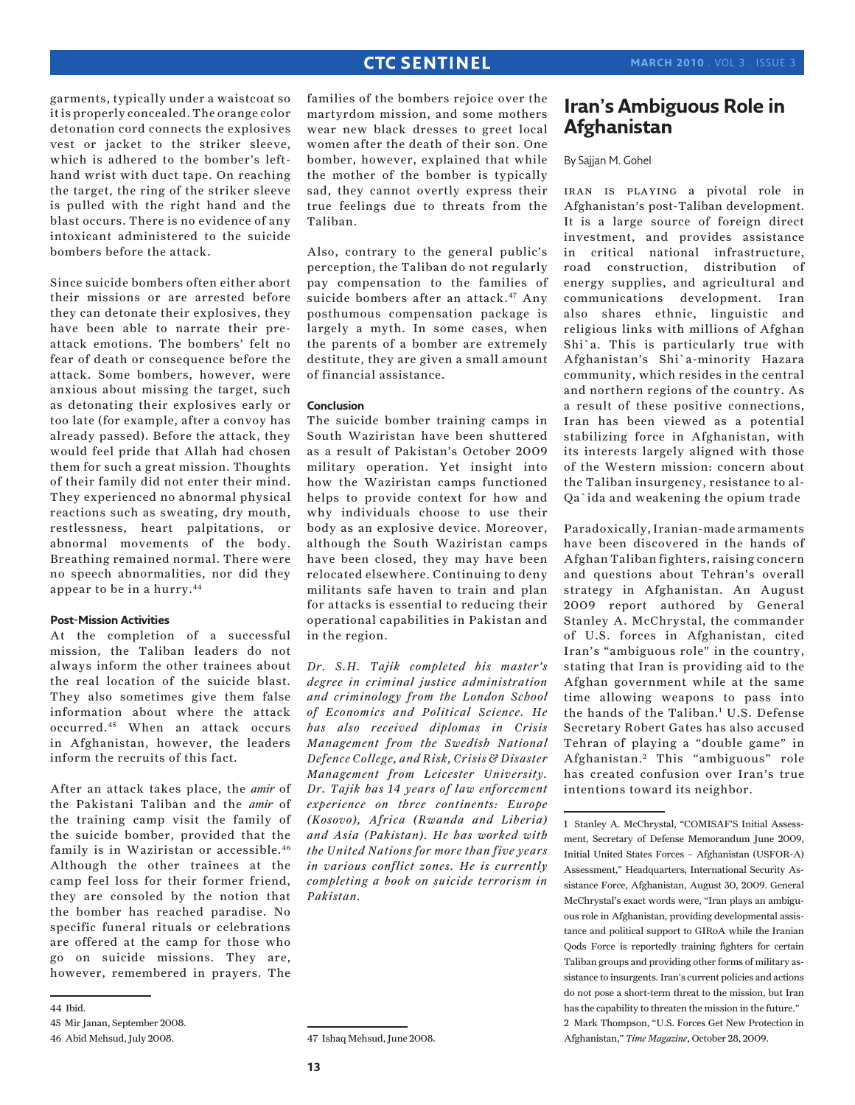garments, typically under a waistcoat so it is properly concealed. The orange color detonation cord connects the explosives vest or jacket to the striker sleeve, which is adhered to the bomber's lefthand wrist with duct tape. On reaching the target, the ring of the striker sleeve is pulled with the right hand and the blast occurs. There is no evidence of any intoxicant administered to the suicide bombers before the attack.

Since suicide bombers often either abort their missions or are arrested before they can detonate their explosives, they have been able to narrate their preattack emotions. The bombers' felt no fear of death or consequence before the attack. Some bombers, however, were anxious about missing the target, such as detonating their explosives early or too late (for example, after a convoy has already passed). Before the attack, they would feel pride that Allah had chosen them for such a great mission. Thoughts of their family did not enter their mind. They experienced no abnormal physical reactions such as sweating, dry mouth, restlessness, heart palpitations, or abnormal movements of the body. Breathing remained normal. There were no speech abnormalities, nor did they appear to be in a hurry.44

### **Post-Mission Activities**

At the completion of a successful mission, the Taliban leaders do not always inform the other trainees about the real location of the suicide blast. They also sometimes give them false information about where the attack occurred.45 When an attack occurs in Afghanistan, however, the leaders inform the recruits of this fact.

After an attack takes place, the *amir* of the Pakistani Taliban and the *amir* of the training camp visit the family of the suicide bomber, provided that the family is in Waziristan or accessible.<sup>46</sup> Although the other trainees at the camp feel loss for their former friend, they are consoled by the notion that the bomber has reached paradise. No specific funeral rituals or celebrations are offered at the camp for those who go on suicide missions. They are, however, remembered in prayers. The

families of the bombers rejoice over the martyrdom mission, and some mothers wear new black dresses to greet local women after the death of their son. One bomber, however, explained that while the mother of the bomber is typically sad, they cannot overtly express their true feelings due to threats from the Taliban.

Also, contrary to the general public's perception, the Taliban do not regularly pay compensation to the families of suicide bombers after an attack.<sup>47</sup> Any posthumous compensation package is largely a myth. In some cases, when the parents of a bomber are extremely destitute, they are given a small amount of financial assistance.

#### **Conclusion**

The suicide bomber training camps in South Waziristan have been shuttered as a result of Pakistan's October 2009 military operation. Yet insight into how the Waziristan camps functioned helps to provide context for how and why individuals choose to use their body as an explosive device. Moreover, although the South Waziristan camps have been closed, they may have been relocated elsewhere. Continuing to deny militants safe haven to train and plan for attacks is essential to reducing their operational capabilities in Pakistan and in the region.

*Dr. S.H. Tajik completed his master's degree in criminal justice administration and criminology from the London School of Economics and Political Science. He has also received diplomas in Crisis Management from the Swedish National Defence College, and Risk, Crisis & Disaster Management from Leicester University. Dr. Tajik has 14 years of law enforcement experience on three continents: Europe (Kosovo), Africa (Rwanda and Liberia) and Asia (Pakistan). He has worked with the United Nations for more than five years in various conflict zones. He is currently completing a book on suicide terrorism in Pakistan.*

# **Iran's Ambiguous Role in Afghanistan**

### By Sajjan M. Gohel

iran is playing a pivotal role in Afghanistan's post-Taliban development. It is a large source of foreign direct investment, and provides assistance in critical national infrastructure, road construction, distribution of energy supplies, and agricultural and communications development. Iran also shares ethnic, linguistic and religious links with millions of Afghan Shi`a. This is particularly true with Afghanistan's Shi`a-minority Hazara community, which resides in the central and northern regions of the country. As a result of these positive connections, Iran has been viewed as a potential stabilizing force in Afghanistan, with its interests largely aligned with those of the Western mission: concern about the Taliban insurgency, resistance to al-Qa`ida and weakening the opium trade

Paradoxically, Iranian-made armaments have been discovered in the hands of Afghan Taliban fighters, raising concern and questions about Tehran's overall strategy in Afghanistan. An August 2009 report authored by General Stanley A. McChrystal, the commander of U.S. forces in Afghanistan, cited Iran's "ambiguous role" in the country, stating that Iran is providing aid to the Afghan government while at the same time allowing weapons to pass into the hands of the Taliban.<sup>1</sup> U.S. Defense Secretary Robert Gates has also accused Tehran of playing a "double game" in Afghanistan.<sup>2</sup> This "ambiguous" role has created confusion over Iran's true intentions toward its neighbor.

<sup>44</sup> Ibid.

<sup>45</sup> Mir Janan, September 2008.

<sup>46</sup> Abid Mehsud, July 2008.

<sup>47</sup> Ishaq Mehsud, June 2008.

<sup>1</sup> Stanley A. McChrystal, "COMISAF'S Initial Assessment, Secretary of Defense Memorandum June 2009, Initial United States Forces – Afghanistan (USFOR-A) Assessment," Headquarters, International Security Assistance Force, Afghanistan, August 30, 2009. General McChrystal's exact words were, "Iran plays an ambiguous role in Afghanistan, providing developmental assistance and political support to GIRoA while the Iranian Qods Force is reportedly training fighters for certain Taliban groups and providing other forms of military assistance to insurgents. Iran's current policies and actions do not pose a short-term threat to the mission, but Iran has the capability to threaten the mission in the future." 2 Mark Thompson, "U.S. Forces Get New Protection in Afghanistan," *Time Magazine*, October 28, 2009.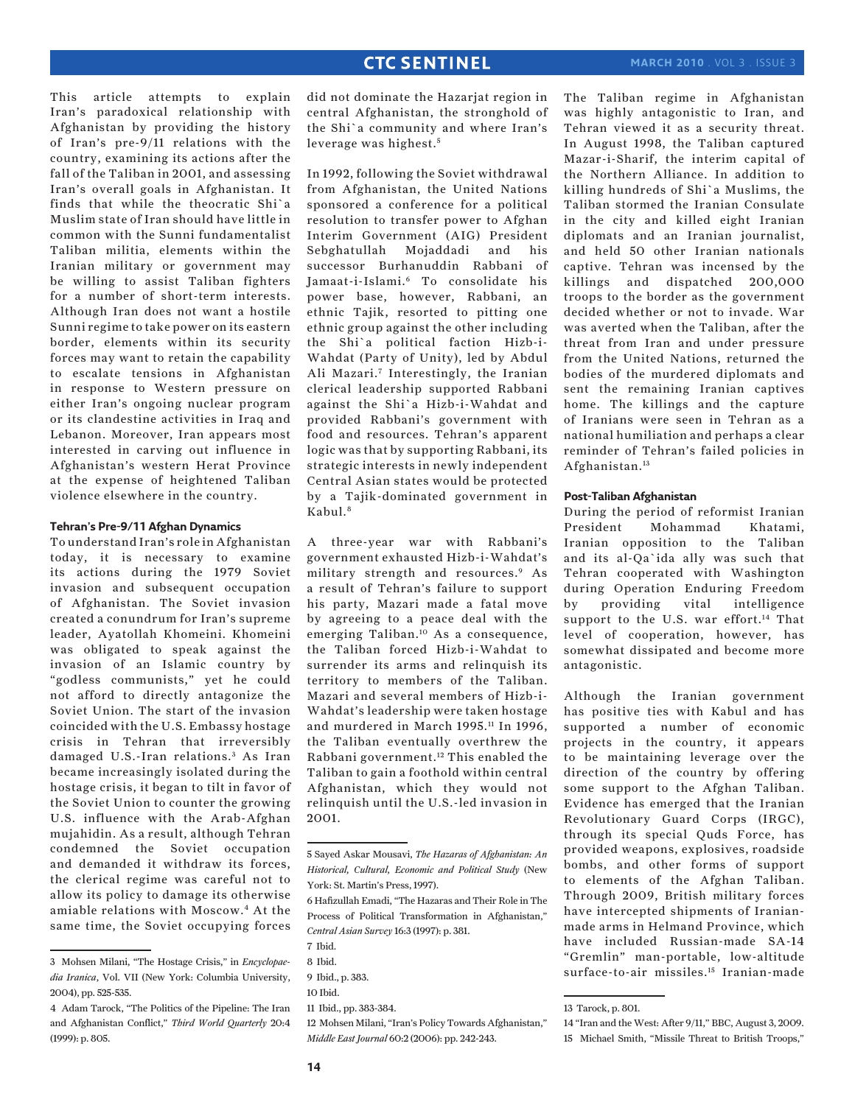This article attempts to explain Iran's paradoxical relationship with Afghanistan by providing the history of Iran's pre-9/11 relations with the country, examining its actions after the fall of the Taliban in 2001, and assessing Iran's overall goals in Afghanistan. It finds that while the theocratic Shi`a Muslim state of Iran should have little in common with the Sunni fundamentalist Taliban militia, elements within the Iranian military or government may be willing to assist Taliban fighters for a number of short-term interests. Although Iran does not want a hostile Sunni regime to take power on its eastern border, elements within its security forces may want to retain the capability to escalate tensions in Afghanistan in response to Western pressure on either Iran's ongoing nuclear program or its clandestine activities in Iraq and Lebanon. Moreover, Iran appears most interested in carving out influence in Afghanistan's western Herat Province at the expense of heightened Taliban violence elsewhere in the country.

#### **Tehran's Pre-9/11 Afghan Dynamics**

To understand Iran's role in Afghanistan today, it is necessary to examine its actions during the 1979 Soviet invasion and subsequent occupation of Afghanistan. The Soviet invasion created a conundrum for Iran's supreme leader, Ayatollah Khomeini. Khomeini was obligated to speak against the invasion of an Islamic country by "godless communists," yet he could not afford to directly antagonize the Soviet Union. The start of the invasion coincided with the U.S. Embassy hostage crisis in Tehran that irreversibly damaged U.S.-Iran relations.<sup>3</sup> As Iran became increasingly isolated during the hostage crisis, it began to tilt in favor of the Soviet Union to counter the growing U.S. influence with the Arab-Afghan mujahidin. As a result, although Tehran condemned the Soviet occupation and demanded it withdraw its forces, the clerical regime was careful not to allow its policy to damage its otherwise amiable relations with Moscow.4 At the same time, the Soviet occupying forces did not dominate the Hazarjat region in central Afghanistan, the stronghold of the Shi`a community and where Iran's leverage was highest.<sup>5</sup>

In 1992, following the Soviet withdrawal from Afghanistan, the United Nations sponsored a conference for a political resolution to transfer power to Afghan Interim Government (AIG) President Sebghatullah Mojaddadi and his successor Burhanuddin Rabbani of Jamaat-i-Islami.6 To consolidate his power base, however, Rabbani, an ethnic Tajik, resorted to pitting one ethnic group against the other including the Shi`a political faction Hizb-i-Wahdat (Party of Unity), led by Abdul Ali Mazari.7 Interestingly, the Iranian clerical leadership supported Rabbani against the Shi`a Hizb-i-Wahdat and provided Rabbani's government with food and resources. Tehran's apparent logic was that by supporting Rabbani, its strategic interests in newly independent Central Asian states would be protected by a Tajik-dominated government in Kabul.<sup>8</sup>

A three-year war with Rabbani's government exhausted Hizb-i-Wahdat's military strength and resources.9 As a result of Tehran's failure to support his party, Mazari made a fatal move by agreeing to a peace deal with the emerging Taliban.10 As a consequence, the Taliban forced Hizb-i-Wahdat to surrender its arms and relinquish its territory to members of the Taliban. Mazari and several members of Hizb-i-Wahdat's leadership were taken hostage and murdered in March 1995.<sup>11</sup> In 1996, the Taliban eventually overthrew the Rabbani government.12 This enabled the Taliban to gain a foothold within central Afghanistan, which they would not relinquish until the U.S.-led invasion in 2001.

12 Mohsen Milani, "Iran's Policy Towards Afghanistan," *Middle East Journal* 60:2 (2006): pp. 242-243.

The Taliban regime in Afghanistan was highly antagonistic to Iran, and Tehran viewed it as a security threat. In August 1998, the Taliban captured Mazar-i-Sharif, the interim capital of the Northern Alliance. In addition to killing hundreds of Shi`a Muslims, the Taliban stormed the Iranian Consulate in the city and killed eight Iranian diplomats and an Iranian journalist, and held 50 other Iranian nationals captive. Tehran was incensed by the killings and dispatched 200,000 troops to the border as the government decided whether or not to invade. War was averted when the Taliban, after the threat from Iran and under pressure from the United Nations, returned the bodies of the murdered diplomats and sent the remaining Iranian captives home. The killings and the capture of Iranians were seen in Tehran as a national humiliation and perhaps a clear reminder of Tehran's failed policies in Afghanistan.13

### **Post-Taliban Afghanistan**

During the period of reformist Iranian President Mohammad Khatami, Iranian opposition to the Taliban and its al-Qa`ida ally was such that Tehran cooperated with Washington during Operation Enduring Freedom by providing vital intelligence support to the U.S. war effort.<sup>14</sup> That level of cooperation, however, has somewhat dissipated and become more antagonistic.

Although the Iranian government has positive ties with Kabul and has supported a number of economic projects in the country, it appears to be maintaining leverage over the direction of the country by offering some support to the Afghan Taliban. Evidence has emerged that the Iranian Revolutionary Guard Corps (IRGC), through its special Quds Force, has provided weapons, explosives, roadside bombs, and other forms of support to elements of the Afghan Taliban. Through 2009, British military forces have intercepted shipments of Iranianmade arms in Helmand Province, which have included Russian-made SA-14 "Gremlin" man-portable, low-altitude surface-to-air missiles.15 Iranian-made

<sup>3</sup> Mohsen Milani, "The Hostage Crisis," in *Encyclopaedia Iranica*, Vol. VII (New York: Columbia University, 2004), pp. 525-535.

<sup>4</sup> Adam Tarock, "The Politics of the Pipeline: The Iran and Afghanistan Conflict," *Third World Quarterly* 20:4 (1999): p. 805.

<sup>5</sup> Sayed Askar Mousavi, *The Hazaras of Afghanistan: An Historical, Cultural, Economic and Political Study* (New York: St. Martin's Press, 1997).

<sup>6</sup> Hafizullah Emadi, "The Hazaras and Their Role in The Process of Political Transformation in Afghanistan," *Central Asian Survey* 16:3 (1997): p. 381.

<sup>7</sup> Ibid.

<sup>8</sup> Ibid.

<sup>9</sup> Ibid., p. 383. 10 Ibid.

<sup>11</sup> Ibid., pp. 383-384.

<sup>13</sup> Tarock, p. 801.

<sup>14 &</sup>quot;Iran and the West: After 9/11," BBC, August 3, 2009.

<sup>15</sup> Michael Smith, "Missile Threat to British Troops,"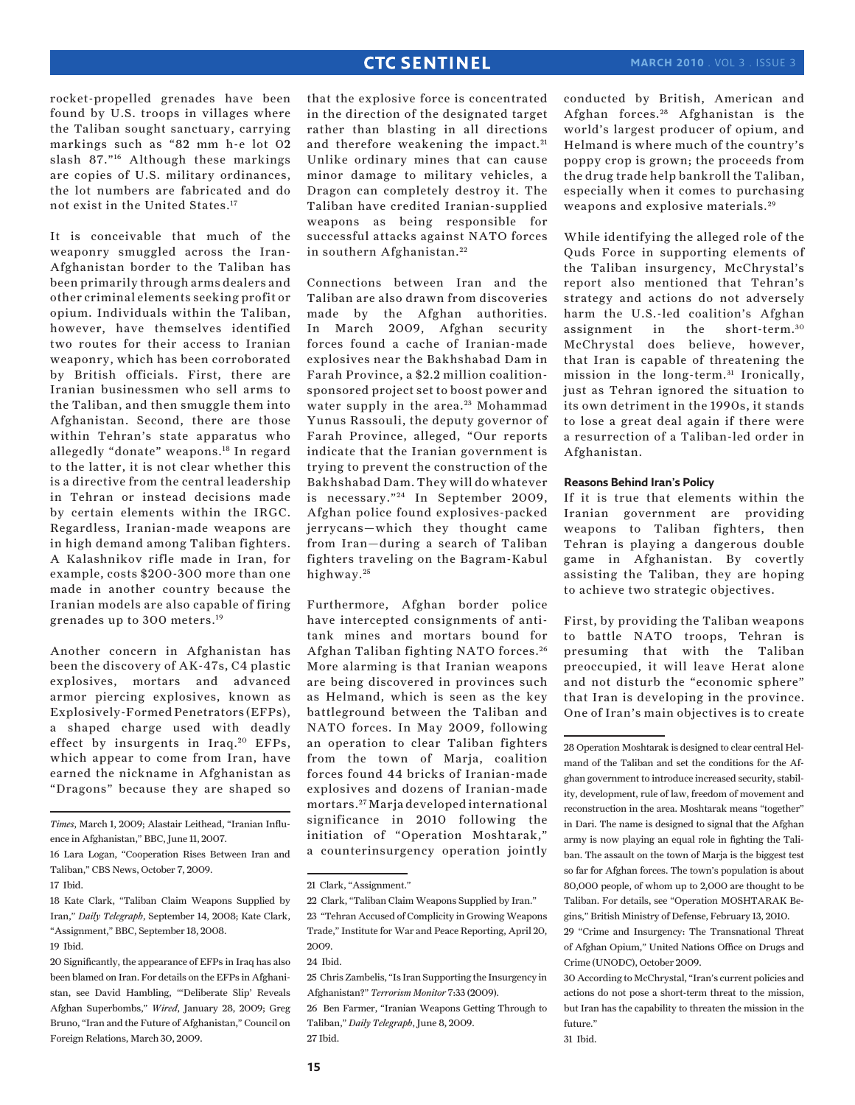rocket-propelled grenades have been found by U.S. troops in villages where the Taliban sought sanctuary, carrying markings such as "82 mm h-e lot 02 slash 87."16 Although these markings are copies of U.S. military ordinances, the lot numbers are fabricated and do not exist in the United States.17

It is conceivable that much of the weaponry smuggled across the Iran-Afghanistan border to the Taliban has been primarily through arms dealers and other criminal elements seeking profit or opium. Individuals within the Taliban, however, have themselves identified two routes for their access to Iranian weaponry, which has been corroborated by British officials. First, there are Iranian businessmen who sell arms to the Taliban, and then smuggle them into Afghanistan. Second, there are those within Tehran's state apparatus who allegedly "donate" weapons.18 In regard to the latter, it is not clear whether this is a directive from the central leadership in Tehran or instead decisions made by certain elements within the IRGC. Regardless, Iranian-made weapons are in high demand among Taliban fighters. A Kalashnikov rifle made in Iran, for example, costs \$200-300 more than one made in another country because the Iranian models are also capable of firing grenades up to 300 meters.19

Another concern in Afghanistan has been the discovery of AK-47s, C4 plastic explosives, mortars and advanced armor piercing explosives, known as Explosively-Formed Penetrators (EFPs), a shaped charge used with deadly effect by insurgents in Iraq.<sup>20</sup> EFPs, which appear to come from Iran, have earned the nickname in Afghanistan as "Dragons" because they are shaped so

*Times*, March 1, 2009; Alastair Leithead, "Iranian Influence in Afghanistan," BBC, June 11, 2007.

18 Kate Clark, "Taliban Claim Weapons Supplied by Iran," *Daily Telegraph*, September 14, 2008; Kate Clark, "Assignment," BBC, September 18, 2008. 19 Ibid.

20 Significantly, the appearance of EFPs in Iraq has also been blamed on Iran. For details on the EFPs in Afghanistan, see David Hambling, "'Deliberate Slip' Reveals Afghan Superbombs," *Wired*, January 28, 2009; Greg Bruno, "Iran and the Future of Afghanistan," Council on Foreign Relations, March 30, 2009.

that the explosive force is concentrated in the direction of the designated target rather than blasting in all directions and therefore weakening the impact. 21 Unlike ordinary mines that can cause minor damage to military vehicles, a Dragon can completely destroy it. The Taliban have credited Iranian-supplied weapons as being responsible for successful attacks against NATO forces in southern Afghanistan.<sup>22</sup>

Connections between Iran and the Taliban are also drawn from discoveries made by the Afghan authorities. In March 2009, Afghan security forces found a cache of Iranian-made explosives near the Bakhshabad Dam in Farah Province, a \$2.2 million coalitionsponsored project set to boost power and water supply in the area.<sup>23</sup> Mohammad Yunus Rassouli, the deputy governor of Farah Province, alleged, "Our reports indicate that the Iranian government is trying to prevent the construction of the Bakhshabad Dam. They will do whatever is necessary."<sup>24</sup> In September 2009, Afghan police found explosives-packed jerrycans—which they thought came from Iran—during a search of Taliban fighters traveling on the Bagram-Kabul highway.<sup>25</sup>

Furthermore, Afghan border police have intercepted consignments of antitank mines and mortars bound for Afghan Taliban fighting NATO forces. <sup>26</sup> More alarming is that Iranian weapons are being discovered in provinces such as Helmand, which is seen as the key battleground between the Taliban and NATO forces. In May 2009, following an operation to clear Taliban fighters from the town of Marja, coalition forces found 44 bricks of Iranian-made explosives and dozens of Iranian-made mortars. 27 Marja developed international significance in 2010 following the initiation of "Operation Moshtarak," a counterinsurgency operation jointly

26 Ben Farmer, "Iranian Weapons Getting Through to Taliban," *Daily Telegraph*, June 8, 2009. 27 Ibid.

conducted by British, American and Afghan forces. 28 Afghanistan is the world's largest producer of opium, and Helmand is where much of the country's poppy crop is grown; the proceeds from the drug trade help bankroll the Taliban, especially when it comes to purchasing weapons and explosive materials. 29

While identifying the alleged role of the Quds Force in supporting elements of the Taliban insurgency, McChrystal's report also mentioned that Tehran's strategy and actions do not adversely harm the U.S.-led coalition's Afghan assignment in the short-term. <sup>30</sup> McChrystal does believe, however, that Iran is capable of threatening the mission in the long-term.<sup>31</sup> Ironically, just as Tehran ignored the situation to its own detriment in the 1990s, it stands to lose a great deal again if there were a resurrection of a Taliban-led order in Afghanistan.

#### **Reasons Behind Iran's Policy**

If it is true that elements within the Iranian government are providing weapons to Taliban fighters, then Tehran is playing a dangerous double game in Afghanistan. By covertly assisting the Taliban, they are hoping to achieve two strategic objectives.

First, by providing the Taliban weapons to battle NATO troops, Tehran is presuming that with the Taliban preoccupied, it will leave Herat alone and not disturb the "economic sphere" that Iran is developing in the province. One of Iran's main objectives is to create

28 Operation Moshtarak is designed to clear central Helmand of the Taliban and set the conditions for the Afghan government to introduce increased security, stability, development, rule of law, freedom of movement and reconstruction in the area. Moshtarak means "together" in Dari. The name is designed to signal that the Afghan army is now playing an equal role in fighting the Taliban. The assault on the town of Marja is the biggest test so far for Afghan forces. The town's population is about 80,000 people, of whom up to 2,000 are thought to be Taliban. For details, see "Operation MOSHTARAK Begins," British Ministry of Defense, February 13, 2010.

29 "Crime and Insurgency: The Transnational Threat of Afghan Opium," United Nations Office on Drugs and Crime (UNODC), October 2009.

<sup>16</sup> Lara Logan, "Cooperation Rises Between Iran and Taliban," CBS News, October 7, 2009.

<sup>17</sup> Ibid.

<sup>21</sup> Clark, "Assignment."

<sup>22</sup> Clark, "Taliban Claim Weapons Supplied by Iran."

<sup>23 &</sup>quot;Tehran Accused of Complicity in Growing Weapons Trade," Institute for War and Peace Reporting, April 20, 2009.

<sup>24</sup> Ibid.

<sup>25</sup> Chris Zambelis, "Is Iran Supporting the Insurgency in Afghanistan?" *Terrorism Monitor* 7:33 (2009).

<sup>30</sup> According to McChrystal, "Iran's current policies and actions do not pose a short-term threat to the mission, but Iran has the capability to threaten the mission in the future."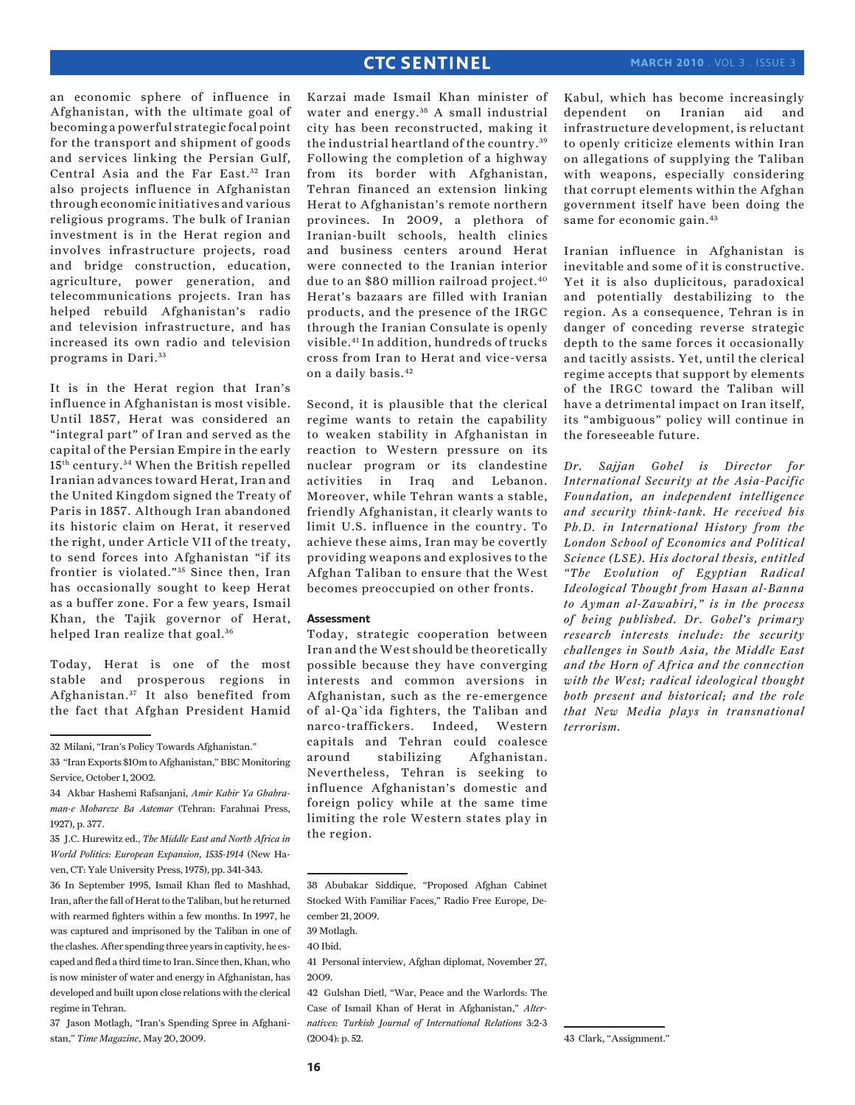an economic sphere of influence in Afghanistan, with the ultimate goal of becoming a powerful strategic focal point for the transport and shipment of goods and services linking the Persian Gulf, Central Asia and the Far East.<sup>32</sup> Iran also projects influence in Afghanistan through economic initiatives and various religious programs. The bulk of Iranian investment is in the Herat region and involves infrastructure projects, road and bridge construction, education, agriculture, power generation, and telecommunications projects. Iran has helped rebuild Afghanistan's radio and television infrastructure, and has increased its own radio and television programs in Dari.<sup>33</sup>

It is in the Herat region that Iran's influence in Afghanistan is most visible. Until 1857, Herat was considered an "integral part" of Iran and served as the capital of the Persian Empire in the early 15th century. 34 When the British repelled Iranian advances toward Herat, Iran and the United Kingdom signed the Treaty of Paris in 1857. Although Iran abandoned its historic claim on Herat, it reserved the right, under Article VII of the treaty, to send forces into Afghanistan "if its frontier is violated."<sup>35</sup> Since then, Iran has occasionally sought to keep Herat as a buffer zone. For a few years, Ismail Khan, the Tajik governor of Herat, helped Iran realize that goal.<sup>36</sup>

Today, Herat is one of the most stable and prosperous regions in Afghanistan. 37 It also benefited from the fact that Afghan President Hamid

32 Milani, "Iran's Policy Towards Afghanistan."

37 Jason Motlagh, "Iran's Spending Spree in Afghanistan," *Time Magazine*, May 20, 2009.

Karzai made Ismail Khan minister of water and energy.<sup>38</sup> A small industrial city has been reconstructed, making it the industrial heartland of the country. <sup>39</sup> Following the completion of a highway from its border with Afghanistan, Tehran financed an extension linking Herat to Afghanistan's remote northern provinces. In 2009, a plethora of Iranian-built schools, health clinics and business centers around Herat were connected to the Iranian interior due to an \$80 million railroad project.<sup>40</sup> Herat's bazaars are filled with Iranian products, and the presence of the IRGC through the Iranian Consulate is openly visible.41 In addition, hundreds of trucks cross from Iran to Herat and vice-versa on a daily basis.42

Second, it is plausible that the clerical regime wants to retain the capability to weaken stability in Afghanistan in reaction to Western pressure on its nuclear program or its clandestine activities in Iraq and Lebanon. Moreover, while Tehran wants a stable, friendly Afghanistan, it clearly wants to limit U.S. influence in the country. To achieve these aims, Iran may be covertly providing weapons and explosives to the Afghan Taliban to ensure that the West becomes preoccupied on other fronts.

### **Assessment**

Today, strategic cooperation between Iran and the West should be theoretically possible because they have converging interests and common aversions in Afghanistan, such as the re-emergence of al-Qa`ida fighters, the Taliban and narco-traffickers. Indeed, Western capitals and Tehran could coalesce around stabilizing Afghanistan. Nevertheless, Tehran is seeking to influence Afghanistan's domestic and foreign policy while at the same time limiting the role Western states play in the region.

Kabul, which has become increasingly dependent on Iranian aid and infrastructure development, is reluctant to openly criticize elements within Iran on allegations of supplying the Taliban with weapons, especially considering that corrupt elements within the Afghan government itself have been doing the same for economic gain.<sup>43</sup>

Iranian influence in Afghanistan is inevitable and some of it is constructive. Yet it is also duplicitous, paradoxical and potentially destabilizing to the region. As a consequence, Tehran is in danger of conceding reverse strategic depth to the same forces it occasionally and tacitly assists. Yet, until the clerical regime accepts that support by elements of the IRGC toward the Taliban will have a detrimental impact on Iran itself, its "ambiguous" policy will continue in the foreseeable future.

*Dr. Sajjan Gohel is Director for International Security at the Asia-Pacific Foundation, an independent intelligence and security think-tank. He received his Ph.D. in International History from the London School of Economics and Political Science (LSE). His doctoral thesis, entitled "The Evolution of Egyptian Radical Ideological Thought from Hasan al-Banna to Ayman al-Zawahiri," is in the process of being published. Dr. Gohel's primary research interests include: the security challenges in South Asia, the Middle East and the Horn of Africa and the connection with the West; radical ideological thought both present and historical; and the role that New Media plays in transnational terrorism.*

<sup>33 &</sup>quot;Iran Exports \$10m to Afghanistan," BBC Monitoring Service, October 1, 2002.

<sup>34</sup> Akbar Hashemi Rafsanjani, *Amir Kabir Ya Ghahraman-e Mobareze Ba Astemar* (Tehran: Farahnai Press, 1927), p. 377.

<sup>35</sup> J.C. Hurewitz ed., *The Middle East and North Africa in World Politics: European Expansion, 1535-1914* (New Haven, CT: Yale University Press, 1975), pp. 341-343.

<sup>36</sup> In September 1995, Ismail Khan fled to Mashhad, Iran, after the fall of Herat to the Taliban, but he returned with rearmed fighters within a few months. In 1997, he was captured and imprisoned by the Taliban in one of the clashes. After spending three years in captivity, he escaped and fled a third time to Iran. Since then, Khan, who is now minister of water and energy in Afghanistan, has developed and built upon close relations with the clerical regime in Tehran.

<sup>38</sup> Abubakar Siddique, "Proposed Afghan Cabinet Stocked With Familiar Faces," Radio Free Europe, December 21, 2009.

<sup>39</sup> Motlagh.

<sup>40</sup> Ibid.

<sup>41</sup> Personal interview, Afghan diplomat, November 27, 2009.

<sup>42</sup> Gulshan Dietl, "War, Peace and the Warlords: The Case of Ismail Khan of Herat in Afghanistan," *Alternatives: Turkish Journal of International Relations* 3:2-3 (2004): p. 52.

<sup>43</sup> Clark, "Assignment."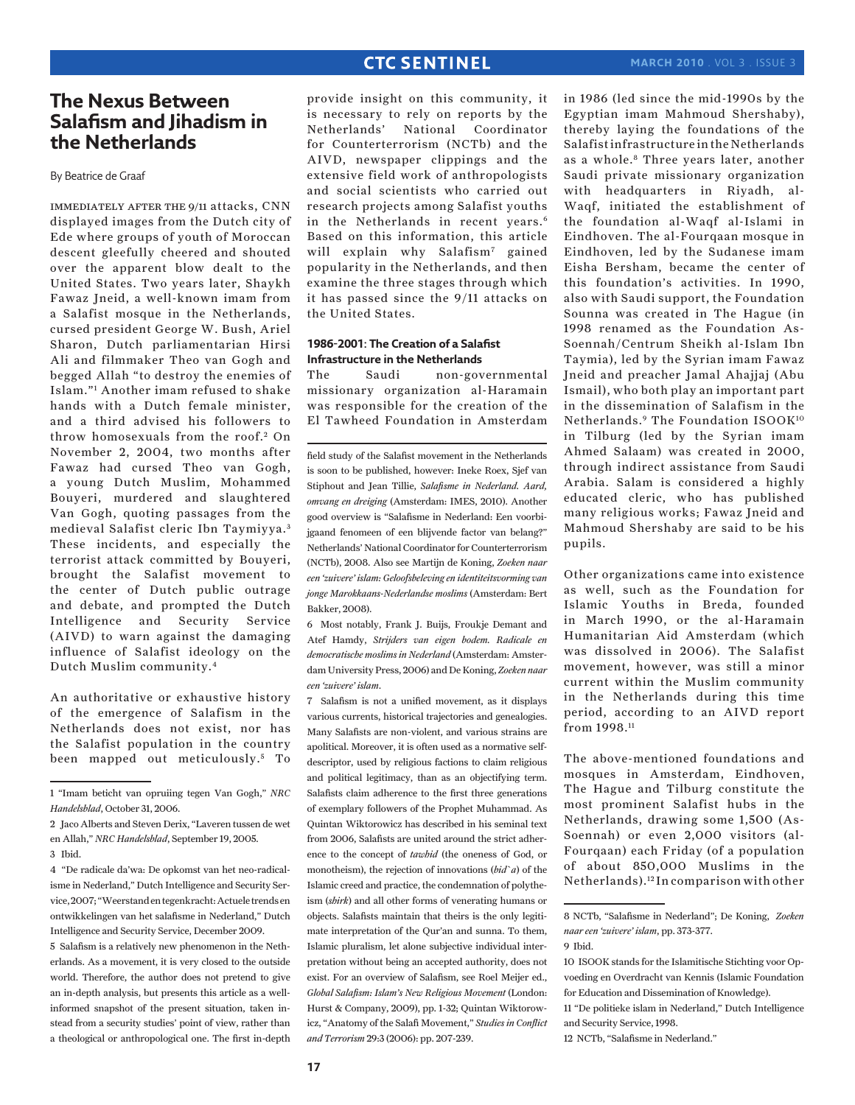# **The Nexus Between Salafism and Jihadism in the Netherlands**

By Beatrice de Graaf

immediately after the 9/11 attacks, CNN displayed images from the Dutch city of Ede where groups of youth of Moroccan descent gleefully cheered and shouted over the apparent blow dealt to the United States. Two years later, Shaykh Fawaz Jneid, a well-known imam from a Salafist mosque in the Netherlands, cursed president George W. Bush, Ariel Sharon, Dutch parliamentarian Hirsi Ali and filmmaker Theo van Gogh and begged Allah "to destroy the enemies of Islam."1 Another imam refused to shake hands with a Dutch female minister, and a third advised his followers to throw homosexuals from the roof.<sup>2</sup> On November 2, 2004, two months after Fawaz had cursed Theo van Gogh, a young Dutch Muslim, Mohammed Bouyeri, murdered and slaughtered Van Gogh, quoting passages from the medieval Salafist cleric Ibn Taymiyya. <sup>3</sup> These incidents, and especially the terrorist attack committed by Bouyeri, brought the Salafist movement to the center of Dutch public outrage and debate, and prompted the Dutch Intelligence and Security Service (AIVD) to warn against the damaging influence of Salafist ideology on the Dutch Muslim community.4

An authoritative or exhaustive history of the emergence of Salafism in the Netherlands does not exist, nor has the Salafist population in the country been mapped out meticulously.<sup>5</sup> To

5 Salafism is a relatively new phenomenon in the Netherlands. As a movement, it is very closed to the outside world. Therefore, the author does not pretend to give an in-depth analysis, but presents this article as a wellinformed snapshot of the present situation, taken instead from a security studies' point of view, rather than a theological or anthropological one. The first in-depth

provide insight on this community, it is necessary to rely on reports by the Netherlands' National Coordinator for Counterterrorism (NCTb) and the AIVD, newspaper clippings and the extensive field work of anthropologists and social scientists who carried out research projects among Salafist youths in the Netherlands in recent years.<sup>6</sup> Based on this information, this article will explain why Salafism<sup>7</sup> gained popularity in the Netherlands, and then examine the three stages through which it has passed since the 9/11 attacks on the United States.

### **1986-2001: The Creation of a Salafist Infrastructure in the Netherlands**

The Saudi non-governmental missionary organization al-Haramain was responsible for the creation of the El Tawheed Foundation in Amsterdam

field study of the Salafist movement in the Netherlands is soon to be published, however: Ineke Roex, Sjef van Stiphout and Jean Tillie, *Salafisme in Nederland. Aard, omvang en dreiging* (Amsterdam: IMES, 2010). Another good overview is "Salafisme in Nederland: Een voorbijgaand fenomeen of een blijvende factor van belang?" Netherlands' National Coordinator for Counterterrorism (NCTb), 2008. Also see Martijn de Koning, *Zoeken naar een 'zuivere' islam: Geloofsbeleving en identiteitsvorming van jonge Marokkaans-Nederlandse moslims* (Amsterdam: Bert Bakker, 2008).

6 Most notably, Frank J. Buijs, Froukje Demant and Atef Hamdy, *Strijders van eigen bodem. Radicale en democratische moslims in Nederland* (Amsterdam: Amsterdam University Press, 2006) and De Koning, *Zoeken naar een 'zuivere' islam*.

7 Salafism is not a unified movement, as it displays various currents, historical trajectories and genealogies. Many Salafists are non-violent, and various strains are apolitical. Moreover, it is often used as a normative selfdescriptor, used by religious factions to claim religious and political legitimacy, than as an objectifying term. Salafists claim adherence to the first three generations of exemplary followers of the Prophet Muhammad. As Quintan Wiktorowicz has described in his seminal text from 2006, Salafists are united around the strict adherence to the concept of *tawhid* (the oneness of God, or monotheism), the rejection of innovations (*bid`a*) of the Islamic creed and practice, the condemnation of polytheism (*shirk*) and all other forms of venerating humans or objects. Salafists maintain that theirs is the only legitimate interpretation of the Qur'an and sunna. To them, Islamic pluralism, let alone subjective individual interpretation without being an accepted authority, does not exist. For an overview of Salafism, see Roel Meijer ed., *Global Salafism: Islam's New Religious Movement* (London: Hurst & Company, 2009), pp. 1-32; Quintan Wiktorowicz, "Anatomy of the Salafi Movement," *Studies in Conflict and Terrorism* 29:3 (2006): pp. 207-239.

in 1986 (led since the mid-1990s by the Egyptian imam Mahmoud Shershaby), thereby laying the foundations of the Salafist infrastructure in the Netherlands as a whole.<sup>8</sup> Three years later, another Saudi private missionary organization with headquarters in Riyadh, al-Waqf, initiated the establishment of the foundation al-Waqf al-Islami in Eindhoven. The al-Fourqaan mosque in Eindhoven, led by the Sudanese imam Eisha Bersham, became the center of this foundation's activities. In 1990, also with Saudi support, the Foundation Sounna was created in The Hague (in 1998 renamed as the Foundation As-Soennah/Centrum Sheikh al-Islam Ibn Taymia), led by the Syrian imam Fawaz Jneid and preacher Jamal Ahajjaj (Abu Ismail), who both play an important part in the dissemination of Salafism in the Netherlands.9 The Foundation ISOOK10 in Tilburg (led by the Syrian imam Ahmed Salaam) was created in 2000, through indirect assistance from Saudi Arabia. Salam is considered a highly educated cleric, who has published many religious works; Fawaz Jneid and Mahmoud Shershaby are said to be his pupils.

Other organizations came into existence as well, such as the Foundation for Islamic Youths in Breda, founded in March 1990, or the al-Haramain Humanitarian Aid Amsterdam (which was dissolved in 2006). The Salafist movement, however, was still a minor current within the Muslim community in the Netherlands during this time period, according to an AIVD report from 1998.11

The above-mentioned foundations and mosques in Amsterdam, Eindhoven, The Hague and Tilburg constitute the most prominent Salafist hubs in the Netherlands, drawing some 1,500 (As-Soennah) or even 2,000 visitors (al-Fourqaan) each Friday (of a population of about 850,000 Muslims in the Netherlands).12 In comparison with other

<sup>1 &</sup>quot;Imam beticht van opruiing tegen Van Gogh," *NRC Handelsblad*, October 31, 2006.

<sup>2</sup> Jaco Alberts and Steven Derix, "Laveren tussen de wet en Allah," *NRC Handelsblad*, September 19, 2005. 3 Ibid.

<sup>4 &</sup>quot;De radicale da'wa: De opkomst van het neo-radicalisme in Nederland," Dutch Intelligence and Security Service, 2007; "Weerstand en tegenkracht: Actuele trends en ontwikkelingen van het salafisme in Nederland," Dutch Intelligence and Security Service, December 2009.

<sup>8</sup> NCTb, "Salafisme in Nederland"; De Koning, *Zoeken naar een 'zuivere' islam*, pp. 373-377.

<sup>9</sup> Ibid.

<sup>10</sup> ISOOK stands for the Islamitische Stichting voor Opvoeding en Overdracht van Kennis (Islamic Foundation for Education and Dissemination of Knowledge).

<sup>11 &</sup>quot;De politieke islam in Nederland," Dutch Intelligence and Security Service, 1998.

<sup>12</sup> NCTb, "Salafisme in Nederland."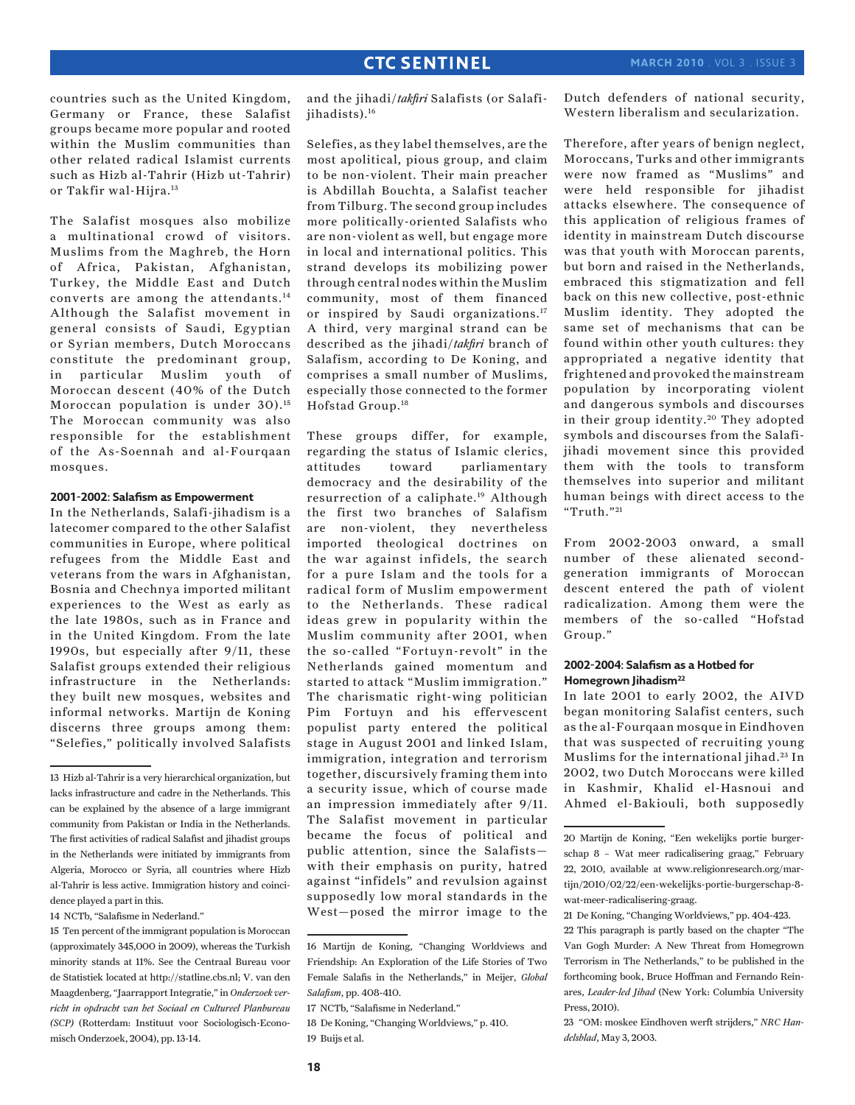countries such as the United Kingdom, Germany or France, these Salafist groups became more popular and rooted within the Muslim communities than other related radical Islamist currents such as Hizb al-Tahrir (Hizb ut-Tahrir) or Takfir wal-Hijra.13

The Salafist mosques also mobilize a multinational crowd of visitors. Muslims from the Maghreb, the Horn of Africa, Pakistan, Afghanistan, Turkey, the Middle East and Dutch converts are among the attendants.14 Although the Salafist movement in general consists of Saudi, Egyptian or Syrian members, Dutch Moroccans constitute the predominant group, in particular Muslim youth of Moroccan descent (40% of the Dutch Moroccan population is under 30).<sup>15</sup> The Moroccan community was also responsible for the establishment of the As-Soennah and al-Fourqaan mosques.

#### **2001-2002: Salafism as Empowerment**

In the Netherlands, Salafi-jihadism is a latecomer compared to the other Salafist communities in Europe, where political refugees from the Middle East and veterans from the wars in Afghanistan, Bosnia and Chechnya imported militant experiences to the West as early as the late 1980s, such as in France and in the United Kingdom. From the late 1990s, but especially after 9/11, these Salafist groups extended their religious infrastructure in the Netherlands: they built new mosques, websites and informal networks. Martijn de Koning discerns three groups among them: "Selefies," politically involved Salafists

14 NCTb, "Salafisme in Nederland."

and the jihadi/*takfiri* Salafists (or Salafiiihadists).<sup>16</sup>

Selefies, as they label themselves, are the most apolitical, pious group, and claim to be non-violent. Their main preacher is Abdillah Bouchta, a Salafist teacher from Tilburg. The second group includes more politically-oriented Salafists who are non-violent as well, but engage more in local and international politics. This strand develops its mobilizing power through central nodes within the Muslim community, most of them financed or inspired by Saudi organizations.<sup>17</sup> A third, very marginal strand can be described as the jihadi/*takfiri* branch of Salafism, according to De Koning, and comprises a small number of Muslims, especially those connected to the former Hofstad Group.18

These groups differ, for example, regarding the status of Islamic clerics, attitudes toward parliamentary democracy and the desirability of the resurrection of a caliphate.<sup>19</sup> Although the first two branches of Salafism are non-violent, they nevertheless imported theological doctrines on the war against infidels, the search for a pure Islam and the tools for a radical form of Muslim empowerment to the Netherlands. These radical ideas grew in popularity within the Muslim community after 2001, when the so-called "Fortuyn-revolt" in the Netherlands gained momentum and started to attack "Muslim immigration." The charismatic right-wing politician Pim Fortuyn and his effervescent populist party entered the political stage in August 2001 and linked Islam, immigration, integration and terrorism together, discursively framing them into a security issue, which of course made an impression immediately after 9/11. The Salafist movement in particular became the focus of political and public attention, since the Salafists with their emphasis on purity, hatred against "infidels" and revulsion against supposedly low moral standards in the West—posed the mirror image to the Dutch defenders of national security, Western liberalism and secularization.

Therefore, after years of benign neglect, Moroccans, Turks and other immigrants were now framed as "Muslims" and were held responsible for jihadist attacks elsewhere. The consequence of this application of religious frames of identity in mainstream Dutch discourse was that youth with Moroccan parents, but born and raised in the Netherlands, embraced this stigmatization and fell back on this new collective, post-ethnic Muslim identity. They adopted the same set of mechanisms that can be found within other youth cultures: they appropriated a negative identity that frightened and provoked the mainstream population by incorporating violent and dangerous symbols and discourses in their group identity.<sup>20</sup> They adopted symbols and discourses from the Salafijihadi movement since this provided them with the tools to transform themselves into superior and militant human beings with direct access to the "Truth."21

From 2002-2003 onward, a small number of these alienated secondgeneration immigrants of Moroccan descent entered the path of violent radicalization. Among them were the members of the so-called "Hofstad Group."

### **2002-2004: Salafism as a Hotbed for Homegrown Jihadism22**

In late 2001 to early 2002, the AIVD began monitoring Salafist centers, such as the al-Fourqaan mosque in Eindhoven that was suspected of recruiting young Muslims for the international jihad.<sup>23</sup> In 2002, two Dutch Moroccans were killed in Kashmir, Khalid el-Hasnoui and Ahmed el-Bakiouli, both supposedly

<sup>13</sup> Hizb al-Tahrir is a very hierarchical organization, but lacks infrastructure and cadre in the Netherlands. This can be explained by the absence of a large immigrant community from Pakistan or India in the Netherlands. The first activities of radical Salafist and jihadist groups in the Netherlands were initiated by immigrants from Algeria, Morocco or Syria, all countries where Hizb al-Tahrir is less active. Immigration history and coincidence played a part in this.

<sup>15</sup> Ten percent of the immigrant population is Moroccan (approximately 345,000 in 2009), whereas the Turkish minority stands at 11%. See the Centraal Bureau voor de Statistiek located at http://statline.cbs.nl; V. van den Maagdenberg, "Jaarrapport Integratie," in *Onderzoek verricht in opdracht van het Sociaal en Cultureel Planbureau (SCP)* (Rotterdam: Instituut voor Sociologisch-Economisch Onderzoek, 2004), pp. 13-14.

<sup>16</sup> Martijn de Koning, "Changing Worldviews and Friendship: An Exploration of the Life Stories of Two Female Salafis in the Netherlands," in Meijer, *Global Salafism*, pp. 408-410.

<sup>17</sup> NCTb, "Salafisme in Nederland."

<sup>18</sup> De Koning, "Changing Worldviews," p. 410. 19 Buijs et al.

<sup>20</sup> Martijn de Koning, "Een wekelijks portie burgerschap 8 – Wat meer radicalisering graag," February 22, 2010, available at www.religionresearch.org/martijn/2010/02/22/een-wekelijks-portie-burgerschap-8 wat-meer-radicalisering-graag.

<sup>21</sup> De Koning, "Changing Worldviews," pp. 404-423. 22 This paragraph is partly based on the chapter "The Van Gogh Murder: A New Threat from Homegrown Terrorism in The Netherlands," to be published in the forthcoming book, Bruce Hoffman and Fernando Reinares, *Leader-led Jihad* (New York: Columbia University Press, 2010).

<sup>23 &</sup>quot;OM: moskee Eindhoven werft strijders," *NRC Handelsblad*, May 3, 2003.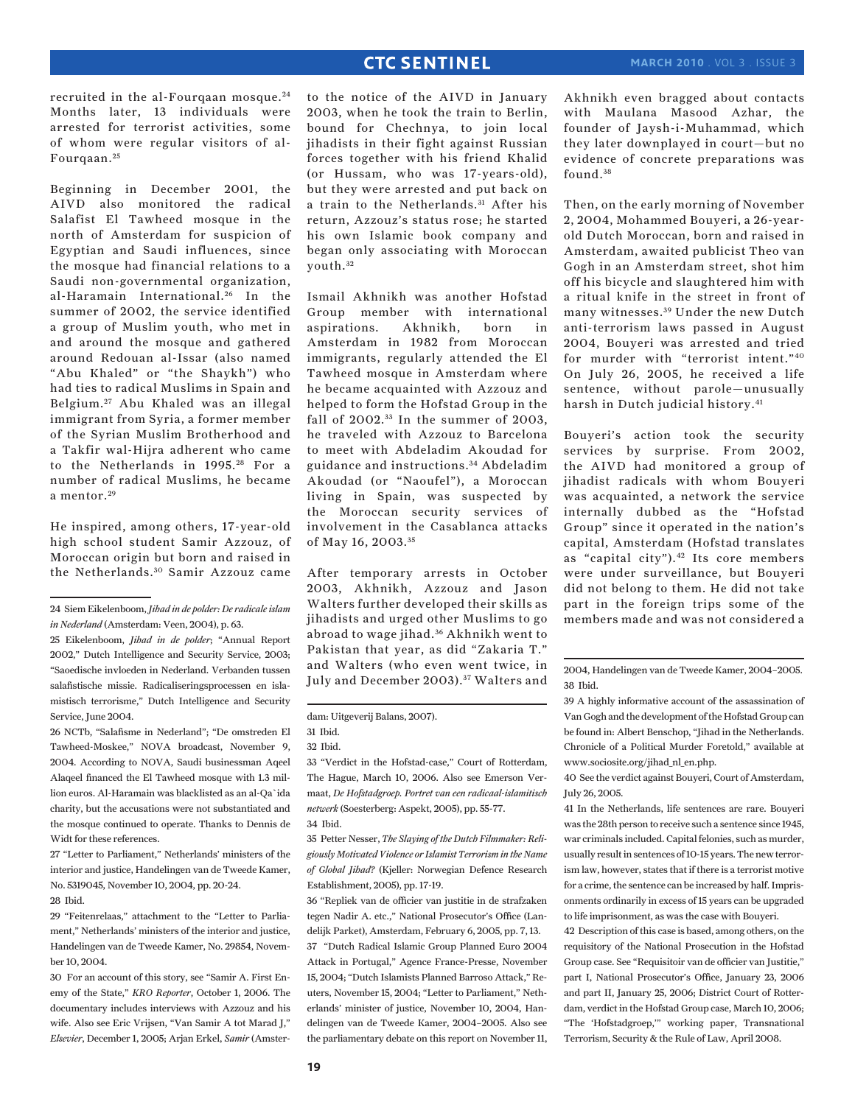recruited in the al-Fourqaan mosque. <sup>24</sup> Months later, 13 individuals were arrested for terrorist activities, some of whom were regular visitors of al-Fourqaan. <sup>25</sup>

Beginning in December 2001, the AIVD also monitored the radical Salafist El Tawheed mosque in the north of Amsterdam for suspicion of Egyptian and Saudi influences, since the mosque had financial relations to a Saudi non-governmental organization, al-Haramain International.<sup>26</sup> In the summer of 2002, the service identified a group of Muslim youth, who met in and around the mosque and gathered around Redouan al-Issar (also named "Abu Khaled" or "the Shaykh") who had ties to radical Muslims in Spain and Belgium. 27 Abu Khaled was an illegal immigrant from Syria, a former member of the Syrian Muslim Brotherhood and a Takfir wal-Hijra adherent who came to the Netherlands in 1995.<sup>28</sup> For a number of radical Muslims, he became a mentor. <sup>29</sup>

He inspired, among others, 17-year-old high school student Samir Azzouz, of Moroccan origin but born and raised in the Netherlands. 30 Samir Azzouz came

26 NCTb, "Salafisme in Nederland"; "De omstreden El Tawheed-Moskee," NOVA broadcast, November 9, 2004. According to NOVA, Saudi businessman Aqeel Alaqeel financed the El Tawheed mosque with 1.3 million euros. Al-Haramain was blacklisted as an al-Qa`ida charity, but the accusations were not substantiated and the mosque continued to operate. Thanks to Dennis de Widt for these references.

27 "Letter to Parliament," Netherlands' ministers of the interior and justice, Handelingen van de Tweede Kamer, No. 5319045, November 10, 2004, pp. 20-24. 28 Ibid.

29 "Feitenrelaas," attachment to the "Letter to Parliament," Netherlands' ministers of the interior and justice, Handelingen van de Tweede Kamer, No. 29854, November 10, 2004.

30 For an account of this story, see "Samir A. First Enemy of the State," *KRO Reporter*, October 1, 2006. The documentary includes interviews with Azzouz and his wife. Also see Eric Vrijsen, "Van Samir A tot Marad J," *Elsevier*, December 1, 2005; Arjan Erkel, *Samir* (Amster-

to the notice of the AIVD in January 2003, when he took the train to Berlin, bound for Chechnya, to join local jihadists in their fight against Russian forces together with his friend Khalid (or Hussam, who was 17-years-old), but they were arrested and put back on a train to the Netherlands.<sup>31</sup> After his return, Azzouz's status rose; he started his own Islamic book company and began only associating with Moroccan youth. <sup>32</sup>

Ismail Akhnikh was another Hofstad Group member with international aspirations. Akhnikh, born in Amsterdam in 1982 from Moroccan immigrants, regularly attended the El Tawheed mosque in Amsterdam where he became acquainted with Azzouz and helped to form the Hofstad Group in the fall of 2002.<sup>33</sup> In the summer of 2003, he traveled with Azzouz to Barcelona to meet with Abdeladim Akoudad for guidance and instructions. 34 Abdeladim Akoudad (or "Naoufel"), a Moroccan living in Spain, was suspected by the Moroccan security services of involvement in the Casablanca attacks of May 16, 2003. <sup>35</sup>

After temporary arrests in October 2003, Akhnikh, Azzouz and Jason Walters further developed their skills as jihadists and urged other Muslims to go abroad to wage jihad. 36 Akhnikh went to Pakistan that year, as did "Zakaria T." and Walters (who even went twice, in July and December 2003). 37 Walters and

33 "Verdict in the Hofstad-case," Court of Rotterdam, The Hague, March 10, 2006. Also see Emerson Vermaat, *De Hofstadgroep. Portret van een radicaal-islamitisch netwerk* (Soesterberg: Aspekt, 2005), pp. 55-77. 34 Ibid.

35 Petter Nesser, *The Slaying of the Dutch Filmmaker: Religiously Motivated Violence or Islamist Terrorism in the Name of Global Jihad?* (Kjeller: Norwegian Defence Research Establishment, 2005), pp. 17-19.

36 "Repliek van de officier van justitie in de strafzaken tegen Nadir A. etc.," National Prosecutor's Office (Landelijk Parket), Amsterdam, February 6, 2005, pp. 7, 13.

37 "Dutch Radical Islamic Group Planned Euro 2004 Attack in Portugal," Agence France-Presse, November 15, 2004; "Dutch Islamists Planned Barroso Attack," Reuters, November 15, 2004; "Letter to Parliament," Netherlands' minister of justice, November 10, 2004, Handelingen van de Tweede Kamer, 2004–2005. Also see the parliamentary debate on this report on November 11, Akhnikh even bragged about contacts with Maulana Masood Azhar, the founder of Jaysh-i-Muhammad, which they later downplayed in court—but no evidence of concrete preparations was found. <sup>38</sup>

Then, on the early morning of November 2, 2004, Mohammed Bouyeri, a 26-yearold Dutch Moroccan, born and raised in Amsterdam, awaited publicist Theo van Gogh in an Amsterdam street, shot him off his bicycle and slaughtered him with a ritual knife in the street in front of many witnesses. 39 Under the new Dutch anti-terrorism laws passed in August 2004, Bouyeri was arrested and tried for murder with "terrorist intent."40 On July 26, 2005, he received a life sentence, without parole—unusually harsh in Dutch judicial history.41

Bouyeri's action took the security services by surprise. From 2002, the AIVD had monitored a group of jihadist radicals with whom Bouyeri was acquainted, a network the service internally dubbed as the "Hofstad Group" since it operated in the nation's capital, Amsterdam (Hofstad translates as "capital city").42 Its core members were under surveillance, but Bouyeri did not belong to them. He did not take part in the foreign trips some of the members made and was not considered a

40 See the verdict against Bouyeri, Court of Amsterdam, July 26, 2005.

41 In the Netherlands, life sentences are rare. Bouyeri was the 28th person to receive such a sentence since 1945, war criminals included. Capital felonies, such as murder, usually result in sentences of 10-15 years. The new terrorism law, however, states that if there is a terrorist motive for a crime, the sentence can be increased by half. Imprisonments ordinarily in excess of 15 years can be upgraded to life imprisonment, as was the case with Bouyeri.

42 Description of this case is based, among others, on the requisitory of the National Prosecution in the Hofstad Group case. See "Requisitoir van de officier van Justitie," part I, National Prosecutor's Office, January 23, 2006 and part II, January 25, 2006; District Court of Rotterdam, verdict in the Hofstad Group case, March 10, 2006; "The 'Hofstadgroep,'" working paper, Transnational Terrorism, Security & the Rule of Law, April 2008.

<sup>24</sup> Siem Eikelenboom, *Jihad in de polder: De radicale islam in Nederland* (Amsterdam: Veen, 2004), p. 63.

<sup>25</sup> Eikelenboom, *Jihad in de polder*; "Annual Report 2002," Dutch Intelligence and Security Service, 2003; "Saoedische invloeden in Nederland. Verbanden tussen salafistische missie. Radicaliseringsprocessen en islamistisch terrorisme," Dutch Intelligence and Security Service, June 2004.

dam: Uitgeverij Balans, 2007).

<sup>31</sup> Ibid.

<sup>32</sup> Ibid.

<sup>2004,</sup> Handelingen van de Tweede Kamer, 2004–2005. 38 Ibid.

<sup>39</sup> A highly informative account of the assassination of Van Gogh and the development of the Hofstad Group can be found in: Albert Benschop, "Jihad in the Netherlands. Chronicle of a Political Murder Foretold," available at www.sociosite.org/jihad\_nl\_en.php.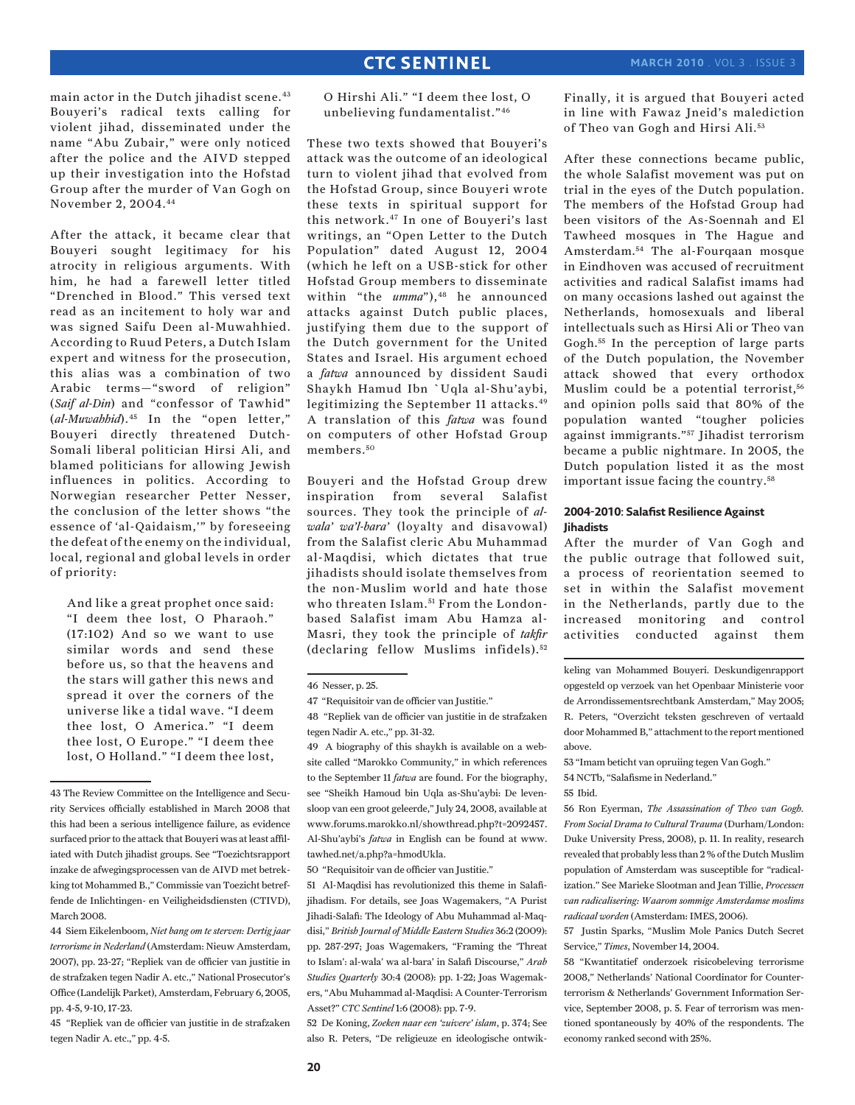main actor in the Dutch jihadist scene.<sup>43</sup> Bouyeri's radical texts calling for violent jihad, disseminated under the name "Abu Zubair," were only noticed after the police and the AIVD stepped up their investigation into the Hofstad Group after the murder of Van Gogh on November 2, 2004.44

After the attack, it became clear that Bouyeri sought legitimacy for his atrocity in religious arguments. With him, he had a farewell letter titled "Drenched in Blood." This versed text read as an incitement to holy war and was signed Saifu Deen al-Muwahhied. According to Ruud Peters, a Dutch Islam expert and witness for the prosecution, this alias was a combination of two Arabic terms—"sword of religion" (*Saif al-Din*) and "confessor of Tawhid" (*al-Muwahhid*).<sup>45</sup> In the "open letter," Bouyeri directly threatened Dutch-Somali liberal politician Hirsi Ali, and blamed politicians for allowing Jewish influences in politics. According to Norwegian researcher Petter Nesser, the conclusion of the letter shows "the essence of 'al-Qaidaism,'" by foreseeing the defeat of the enemy on the individual, local, regional and global levels in order of priority:

And like a great prophet once said: "I deem thee lost, O Pharaoh." (17:102) And so we want to use similar words and send these before us, so that the heavens and the stars will gather this news and spread it over the corners of the universe like a tidal wave. "I deem thee lost, O America." "I deem thee lost, O Europe." "I deem thee lost, O Holland." "I deem thee lost,

O Hirshi Ali." "I deem thee lost, O unbelieving fundamentalist."46

These two texts showed that Bouyeri's attack was the outcome of an ideological turn to violent jihad that evolved from the Hofstad Group, since Bouyeri wrote these texts in spiritual support for this network.47 In one of Bouyeri's last writings, an "Open Letter to the Dutch Population" dated August 12, 2004 (which he left on a USB-stick for other Hofstad Group members to disseminate within "the *umma*"),<sup>48</sup> he announced attacks against Dutch public places, justifying them due to the support of the Dutch government for the United States and Israel. His argument echoed a *fatwa* announced by dissident Saudi Shaykh Hamud Ibn `Uqla al-Shu'aybi, legitimizing the September 11 attacks.49 A translation of this *fatwa* was found on computers of other Hofstad Group members. <sup>50</sup>

Bouyeri and the Hofstad Group drew inspiration from several Salafist sources. They took the principle of *alwala' wa'l-bara'* (loyalty and disavowal) from the Salafist cleric Abu Muhammad al-Maqdisi, which dictates that true jihadists should isolate themselves from the non-Muslim world and hate those who threaten Islam.<sup>51</sup> From the Londonbased Salafist imam Abu Hamza al-Masri, they took the principle of *takfir* (declaring fellow Muslims infidels). <sup>52</sup>

50 "Requisitoir van de officier van Justitie."

52 De Koning, *Zoeken naar een 'zuivere' islam*, p. 374; See also R. Peters, "De religieuze en ideologische ontwikFinally, it is argued that Bouyeri acted in line with Fawaz Jneid's malediction of Theo van Gogh and Hirsi Ali.<sup>53</sup>

After these connections became public, the whole Salafist movement was put on trial in the eyes of the Dutch population. The members of the Hofstad Group had been visitors of the As-Soennah and El Tawheed mosques in The Hague and Amsterdam.54 The al-Fourqaan mosque in Eindhoven was accused of recruitment activities and radical Salafist imams had on many occasions lashed out against the Netherlands, homosexuals and liberal intellectuals such as Hirsi Ali or Theo van Gogh.55 In the perception of large parts of the Dutch population, the November attack showed that every orthodox Muslim could be a potential terrorist,<sup>56</sup> and opinion polls said that 80% of the population wanted "tougher policies against immigrants."57 Jihadist terrorism became a public nightmare. In 2005, the Dutch population listed it as the most important issue facing the country.<sup>58</sup>

#### **2004-2010: Salafist Resilience Against Jihadists**

After the murder of Van Gogh and the public outrage that followed suit, a process of reorientation seemed to set in within the Salafist movement in the Netherlands, partly due to the increased monitoring and control activities conducted against them

keling van Mohammed Bouyeri. Deskundigenrapport opgesteld op verzoek van het Openbaar Ministerie voor de Arrondissementsrechtbank Amsterdam," May 2005; R. Peters, "Overzicht teksten geschreven of vertaald door Mohammed B," attachment to the report mentioned above.

56 Ron Eyerman, *The Assassination of Theo van Gogh. From Social Drama to Cultural Trauma* (Durham/London: Duke University Press, 2008), p. 11. In reality, research revealed that probably less than 2 % of the Dutch Muslim population of Amsterdam was susceptible for "radicalization." See Marieke Slootman and Jean Tillie, *Processen van radicalisering: Waarom sommige Amsterdamse moslims radicaal worden* (Amsterdam: IMES, 2006).

57 Justin Sparks, "Muslim Mole Panics Dutch Secret Service," *Times*, November 14, 2004.

<sup>43</sup> The Review Committee on the Intelligence and Security Services officially established in March 2008 that this had been a serious intelligence failure, as evidence surfaced prior to the attack that Bouyeri was at least affiliated with Dutch jihadist groups. See "Toezichtsrapport inzake de afwegingsprocessen van de AIVD met betrekking tot Mohammed B.," Commissie van Toezicht betreffende de Inlichtingen- en Veiligheidsdiensten (CTIVD), March 2008.

<sup>44</sup> Siem Eikelenboom, *Niet bang om te sterven: Dertig jaar terrorisme in Nederland* (Amsterdam: Nieuw Amsterdam, 2007), pp. 23-27; "Repliek van de officier van justitie in de strafzaken tegen Nadir A. etc.," National Prosecutor's Office (Landelijk Parket), Amsterdam, February 6, 2005, pp. 4-5, 9-10, 17-23.

<sup>45 &</sup>quot;Repliek van de officier van justitie in de strafzaken tegen Nadir A. etc.," pp. 4-5.

<sup>46</sup> Nesser, p. 25.

<sup>47 &</sup>quot;Requisitoir van de officier van Justitie."

<sup>48 &</sup>quot;Repliek van de officier van justitie in de strafzaken tegen Nadir A. etc.," pp. 31-32.

<sup>49</sup> A biography of this shaykh is available on a website called "Marokko Community," in which references to the September 11 *fatwa* are found. For the biography, see "Sheikh Hamoud bin Uqla as-Shu'aybi: De levensloop van een groot geleerde," July 24, 2008, available at www.forums.marokko.nl/showthread.php?t=2092457. Al-Shu'aybi's *fatwa* in English can be found at www. tawhed.net/a.php?a=hmodUkla.

<sup>51</sup> Al-Maqdisi has revolutionized this theme in Salafijihadism. For details, see Joas Wagemakers, "A Purist Jihadi-Salafi: The Ideology of Abu Muhammad al-Maqdisi," *British Journal of Middle Eastern Studies* 36:2 (2009): pp. 287-297; Joas Wagemakers, "Framing the 'Threat to Islam': al-wala' wa al-bara' in Salafi Discourse," *Arab Studies Quarterly* 30:4 (2008): pp. 1-22; Joas Wagemakers, "Abu Muhammad al-Maqdisi: A Counter-Terrorism Asset?" *CTC Sentinel* 1:6 (2008): pp. 7-9.

<sup>53 &</sup>quot;Imam beticht van opruiing tegen Van Gogh."

<sup>54</sup> NCTb, "Salafisme in Nederland."

<sup>55</sup> Ibid.

<sup>58 &</sup>quot;Kwantitatief onderzoek risicobeleving terrorisme 2008," Netherlands' National Coordinator for Counterterrorism & Netherlands' Government Information Service, September 2008, p. 5. Fear of terrorism was mentioned spontaneously by 40% of the respondents. The economy ranked second with 25%.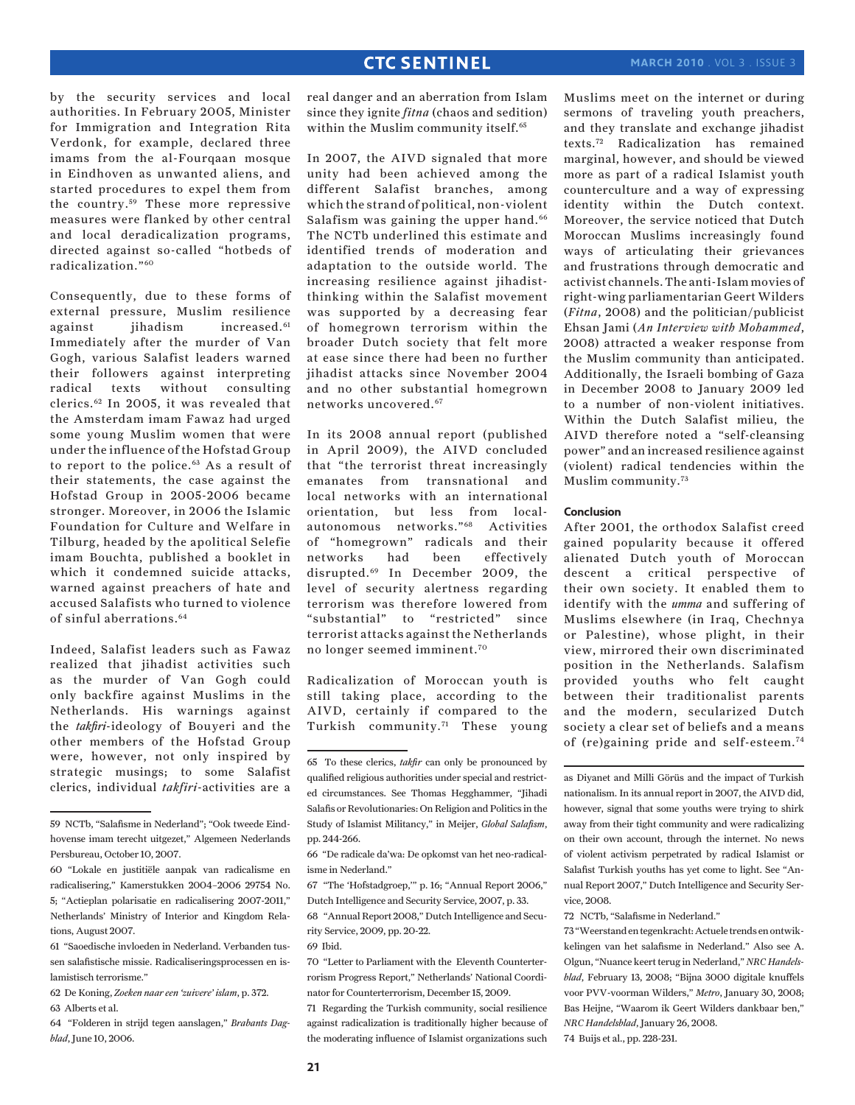### **march 2010** . Vol 3 . Issue 3

by the security services and local authorities. In February 2005, Minister for Immigration and Integration Rita Verdonk, for example, declared three imams from the al-Fourqaan mosque in Eindhoven as unwanted aliens, and started procedures to expel them from the country.<sup>59</sup> These more repressive measures were flanked by other central and local deradicalization programs, directed against so-called "hotbeds of radicalization."60

Consequently, due to these forms of external pressure, Muslim resilience against jihadism increased.<sup>61</sup> Immediately after the murder of Van Gogh, various Salafist leaders warned their followers against interpreting radical texts without consulting clerics.62 In 2005, it was revealed that the Amsterdam imam Fawaz had urged some young Muslim women that were under the influence of the Hofstad Group to report to the police.63 As a result of their statements, the case against the Hofstad Group in 2005-2006 became stronger. Moreover, in 2006 the Islamic Foundation for Culture and Welfare in Tilburg, headed by the apolitical Selefie imam Bouchta, published a booklet in which it condemned suicide attacks, warned against preachers of hate and accused Salafists who turned to violence of sinful aberrations.<sup>64</sup>

Indeed, Salafist leaders such as Fawaz realized that jihadist activities such as the murder of Van Gogh could only backfire against Muslims in the Netherlands. His warnings against the *takfiri*-ideology of Bouyeri and the other members of the Hofstad Group were, however, not only inspired by strategic musings; to some Salafist clerics, individual *takfiri*-activities are a

real danger and an aberration from Islam since they ignite *fitna* (chaos and sedition) within the Muslim community itself.<sup>65</sup>

In 2007, the AIVD signaled that more unity had been achieved among the different Salafist branches, among which the strand of political, non-violent Salafism was gaining the upper hand.<sup>66</sup> The NCTb underlined this estimate and identified trends of moderation and adaptation to the outside world. The increasing resilience against jihadistthinking within the Salafist movement was supported by a decreasing fear of homegrown terrorism within the broader Dutch society that felt more at ease since there had been no further jihadist attacks since November 2004 and no other substantial homegrown networks uncovered.67

In its 2008 annual report (published in April 2009), the AIVD concluded that "the terrorist threat increasingly emanates from transnational and local networks with an international orientation, but less from localautonomous networks."68 Activities of "homegrown" radicals and their networks had been effectively disrupted.69 In December 2009, the level of security alertness regarding terrorism was therefore lowered from "substantial" to "restricted" since terrorist attacks against the Netherlands no longer seemed imminent.70

Radicalization of Moroccan youth is still taking place, according to the AIVD, certainly if compared to the Turkish community.71 These young

71 Regarding the Turkish community, social resilience against radicalization is traditionally higher because of the moderating influence of Islamist organizations such Muslims meet on the internet or during sermons of traveling youth preachers, and they translate and exchange jihadist texts.72 Radicalization has remained marginal, however, and should be viewed more as part of a radical Islamist youth counterculture and a way of expressing identity within the Dutch context. Moreover, the service noticed that Dutch Moroccan Muslims increasingly found ways of articulating their grievances and frustrations through democratic and activist channels. The anti-Islam movies of right-wing parliamentarian Geert Wilders (*Fitna*, 2008) and the politician/publicist Ehsan Jami (*An Interview with Mohammed*, 2008) attracted a weaker response from the Muslim community than anticipated. Additionally, the Israeli bombing of Gaza in December 2008 to January 2009 led to a number of non-violent initiatives. Within the Dutch Salafist milieu, the AIVD therefore noted a "self-cleansing power" and an increased resilience against (violent) radical tendencies within the Muslim community.73

#### **Conclusion**

After 2001, the orthodox Salafist creed gained popularity because it offered alienated Dutch youth of Moroccan descent a critical perspective of their own society. It enabled them to identify with the *umma* and suffering of Muslims elsewhere (in Iraq, Chechnya or Palestine), whose plight, in their view, mirrored their own discriminated position in the Netherlands. Salafism provided youths who felt caught between their traditionalist parents and the modern, secularized Dutch society a clear set of beliefs and a means of (re)gaining pride and self-esteem.74

as Diyanet and Milli Görüs and the impact of Turkish nationalism. In its annual report in 2007, the AIVD did, however, signal that some youths were trying to shirk away from their tight community and were radicalizing on their own account, through the internet. No news of violent activism perpetrated by radical Islamist or Salafist Turkish youths has yet come to light. See "Annual Report 2007," Dutch Intelligence and Security Service, 2008.

#### 72 NCTb, "Salafisme in Nederland."

73 "Weerstand en tegenkracht: Actuele trends en ontwikkelingen van het salafisme in Nederland." Also see A. Olgun, "Nuance keert terug in Nederland," *NRC Handelsblad*, February 13, 2008; "Bijna 3000 digitale knuffels voor PVV-voorman Wilders," *Metro*, January 30, 2008; Bas Heijne, "Waarom ik Geert Wilders dankbaar ben," *NRC Handelsblad*, January 26, 2008.

74 Buijs et al., pp. 228-231.

<sup>59</sup> NCTb, "Salafisme in Nederland"; "Ook tweede Eindhovense imam terecht uitgezet," Algemeen Nederlands Persbureau, October 10, 2007.

<sup>60 &</sup>quot;Lokale en justitiële aanpak van radicalisme en radicalisering," Kamerstukken 2004–2006 29754 No. 5; "Actieplan polarisatie en radicalisering 2007-2011," Netherlands' Ministry of Interior and Kingdom Relations, August 2007.

<sup>61 &</sup>quot;Saoedische invloeden in Nederland. Verbanden tussen salafistische missie. Radicaliseringsprocessen en islamistisch terrorisme."

<sup>62</sup> De Koning, *Zoeken naar een 'zuivere' islam*, p. 372.

<sup>63</sup> Alberts et al.

<sup>64 &</sup>quot;Folderen in strijd tegen aanslagen," *Brabants Dagblad*, June 10, 2006.

<sup>65</sup> To these clerics, *takfir* can only be pronounced by qualified religious authorities under special and restricted circumstances. See Thomas Hegghammer, "Jihadi Salafis or Revolutionaries: On Religion and Politics in the Study of Islamist Militancy," in Meijer, *Global Salafism*, pp. 244-266.

<sup>66 &</sup>quot;De radicale da'wa: De opkomst van het neo-radicalisme in Nederland."

<sup>67 &</sup>quot;The 'Hofstadgroep,'" p. 16; "Annual Report 2006," Dutch Intelligence and Security Service, 2007, p. 33.

<sup>68 &</sup>quot;Annual Report 2008," Dutch Intelligence and Security Service, 2009, pp. 20-22.

<sup>69</sup> Ibid.

<sup>70 &</sup>quot;Letter to Parliament with the Eleventh Counterterrorism Progress Report," Netherlands' National Coordinator for Counterterrorism, December 15, 2009.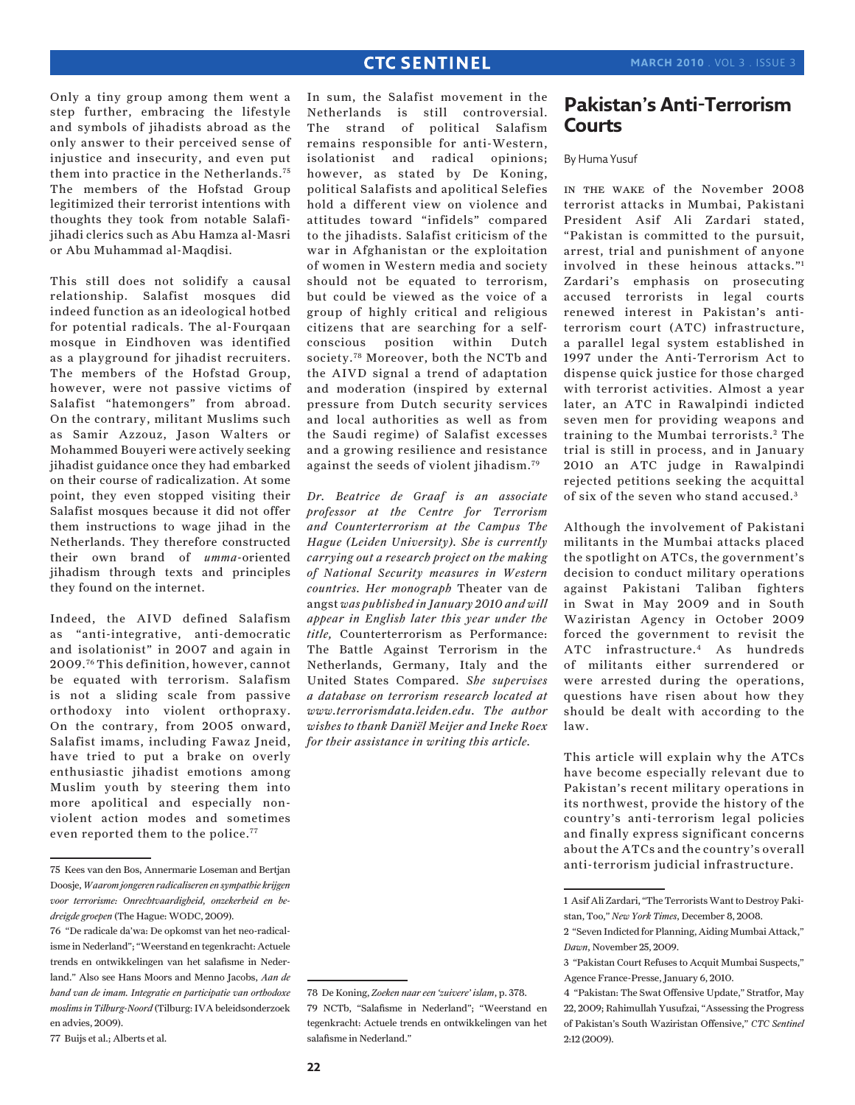Only a tiny group among them went a step further, embracing the lifestyle and symbols of jihadists abroad as the only answer to their perceived sense of injustice and insecurity, and even put them into practice in the Netherlands.75 The members of the Hofstad Group legitimized their terrorist intentions with thoughts they took from notable Salafijihadi clerics such as Abu Hamza al-Masri or Abu Muhammad al-Maqdisi.

This still does not solidify a causal relationship. Salafist mosques did indeed function as an ideological hotbed for potential radicals. The al-Fourqaan mosque in Eindhoven was identified as a playground for jihadist recruiters. The members of the Hofstad Group, however, were not passive victims of Salafist "hatemongers" from abroad. On the contrary, militant Muslims such as Samir Azzouz, Jason Walters or Mohammed Bouyeri were actively seeking jihadist guidance once they had embarked on their course of radicalization. At some point, they even stopped visiting their Salafist mosques because it did not offer them instructions to wage jihad in the Netherlands. They therefore constructed their own brand of *umma*-oriented jihadism through texts and principles they found on the internet.

Indeed, the AIVD defined Salafism as "anti-integrative, anti-democratic and isolationist" in 2007 and again in 2009.76 This definition, however, cannot be equated with terrorism. Salafism is not a sliding scale from passive orthodoxy into violent orthopraxy. On the contrary, from 2005 onward, Salafist imams, including Fawaz Jneid, have tried to put a brake on overly enthusiastic jihadist emotions among Muslim youth by steering them into more apolitical and especially nonviolent action modes and sometimes even reported them to the police.<sup>77</sup>

In sum, the Salafist movement in the Netherlands is still controversial. The strand of political Salafism remains responsible for anti-Western, isolationist and radical opinions; however, as stated by De Koning, political Salafists and apolitical Selefies hold a different view on violence and attitudes toward "infidels" compared to the jihadists. Salafist criticism of the war in Afghanistan or the exploitation of women in Western media and society should not be equated to terrorism, but could be viewed as the voice of a group of highly critical and religious citizens that are searching for a selfconscious position within Dutch society.78 Moreover, both the NCTb and the AIVD signal a trend of adaptation and moderation (inspired by external pressure from Dutch security services and local authorities as well as from the Saudi regime) of Salafist excesses and a growing resilience and resistance against the seeds of violent jihadism.79

*Dr. Beatrice de Graaf is an associate professor at the Centre for Terrorism and Counterterrorism at the Campus The Hague (Leiden University). She is currently carrying out a research project on the making of National Security measures in Western countries. Her monograph* Theater van de angst *was published in January 2010 and will appear in English later this year under the title,* Counterterrorism as Performance: The Battle Against Terrorism in the Netherlands, Germany, Italy and the United States Compared. *She supervises a database on terrorism research located at www.terrorismdata.leiden.edu. The author wishes to thank Daniël Meijer and Ineke Roex for their assistance in writing this article.*

## **Pakistan's Anti-Terrorism Courts**

### By Huma Yusuf

in the wake of the November 2008 terrorist attacks in Mumbai, Pakistani President Asif Ali Zardari stated, "Pakistan is committed to the pursuit, arrest, trial and punishment of anyone involved in these heinous attacks."1 Zardari's emphasis on prosecuting accused terrorists in legal courts renewed interest in Pakistan's antiterrorism court (ATC) infrastructure, a parallel legal system established in 1997 under the Anti-Terrorism Act to dispense quick justice for those charged with terrorist activities. Almost a year later, an ATC in Rawalpindi indicted seven men for providing weapons and training to the Mumbai terrorists. 2 The trial is still in process, and in January 2010 an ATC judge in Rawalpindi rejected petitions seeking the acquittal of six of the seven who stand accused.<sup>3</sup>

Although the involvement of Pakistani militants in the Mumbai attacks placed the spotlight on ATCs, the government's decision to conduct military operations against Pakistani Taliban fighters in Swat in May 2009 and in South Waziristan Agency in October 2009 forced the government to revisit the ATC infrastructure.4 As hundreds of militants either surrendered or were arrested during the operations, questions have risen about how they should be dealt with according to the law.

This article will explain why the ATCs have become especially relevant due to Pakistan's recent military operations in its northwest, provide the history of the country's anti-terrorism legal policies and finally express significant concerns about the ATCs and the country's overall anti-terrorism judicial infrastructure.

<sup>75</sup> Kees van den Bos, Annermarie Loseman and Bertjan Doosje, *Waarom jongeren radicaliseren en sympathie krijgen voor terrorisme: Onrechtvaardigheid, onzekerheid en bedreigde groepen* (The Hague: WODC, 2009).

<sup>76 &</sup>quot;De radicale da'wa: De opkomst van het neo-radicalisme in Nederland"; "Weerstand en tegenkracht: Actuele trends en ontwikkelingen van het salafisme in Nederland." Also see Hans Moors and Menno Jacobs, *Aan de hand van de imam. Integratie en participatie van orthodoxe moslims in Tilburg-Noord* (Tilburg: IVA beleidsonderzoek en advies, 2009).

<sup>77</sup> Buijs et al.; Alberts et al.

<sup>78</sup> De Koning, *Zoeken naar een 'zuivere' islam*, p. 378. 79 NCTb, "Salafisme in Nederland"; "Weerstand en tegenkracht: Actuele trends en ontwikkelingen van het salafisme in Nederland."

<sup>1</sup> Asif Ali Zardari, "The Terrorists Want to Destroy Pakistan, Too," *New York Times*, December 8, 2008.

<sup>2 &</sup>quot;Seven Indicted for Planning, Aiding Mumbai Attack," *Dawn*, November 25, 2009.

<sup>3 &</sup>quot;Pakistan Court Refuses to Acquit Mumbai Suspects," Agence France-Presse, January 6, 2010.

<sup>4 &</sup>quot;Pakistan: The Swat Offensive Update," Stratfor, May 22, 2009; Rahimullah Yusufzai, "Assessing the Progress of Pakistan's South Waziristan Offensive," *CTC Sentinel*  2:12 (2009).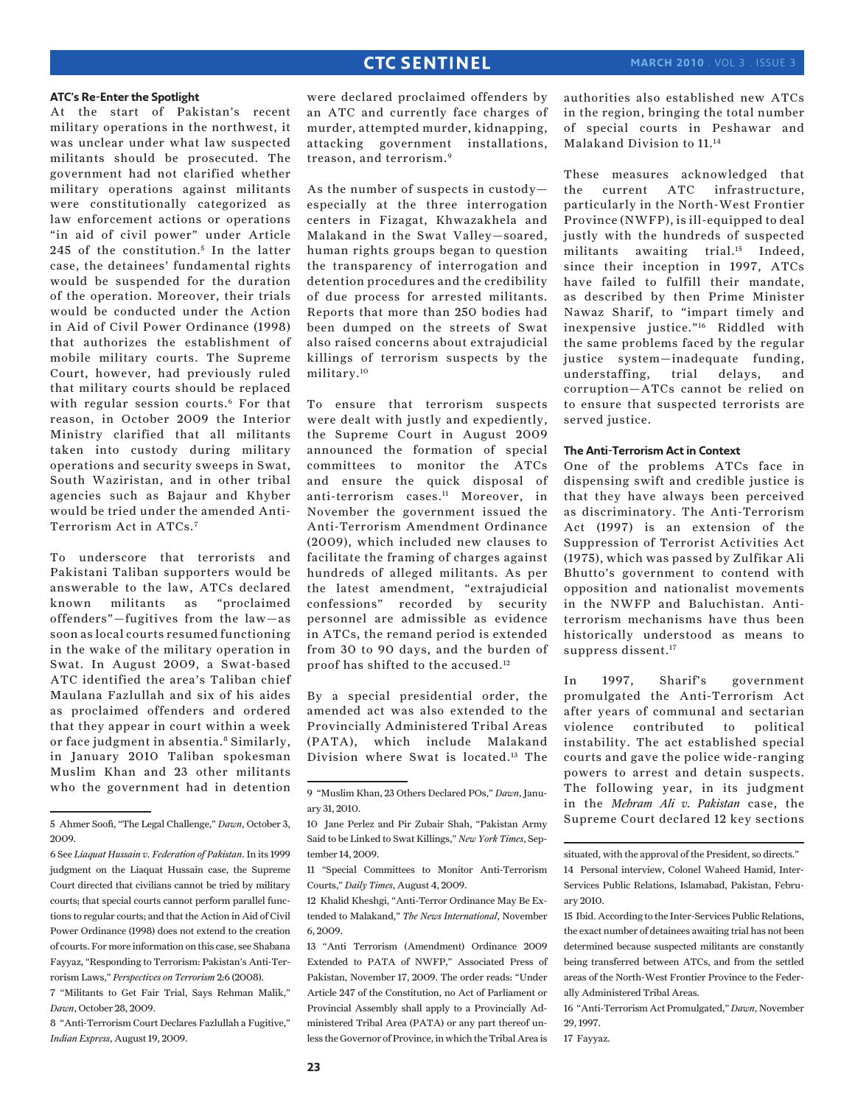#### **ATC's Re-Enter the Spotlight**

At the start of Pakistan's recent military operations in the northwest, it was unclear under what law suspected militants should be prosecuted. The government had not clarified whether military operations against militants were constitutionally categorized as law enforcement actions or operations "in aid of civil power" under Article 245 of the constitution.<sup>5</sup> In the latter case, the detainees' fundamental rights would be suspended for the duration of the operation. Moreover, their trials would be conducted under the Action in Aid of Civil Power Ordinance (1998) that authorizes the establishment of mobile military courts. The Supreme Court, however, had previously ruled that military courts should be replaced with regular session courts.<sup>6</sup> For that reason, in October 2009 the Interior Ministry clarified that all militants taken into custody during military operations and security sweeps in Swat, South Waziristan, and in other tribal agencies such as Bajaur and Khyber would be tried under the amended Anti-Terrorism Act in ATCs.7

To underscore that terrorists and Pakistani Taliban supporters would be answerable to the law, ATCs declared known militants as "proclaimed offenders"—fugitives from the law—as soon as local courts resumed functioning in the wake of the military operation in Swat. In August 2009, a Swat-based ATC identified the area's Taliban chief Maulana Fazlullah and six of his aides as proclaimed offenders and ordered that they appear in court within a week or face judgment in absentia.<sup>8</sup> Similarly, in January 2010 Taliban spokesman Muslim Khan and 23 other militants who the government had in detention

were declared proclaimed offenders by an ATC and currently face charges of murder, attempted murder, kidnapping, attacking government installations, treason, and terrorism.9

As the number of suspects in custody especially at the three interrogation centers in Fizagat, Khwazakhela and Malakand in the Swat Valley—soared, human rights groups began to question the transparency of interrogation and detention procedures and the credibility of due process for arrested militants. Reports that more than 250 bodies had been dumped on the streets of Swat also raised concerns about extrajudicial killings of terrorism suspects by the military.10

To ensure that terrorism suspects were dealt with justly and expediently, the Supreme Court in August 2009 announced the formation of special committees to monitor the ATCs and ensure the quick disposal of anti-terrorism cases.11 Moreover, in November the government issued the Anti-Terrorism Amendment Ordinance (2009), which included new clauses to facilitate the framing of charges against hundreds of alleged militants. As per the latest amendment, "extrajudicial confessions" recorded by security personnel are admissible as evidence in ATCs, the remand period is extended from 30 to 90 days, and the burden of proof has shifted to the accused.12

By a special presidential order, the amended act was also extended to the Provincially Administered Tribal Areas (PATA), which include Malakand Division where Swat is located.13 The authorities also established new ATCs in the region, bringing the total number of special courts in Peshawar and Malakand Division to 11.14

These measures acknowledged that the current ATC infrastructure, particularly in the North-West Frontier Province (NWFP), is ill-equipped to deal justly with the hundreds of suspected militants awaiting trial.<sup>15</sup> Indeed, since their inception in 1997, ATCs have failed to fulfill their mandate, as described by then Prime Minister Nawaz Sharif, to "impart timely and inexpensive justice."16 Riddled with the same problems faced by the regular justice system—inadequate funding, understaffing, trial delays, and corruption—ATCs cannot be relied on to ensure that suspected terrorists are served justice.

#### **The Anti-Terrorism Act in Context**

One of the problems ATCs face in dispensing swift and credible justice is that they have always been perceived as discriminatory. The Anti-Terrorism Act (1997) is an extension of the Suppression of Terrorist Activities Act (1975), which was passed by Zulfikar Ali Bhutto's government to contend with opposition and nationalist movements in the NWFP and Baluchistan. Antiterrorism mechanisms have thus been historically understood as means to suppress dissent.<sup>17</sup>

In 1997, Sharif's government promulgated the Anti-Terrorism Act after years of communal and sectarian violence contributed to political instability. The act established special courts and gave the police wide-ranging powers to arrest and detain suspects. The following year, in its judgment in the *Mehram Ali v. Pakistan* case, the Supreme Court declared 12 key sections

17 Fayyaz.

<sup>5</sup> Ahmer Soofi, "The Legal Challenge," *Dawn*, October 3, 2009.

<sup>6</sup> See *Liaquat Hussain v. Federation of Pakistan*. In its 1999 judgment on the Liaquat Hussain case, the Supreme Court directed that civilians cannot be tried by military courts; that special courts cannot perform parallel functions to regular courts; and that the Action in Aid of Civil Power Ordinance (1998) does not extend to the creation of courts. For more information on this case, see Shabana Fayyaz, "Responding to Terrorism: Pakistan's Anti-Terrorism Laws," *Perspectives on Terrorism* 2:6 (2008).

<sup>7 &</sup>quot;Militants to Get Fair Trial, Says Rehman Malik," *Dawn*, October 28, 2009.

<sup>8 &</sup>quot;Anti-Terrorism Court Declares Fazlullah a Fugitive," *Indian Express*, August 19, 2009.

<sup>9 &</sup>quot;Muslim Khan, 23 Others Declared POs," *Dawn*, January 31, 2010.

<sup>10</sup> Jane Perlez and Pir Zubair Shah, "Pakistan Army Said to be Linked to Swat Killings," *New York Times*, September 14, 2009.

<sup>11 &</sup>quot;Special Committees to Monitor Anti-Terrorism Courts," *Daily Times*, August 4, 2009.

<sup>12</sup> Khalid Kheshgi, "Anti-Terror Ordinance May Be Extended to Malakand," *The News International*, November 6, 2009.

<sup>13 &</sup>quot;Anti Terrorism (Amendment) Ordinance 2009 Extended to PATA of NWFP," Associated Press of Pakistan, November 17, 2009. The order reads: "Under Article 247 of the Constitution, no Act of Parliament or Provincial Assembly shall apply to a Provincially Administered Tribal Area (PATA) or any part thereof unless the Governor of Province, in which the Tribal Area is

situated, with the approval of the President, so directs." 14 Personal interview, Colonel Waheed Hamid, Inter-Services Public Relations, Islamabad, Pakistan, February 2010.

<sup>15</sup> Ibid. According to the Inter-Services Public Relations, the exact number of detainees awaiting trial has not been determined because suspected militants are constantly being transferred between ATCs, and from the settled areas of the North-West Frontier Province to the Federally Administered Tribal Areas.

<sup>16 &</sup>quot;Anti-Terrorism Act Promulgated," *Dawn*, November 29, 1997.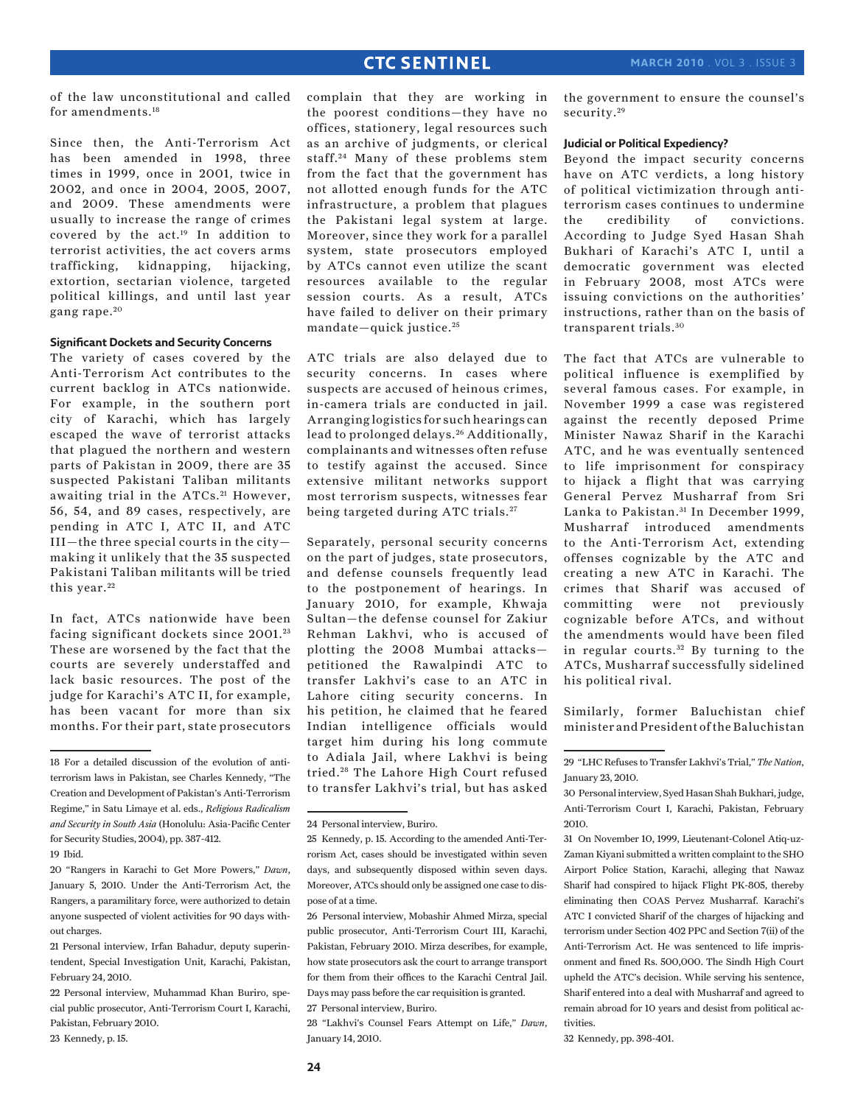of the law unconstitutional and called for amendments.18

Since then, the Anti-Terrorism Act has been amended in 1998, three times in 1999, once in 2001, twice in 2002, and once in 2004, 2005, 2007, and 2009. These amendments were usually to increase the range of crimes covered by the act.19 In addition to terrorist activities, the act covers arms trafficking, kidnapping, hijacking, extortion, sectarian violence, targeted political killings, and until last year gang rape.<sup>20</sup>

#### **Significant Dockets and Security Concerns**

The variety of cases covered by the Anti-Terrorism Act contributes to the current backlog in ATCs nationwide. For example, in the southern port city of Karachi, which has largely escaped the wave of terrorist attacks that plagued the northern and western parts of Pakistan in 2009, there are 35 suspected Pakistani Taliban militants awaiting trial in the ATCs.<sup>21</sup> However, 56, 54, and 89 cases, respectively, are pending in ATC I, ATC II, and ATC  $III$ —the three special courts in the city making it unlikely that the 35 suspected Pakistani Taliban militants will be tried this year.<sup>22</sup>

In fact, ATCs nationwide have been facing significant dockets since 2001.<sup>23</sup> These are worsened by the fact that the courts are severely understaffed and lack basic resources. The post of the judge for Karachi's ATC II, for example, has been vacant for more than six months. For their part, state prosecutors

complain that they are working in the poorest conditions—they have no offices, stationery, legal resources such as an archive of judgments, or clerical staff. 24 Many of these problems stem from the fact that the government has not allotted enough funds for the ATC infrastructure, a problem that plagues the Pakistani legal system at large. Moreover, since they work for a parallel system, state prosecutors employed by ATCs cannot even utilize the scant resources available to the regular session courts. As a result, ATCs have failed to deliver on their primary mandate—quick justice. <sup>25</sup>

ATC trials are also delayed due to security concerns. In cases where suspects are accused of heinous crimes, in-camera trials are conducted in jail. Arranging logistics for such hearings can lead to prolonged delays. 26 Additionally, complainants and witnesses often refuse to testify against the accused. Since extensive militant networks support most terrorism suspects, witnesses fear being targeted during ATC trials.<sup>27</sup>

Separately, personal security concerns on the part of judges, state prosecutors, and defense counsels frequently lead to the postponement of hearings. In January 2010, for example, Khwaja Sultan—the defense counsel for Zakiur Rehman Lakhvi, who is accused of plotting the 2008 Mumbai attacks petitioned the Rawalpindi ATC to transfer Lakhvi's case to an ATC in Lahore citing security concerns. In his petition, he claimed that he feared Indian intelligence officials would target him during his long commute to Adiala Jail, where Lakhvi is being tried. 28 The Lahore High Court refused to transfer Lakhvi's trial, but has asked

28 "Lakhvi's Counsel Fears Attempt on Life," *Dawn*, January 14, 2010.

the government to ensure the counsel's security.<sup>29</sup>

#### **Judicial or Political Expediency?**

Beyond the impact security concerns have on ATC verdicts, a long history of political victimization through antiterrorism cases continues to undermine the credibility of convictions. According to Judge Syed Hasan Shah Bukhari of Karachi's ATC I, until a democratic government was elected in February 2008, most ATCs were issuing convictions on the authorities' instructions, rather than on the basis of transparent trials. <sup>30</sup>

The fact that ATCs are vulnerable to political influence is exemplified by several famous cases. For example, in November 1999 a case was registered against the recently deposed Prime Minister Nawaz Sharif in the Karachi ATC, and he was eventually sentenced to life imprisonment for conspiracy to hijack a flight that was carrying General Pervez Musharraf from Sri Lanka to Pakistan.<sup>31</sup> In December 1999, Musharraf introduced amendments to the Anti-Terrorism Act, extending offenses cognizable by the ATC and creating a new ATC in Karachi. The crimes that Sharif was accused of committing were not previously cognizable before ATCs, and without the amendments would have been filed in regular courts.<sup>32</sup> By turning to the ATCs, Musharraf successfully sidelined his political rival.

Similarly, former Baluchistan chief minister and President of the Baluchistan

32 Kennedy, pp. 398-401.

<sup>18</sup> For a detailed discussion of the evolution of antiterrorism laws in Pakistan, see Charles Kennedy, "The Creation and Development of Pakistan's Anti-Terrorism Regime," in Satu Limaye et al. eds., *Religious Radicalism and Security in South Asia* (Honolulu: Asia-Pacific Center for Security Studies, 2004), pp. 387-412.

<sup>19</sup> Ibid.

<sup>20 &</sup>quot;Rangers in Karachi to Get More Powers," *Dawn*, January 5, 2010. Under the Anti-Terrorism Act, the Rangers, a paramilitary force, were authorized to detain anyone suspected of violent activities for 90 days without charges.

<sup>21</sup> Personal interview, Irfan Bahadur, deputy superintendent, Special Investigation Unit, Karachi, Pakistan, February 24, 2010.

<sup>22</sup> Personal interview, Muhammad Khan Buriro, special public prosecutor, Anti-Terrorism Court I, Karachi, Pakistan, February 2010.

<sup>23</sup> Kennedy, p. 15.

<sup>24</sup> Personal interview, Buriro.

<sup>25</sup> Kennedy, p. 15. According to the amended Anti-Terrorism Act, cases should be investigated within seven days, and subsequently disposed within seven days. Moreover, ATCs should only be assigned one case to dispose of at a time.

<sup>26</sup> Personal interview, Mobashir Ahmed Mirza, special public prosecutor, Anti-Terrorism Court III, Karachi, Pakistan, February 2010. Mirza describes, for example, how state prosecutors ask the court to arrange transport for them from their offices to the Karachi Central Jail. Days may pass before the car requisition is granted.

<sup>27</sup> Personal interview, Buriro.

<sup>29 &</sup>quot;LHC Refuses to Transfer Lakhvi's Trial," *The Nation*, January 23, 2010.

<sup>30</sup> Personal interview, Syed Hasan Shah Bukhari, judge, Anti-Terrorism Court I, Karachi, Pakistan, February 2010.

<sup>31</sup> On November 10, 1999, Lieutenant-Colonel Atiq-uz-Zaman Kiyani submitted a written complaint to the SHO Airport Police Station, Karachi, alleging that Nawaz Sharif had conspired to hijack Flight PK-805, thereby eliminating then COAS Pervez Musharraf. Karachi's ATC I convicted Sharif of the charges of hijacking and terrorism under Section 402 PPC and Section 7(ii) of the Anti-Terrorism Act. He was sentenced to life imprisonment and fined Rs. 500,000. The Sindh High Court upheld the ATC's decision. While serving his sentence, Sharif entered into a deal with Musharraf and agreed to remain abroad for 10 years and desist from political activities.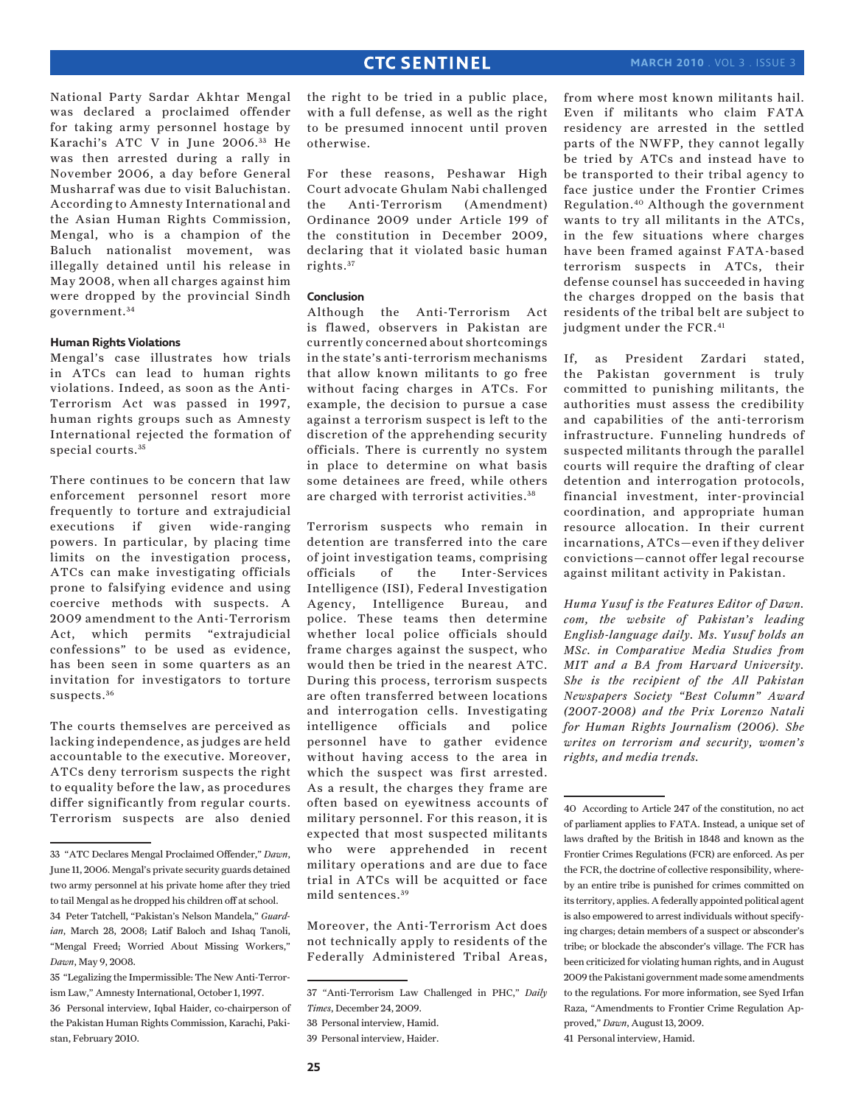National Party Sardar Akhtar Mengal was declared a proclaimed offender for taking army personnel hostage by Karachi's ATC V in June 2006.<sup>33</sup> He was then arrested during a rally in November 2006, a day before General Musharraf was due to visit Baluchistan. According to Amnesty International and the Asian Human Rights Commission, Mengal, who is a champion of the Baluch nationalist movement, was illegally detained until his release in May 2008, when all charges against him were dropped by the provincial Sindh government. <sup>34</sup>

#### **Human Rights Violations**

Mengal's case illustrates how trials in ATCs can lead to human rights violations. Indeed, as soon as the Anti-Terrorism Act was passed in 1997, human rights groups such as Amnesty International rejected the formation of special courts.<sup>35</sup>

There continues to be concern that law enforcement personnel resort more frequently to torture and extrajudicial executions if given wide-ranging powers. In particular, by placing time limits on the investigation process, ATCs can make investigating officials prone to falsifying evidence and using coercive methods with suspects. A 2009 amendment to the Anti-Terrorism Act, which permits "extrajudicial confessions" to be used as evidence, has been seen in some quarters as an invitation for investigators to torture suspects.<sup>36</sup>

The courts themselves are perceived as lacking independence, as judges are held accountable to the executive. Moreover, ATCs deny terrorism suspects the right to equality before the law, as procedures differ significantly from regular courts. Terrorism suspects are also denied

the right to be tried in a public place, with a full defense, as well as the right to be presumed innocent until proven otherwise.

For these reasons, Peshawar High Court advocate Ghulam Nabi challenged the Anti-Terrorism (Amendment) Ordinance 2009 under Article 199 of the constitution in December 2009, declaring that it violated basic human rights. <sup>37</sup>

#### **Conclusion**

Although the Anti-Terrorism Act is flawed, observers in Pakistan are currently concerned about shortcomings in the state's anti-terrorism mechanisms that allow known militants to go free without facing charges in ATCs. For example, the decision to pursue a case against a terrorism suspect is left to the discretion of the apprehending security officials. There is currently no system in place to determine on what basis some detainees are freed, while others are charged with terrorist activities. <sup>38</sup>

Terrorism suspects who remain in detention are transferred into the care of joint investigation teams, comprising officials of the Inter-Services Intelligence (ISI), Federal Investigation Agency, Intelligence Bureau, and police. These teams then determine whether local police officials should frame charges against the suspect, who would then be tried in the nearest ATC. During this process, terrorism suspects are often transferred between locations and interrogation cells. Investigating intelligence officials and police personnel have to gather evidence without having access to the area in which the suspect was first arrested. As a result, the charges they frame are often based on eyewitness accounts of military personnel. For this reason, it is expected that most suspected militants who were apprehended in recent military operations and are due to face trial in ATCs will be acquitted or face mild sentences. <sup>39</sup>

Moreover, the Anti-Terrorism Act does not technically apply to residents of the Federally Administered Tribal Areas,

from where most known militants hail. Even if militants who claim FATA residency are arrested in the settled parts of the NWFP, they cannot legally be tried by ATCs and instead have to be transported to their tribal agency to face justice under the Frontier Crimes Regulation.40 Although the government wants to try all militants in the ATCs, in the few situations where charges have been framed against FATA-based terrorism suspects in ATCs, their defense counsel has succeeded in having the charges dropped on the basis that residents of the tribal belt are subject to judgment under the FCR.<sup>41</sup>

If, as President Zardari stated, the Pakistan government is truly committed to punishing militants, the authorities must assess the credibility and capabilities of the anti-terrorism infrastructure. Funneling hundreds of suspected militants through the parallel courts will require the drafting of clear detention and interrogation protocols, financial investment, inter-provincial coordination, and appropriate human resource allocation. In their current incarnations, ATCs—even if they deliver convictions—cannot offer legal recourse against militant activity in Pakistan.

*Huma Yusuf is the Features Editor of Dawn. com, the website of Pakistan's leading English-language daily. Ms. Yusuf holds an MSc. in Comparative Media Studies from MIT and a BA from Harvard University. She is the recipient of the All Pakistan Newspapers Society "Best Column" Award (2007-2008) and the Prix Lorenzo Natali for Human Rights Journalism (2006). She writes on terrorism and security, women's rights, and media trends.*

<sup>33 &</sup>quot;ATC Declares Mengal Proclaimed Offender," *Dawn*, June 11, 2006. Mengal's private security guards detained two army personnel at his private home after they tried to tail Mengal as he dropped his children off at school. 34 Peter Tatchell, "Pakistan's Nelson Mandela," *Guard-*

*ian*, March 28, 2008; Latif Baloch and Ishaq Tanoli, "Mengal Freed; Worried About Missing Workers," *Dawn*, May 9, 2008.

<sup>35 &</sup>quot;Legalizing the Impermissible: The New Anti-Terrorism Law," Amnesty International, October 1, 1997.

<sup>36</sup> Personal interview, Iqbal Haider, co-chairperson of the Pakistan Human Rights Commission, Karachi, Pakistan, February 2010.

<sup>37 &</sup>quot;Anti-Terrorism Law Challenged in PHC," *Daily Times*, December 24, 2009.

<sup>38</sup> Personal interview, Hamid.

<sup>39</sup> Personal interview, Haider.

<sup>40</sup> According to Article 247 of the constitution, no act of parliament applies to FATA. Instead, a unique set of laws drafted by the British in 1848 and known as the Frontier Crimes Regulations (FCR) are enforced. As per the FCR, the doctrine of collective responsibility, whereby an entire tribe is punished for crimes committed on its territory, applies. A federally appointed political agent is also empowered to arrest individuals without specifying charges; detain members of a suspect or absconder's tribe; or blockade the absconder's village. The FCR has been criticized for violating human rights, and in August 2009 the Pakistani government made some amendments to the regulations. For more information, see Syed Irfan Raza, "Amendments to Frontier Crime Regulation Approved," *Dawn*, August 13, 2009.

<sup>41</sup> Personal interview, Hamid.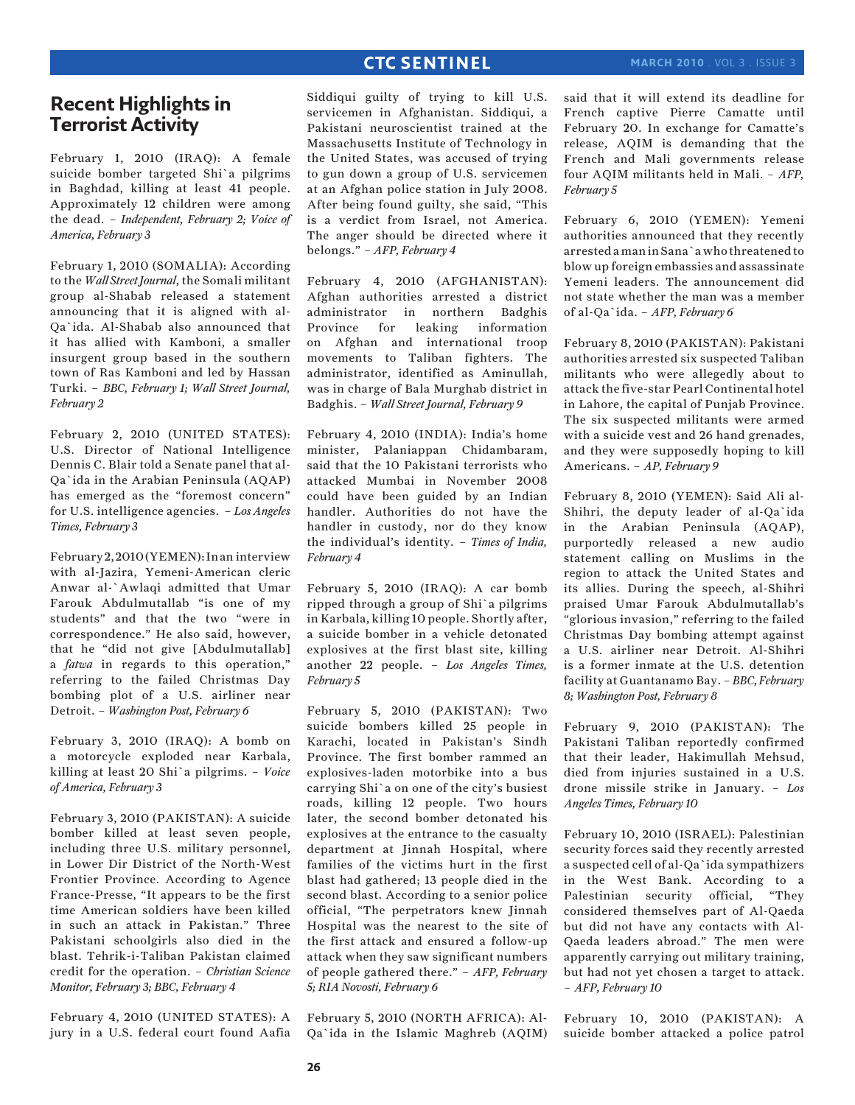# **Recent Highlights in Terrorist Activity**

February 1, 2010 (IRAQ): A female suicide bomber targeted Shi`a pilgrims in Baghdad, killing at least 41 people. Approximately 12 children were among the dead. – *Independent, February 2; Voice of America, February 3*

February 1, 2010 (SOMALIA): According to the *Wall Street Journal*, the Somali militant group al-Shabab released a statement announcing that it is aligned with al-Qa`ida. Al-Shabab also announced that it has allied with Kamboni, a smaller insurgent group based in the southern town of Ras Kamboni and led by Hassan Turki. – *BBC, February 1; Wall Street Journal, February 2*

February 2, 2010 (UNITED STATES): U.S. Director of National Intelligence Dennis C. Blair told a Senate panel that al-Qa`ida in the Arabian Peninsula (AQAP) has emerged as the "foremost concern" for U.S. intelligence agencies. – *Los Angeles Times, February 3*

February 2, 2010 (YEMEN): In an interview with al-Jazira, Yemeni-American cleric Anwar al-`Awlaqi admitted that Umar Farouk Abdulmutallab "is one of my students" and that the two "were in correspondence." He also said, however, that he "did not give [Abdulmutallab] a *fatwa* in regards to this operation," referring to the failed Christmas Day bombing plot of a U.S. airliner near Detroit. – *Washington Post, February 6*

February 3, 2010 (IRAQ): A bomb on a motorcycle exploded near Karbala, killing at least 20 Shi`a pilgrims. – *Voice of America, February 3*

February 3, 2010 (PAKISTAN): A suicide bomber killed at least seven people, including three U.S. military personnel, in Lower Dir District of the North-West Frontier Province. According to Agence France-Presse, "It appears to be the first time American soldiers have been killed in such an attack in Pakistan." Three Pakistani schoolgirls also died in the blast. Tehrik-i-Taliban Pakistan claimed credit for the operation. – *Christian Science Monitor, February 3; BBC, February 4*

February 4, 2010 (UNITED STATES): A jury in a U.S. federal court found Aafia Siddiqui guilty of trying to kill U.S. servicemen in Afghanistan. Siddiqui, a Pakistani neuroscientist trained at the Massachusetts Institute of Technology in the United States, was accused of trying to gun down a group of U.S. servicemen at an Afghan police station in July 2008. After being found guilty, she said, "This is a verdict from Israel, not America. The anger should be directed where it belongs." – *AFP, February 4*

February 4, 2010 (AFGHANISTAN): Afghan authorities arrested a district administrator in northern Badghis Province for leaking information on Afghan and international troop movements to Taliban fighters. The administrator, identified as Aminullah, was in charge of Bala Murghab district in Badghis. – *Wall Street Journal, February 9*

February 4, 2010 (INDIA): India's home minister, Palaniappan Chidambaram, said that the 10 Pakistani terrorists who attacked Mumbai in November 2008 could have been guided by an Indian handler. Authorities do not have the handler in custody, nor do they know the individual's identity. – *Times of India, February 4*

February 5, 2010 (IRAQ): A car bomb ripped through a group of Shi`a pilgrims in Karbala, killing 10 people. Shortly after, a suicide bomber in a vehicle detonated explosives at the first blast site, killing another 22 people. – *Los Angeles Times, February 5*

February 5, 2010 (PAKISTAN): Two suicide bombers killed 25 people in Karachi, located in Pakistan's Sindh Province. The first bomber rammed an explosives-laden motorbike into a bus carrying Shi`a on one of the city's busiest roads, killing 12 people. Two hours later, the second bomber detonated his explosives at the entrance to the casualty department at Jinnah Hospital, where families of the victims hurt in the first blast had gathered; 13 people died in the second blast. According to a senior police official, "The perpetrators knew Jinnah Hospital was the nearest to the site of the first attack and ensured a follow-up attack when they saw significant numbers of people gathered there." – *AFP, February 5; RIA Novosti, February 6*

February 5, 2010 (NORTH AFRICA): Al-Qa`ida in the Islamic Maghreb (AQIM) said that it will extend its deadline for French captive Pierre Camatte until February 20. In exchange for Camatte's release, AQIM is demanding that the French and Mali governments release four AQIM militants held in Mali. – *AFP, February 5*

February 6, 2010 (YEMEN): Yemeni authorities announced that they recently arrested a man in Sana`a who threatened to blow up foreign embassies and assassinate Yemeni leaders. The announcement did not state whether the man was a member of al-Qa`ida. – *AFP, February 6*

February 8, 2010 (PAKISTAN): Pakistani authorities arrested six suspected Taliban militants who were allegedly about to attack the five-star Pearl Continental hotel in Lahore, the capital of Punjab Province. The six suspected militants were armed with a suicide vest and 26 hand grenades, and they were supposedly hoping to kill Americans. – *AP, February 9*

February 8, 2010 (YEMEN): Said Ali al-Shihri, the deputy leader of al-Qa`ida in the Arabian Peninsula (AQAP), purportedly released a new audio statement calling on Muslims in the region to attack the United States and its allies. During the speech, al-Shihri praised Umar Farouk Abdulmutallab's "glorious invasion," referring to the failed Christmas Day bombing attempt against a U.S. airliner near Detroit. Al-Shihri is a former inmate at the U.S. detention facility at Guantanamo Bay. – *BBC, February 8; Washington Post, February 8*

February 9, 2010 (PAKISTAN): The Pakistani Taliban reportedly confirmed that their leader, Hakimullah Mehsud, died from injuries sustained in a U.S. drone missile strike in January. – *Los Angeles Times, February 10*

February 10, 2010 (ISRAEL): Palestinian security forces said they recently arrested a suspected cell of al-Qa`ida sympathizers in the West Bank. According to a Palestinian security official, "They considered themselves part of Al-Qaeda but did not have any contacts with Al-Qaeda leaders abroad." The men were apparently carrying out military training, but had not yet chosen a target to attack. – *AFP, February 10*

February 10, 2010 (PAKISTAN): A suicide bomber attacked a police patrol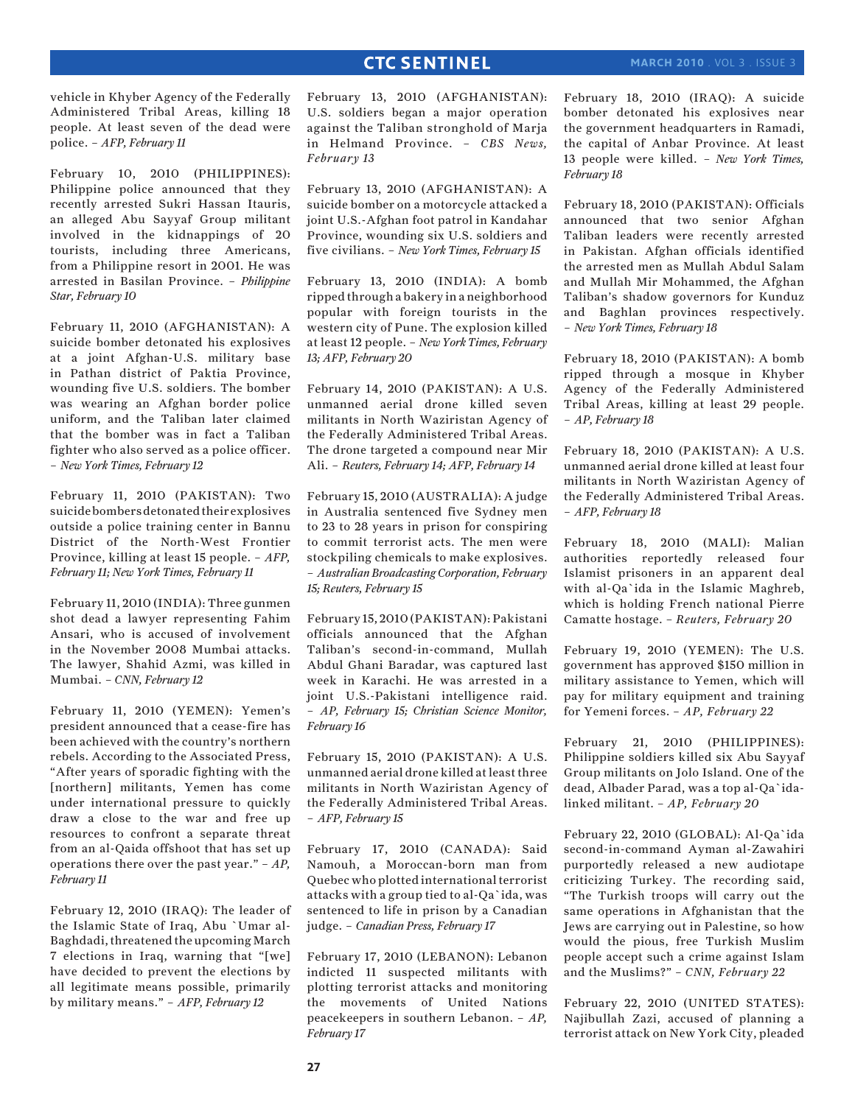vehicle in Khyber Agency of the Federally Administered Tribal Areas, killing 18 people. At least seven of the dead were police. – *AFP, February 11*

February 10, 2010 (PHILIPPINES): Philippine police announced that they recently arrested Sukri Hassan Itauris, an alleged Abu Sayyaf Group militant involved in the kidnappings of 20 tourists, including three Americans, from a Philippine resort in 2001. He was arrested in Basilan Province. – *Philippine Star, February 10*

February 11, 2010 (AFGHANISTAN): A suicide bomber detonated his explosives at a joint Afghan-U.S. military base in Pathan district of Paktia Province, wounding five U.S. soldiers. The bomber was wearing an Afghan border police uniform, and the Taliban later claimed that the bomber was in fact a Taliban fighter who also served as a police officer. – *New York Times, February 12*

February 11, 2010 (PAKISTAN): Two suicide bombers detonated their explosives outside a police training center in Bannu District of the North-West Frontier Province, killing at least 15 people. – *AFP, February 11; New York Times, February 11*

February 11, 2010 (INDIA): Three gunmen shot dead a lawyer representing Fahim Ansari, who is accused of involvement in the November 2008 Mumbai attacks. The lawyer, Shahid Azmi, was killed in Mumbai. – *CNN, February 12*

February 11, 2010 (YEMEN): Yemen's president announced that a cease-fire has been achieved with the country's northern rebels. According to the Associated Press, "After years of sporadic fighting with the [northern] militants, Yemen has come under international pressure to quickly draw a close to the war and free up resources to confront a separate threat from an al-Qaida offshoot that has set up operations there over the past year." – *AP, February 11*

February 12, 2010 (IRAQ): The leader of the Islamic State of Iraq, Abu `Umar al-Baghdadi, threatened the upcoming March 7 elections in Iraq, warning that "[we] have decided to prevent the elections by all legitimate means possible, primarily by military means." – *AFP, February 12*

February 13, 2010 (AFGHANISTAN): U.S. soldiers began a major operation against the Taliban stronghold of Marja in Helmand Province. – *CBS News, February 13*

February 13, 2010 (AFGHANISTAN): A suicide bomber on a motorcycle attacked a joint U.S.-Afghan foot patrol in Kandahar Province, wounding six U.S. soldiers and five civilians. – *New York Times, February 15*

February 13, 2010 (INDIA): A bomb ripped through a bakery in a neighborhood popular with foreign tourists in the western city of Pune. The explosion killed at least 12 people. – *New York Times, February 13; AFP, February 20*

February 14, 2010 (PAKISTAN): A U.S. unmanned aerial drone killed seven militants in North Waziristan Agency of the Federally Administered Tribal Areas. The drone targeted a compound near Mir Ali. – *Reuters, February 14; AFP, February 14*

February 15, 2010 (AUSTRALIA): A judge in Australia sentenced five Sydney men to 23 to 28 years in prison for conspiring to commit terrorist acts. The men were stockpiling chemicals to make explosives. – *Australian Broadcasting Corporation, February 15; Reuters, February 15*

February 15, 2010 (PAKISTAN): Pakistani officials announced that the Afghan Taliban's second-in-command, Mullah Abdul Ghani Baradar, was captured last week in Karachi. He was arrested in a joint U.S.-Pakistani intelligence raid. – *AP, February 15; Christian Science Monitor, February 16*

February 15, 2010 (PAKISTAN): A U.S. unmanned aerial drone killed at least three militants in North Waziristan Agency of the Federally Administered Tribal Areas. – *AFP, February 15*

February 17, 2010 (CANADA): Said Namouh, a Moroccan-born man from Quebec who plotted international terrorist attacks with a group tied to al-Qa`ida, was sentenced to life in prison by a Canadian judge. – *Canadian Press, February 17*

February 17, 2010 (LEBANON): Lebanon indicted 11 suspected militants with plotting terrorist attacks and monitoring the movements of United Nations peacekeepers in southern Lebanon. – *AP, February 17*

February 18, 2010 (IRAQ): A suicide bomber detonated his explosives near the government headquarters in Ramadi, the capital of Anbar Province. At least 13 people were killed. – *New York Times, February 18*

February 18, 2010 (PAKISTAN): Officials announced that two senior Afghan Taliban leaders were recently arrested in Pakistan. Afghan officials identified the arrested men as Mullah Abdul Salam and Mullah Mir Mohammed, the Afghan Taliban's shadow governors for Kunduz and Baghlan provinces respectively. – *New York Times, February 18*

February 18, 2010 (PAKISTAN): A bomb ripped through a mosque in Khyber Agency of the Federally Administered Tribal Areas, killing at least 29 people. – *AP, February 18*

February 18, 2010 (PAKISTAN): A U.S. unmanned aerial drone killed at least four militants in North Waziristan Agency of the Federally Administered Tribal Areas. – *AFP, February 18*

February 18, 2010 (MALI): Malian authorities reportedly released four Islamist prisoners in an apparent deal with al-Qa`ida in the Islamic Maghreb, which is holding French national Pierre Camatte hostage. – *Reuters, February 20*

February 19, 2010 (YEMEN): The U.S. government has approved \$150 million in military assistance to Yemen, which will pay for military equipment and training for Yemeni forces. – *AP, February 22*

February 21, 2010 (PHILIPPINES): Philippine soldiers killed six Abu Sayyaf Group militants on Jolo Island. One of the dead, Albader Parad, was a top al-Qa`idalinked militant. – *AP, February 20*

February 22, 2010 (GLOBAL): Al-Qa`ida second-in-command Ayman al-Zawahiri purportedly released a new audiotape criticizing Turkey. The recording said, "The Turkish troops will carry out the same operations in Afghanistan that the Jews are carrying out in Palestine, so how would the pious, free Turkish Muslim people accept such a crime against Islam and the Muslims?" – *CNN, February 22*

February 22, 2010 (UNITED STATES): Najibullah Zazi, accused of planning a terrorist attack on New York City, pleaded